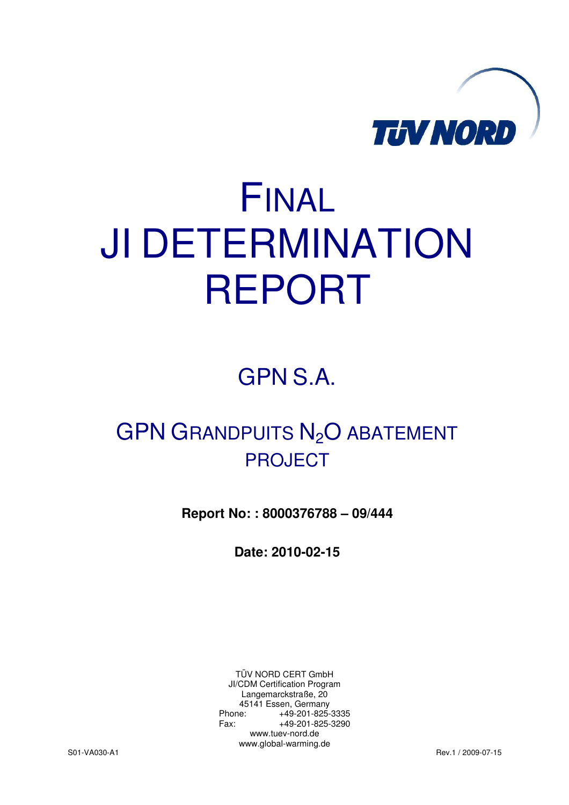

# FINAL JI DETERMINATION REPORT

GPN S.A.

# GPN GRANDPUITS N<sub>2</sub>O ABATEMENT PROJECT

**Report No: : 8000376788 – 09/444** 

**Date: 2010-02-15** 

TÜV NORD CERT GmbH JI/CDM Certification Program Langemarckstraße, 20 45141 Essen, Germany Phone: +49-201-825-3335 Fax: +49-201-825-3290 www.tuev-nord.de www.global-warming.de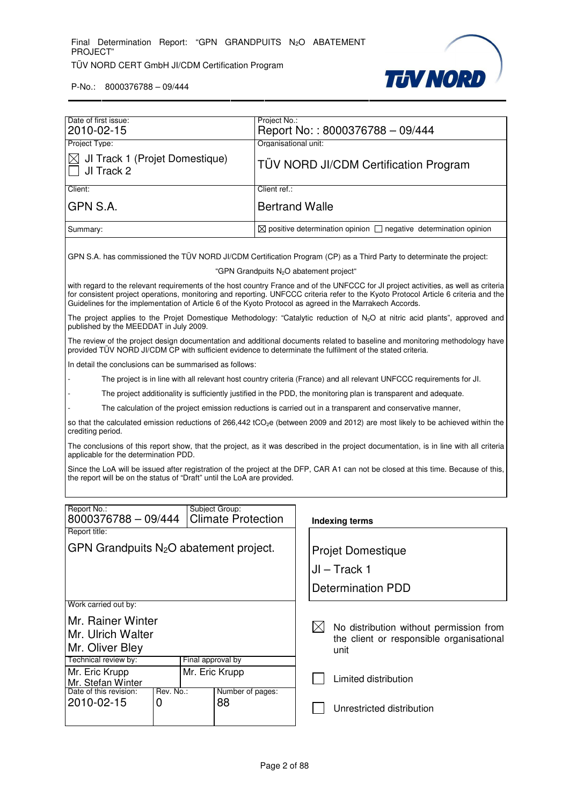

|                                                                                                          |  |                |                                             | Project No.:                                        |                                                                                                                  |                                                                                                                                                                                                                                                                             |  |  |
|----------------------------------------------------------------------------------------------------------|--|----------------|---------------------------------------------|-----------------------------------------------------|------------------------------------------------------------------------------------------------------------------|-----------------------------------------------------------------------------------------------------------------------------------------------------------------------------------------------------------------------------------------------------------------------------|--|--|
| Date of first issue:<br>2010-02-15                                                                       |  |                |                                             |                                                     | Report No:: 8000376788 - 09/444                                                                                  |                                                                                                                                                                                                                                                                             |  |  |
| Project Type:                                                                                            |  |                |                                             | Organisational unit:                                |                                                                                                                  |                                                                                                                                                                                                                                                                             |  |  |
| JI Track 1 (Projet Domestique)<br>JI Track 2                                                             |  |                | TÜV NORD JI/CDM Certification Program       |                                                     |                                                                                                                  |                                                                                                                                                                                                                                                                             |  |  |
| Client:                                                                                                  |  |                |                                             | Client ref.:                                        |                                                                                                                  |                                                                                                                                                                                                                                                                             |  |  |
| GPN S.A.                                                                                                 |  |                |                                             |                                                     | <b>Bertrand Walle</b>                                                                                            |                                                                                                                                                                                                                                                                             |  |  |
| Summary:                                                                                                 |  |                |                                             |                                                     |                                                                                                                  | $\boxtimes$ positive determination opinion $\Box$ negative determination opinion                                                                                                                                                                                            |  |  |
|                                                                                                          |  |                |                                             | "GPN Grandpuits N <sub>2</sub> O abatement project" |                                                                                                                  | GPN S.A. has commissioned the TÜV NORD JI/CDM Certification Program (CP) as a Third Party to determinate the project:                                                                                                                                                       |  |  |
| Guidelines for the implementation of Article 6 of the Kyoto Protocol as agreed in the Marrakech Accords. |  |                |                                             |                                                     |                                                                                                                  | with regard to the relevant requirements of the host country France and of the UNFCCC for JI project activities, as well as criteria<br>for consistent project operations, monitoring and reporting. UNFCCC criteria refer to the Kyoto Protocol Article 6 criteria and the |  |  |
| published by the MEEDDAT in July 2009.                                                                   |  |                |                                             |                                                     |                                                                                                                  | The project applies to the Projet Domestique Methodology: "Catalytic reduction of N <sub>2</sub> O at nitric acid plants", approved and                                                                                                                                     |  |  |
|                                                                                                          |  |                |                                             |                                                     |                                                                                                                  | The review of the project design documentation and additional documents related to baseline and monitoring methodology have<br>provided TÜV NORD JI/CDM CP with sufficient evidence to determinate the fulfilment of the stated criteria.                                   |  |  |
| In detail the conclusions can be summarised as follows:                                                  |  |                |                                             |                                                     |                                                                                                                  |                                                                                                                                                                                                                                                                             |  |  |
|                                                                                                          |  |                |                                             |                                                     |                                                                                                                  | The project is in line with all relevant host country criteria (France) and all relevant UNFCCC requirements for Jl.                                                                                                                                                        |  |  |
|                                                                                                          |  |                |                                             |                                                     | The project additionality is sufficiently justified in the PDD, the monitoring plan is transparent and adequate. |                                                                                                                                                                                                                                                                             |  |  |
|                                                                                                          |  |                |                                             |                                                     |                                                                                                                  | The calculation of the project emission reductions is carried out in a transparent and conservative manner,                                                                                                                                                                 |  |  |
| crediting period.                                                                                        |  |                |                                             |                                                     |                                                                                                                  | so that the calculated emission reductions of 266,442 tCO <sub>2</sub> e (between 2009 and 2012) are most likely to be achieved within the                                                                                                                                  |  |  |
| applicable for the determination PDD.                                                                    |  |                |                                             |                                                     |                                                                                                                  | The conclusions of this report show, that the project, as it was described in the project documentation, is in line with all criteria                                                                                                                                       |  |  |
| the report will be on the status of "Draft" until the LoA are provided.                                  |  |                |                                             |                                                     |                                                                                                                  | Since the LoA will be issued after registration of the project at the DFP, CAR A1 can not be closed at this time. Because of this,                                                                                                                                          |  |  |
|                                                                                                          |  |                |                                             |                                                     |                                                                                                                  |                                                                                                                                                                                                                                                                             |  |  |
| Report No.:<br>8000376788 - 09/444                                                                       |  |                | Subject Group:<br><b>Climate Protection</b> |                                                     |                                                                                                                  | <b>Indexing terms</b>                                                                                                                                                                                                                                                       |  |  |
| Report title:                                                                                            |  |                |                                             |                                                     |                                                                                                                  |                                                                                                                                                                                                                                                                             |  |  |
| GPN Grandpuits N <sub>2</sub> O abatement project.                                                       |  |                |                                             | <b>Projet Domestique</b>                            |                                                                                                                  |                                                                                                                                                                                                                                                                             |  |  |
|                                                                                                          |  |                |                                             |                                                     | JI – Track 1                                                                                                     |                                                                                                                                                                                                                                                                             |  |  |
|                                                                                                          |  |                |                                             |                                                     | <b>Determination PDD</b>                                                                                         |                                                                                                                                                                                                                                                                             |  |  |
| Work carried out by:                                                                                     |  |                |                                             |                                                     |                                                                                                                  |                                                                                                                                                                                                                                                                             |  |  |
| Mr. Rainer Winter                                                                                        |  |                |                                             |                                                     |                                                                                                                  |                                                                                                                                                                                                                                                                             |  |  |
| Mr. Ulrich Walter                                                                                        |  |                |                                             |                                                     |                                                                                                                  | No distribution without permission from                                                                                                                                                                                                                                     |  |  |
| Mr. Oliver Bley                                                                                          |  |                |                                             |                                                     |                                                                                                                  | the client or responsible organisational<br>unit                                                                                                                                                                                                                            |  |  |
| Technical review by:<br>Final approval by                                                                |  |                |                                             |                                                     |                                                                                                                  |                                                                                                                                                                                                                                                                             |  |  |
| Mr. Eric Krupp<br>Mr. Stefan Winter                                                                      |  | Mr. Eric Krupp |                                             |                                                     |                                                                                                                  | Limited distribution                                                                                                                                                                                                                                                        |  |  |
| Date of this revision:<br>Rev. No.:<br>Number of pages:<br>2010-02-15<br>88<br>0                         |  |                |                                             |                                                     |                                                                                                                  | Unrestricted distribution                                                                                                                                                                                                                                                   |  |  |
|                                                                                                          |  |                |                                             |                                                     |                                                                                                                  |                                                                                                                                                                                                                                                                             |  |  |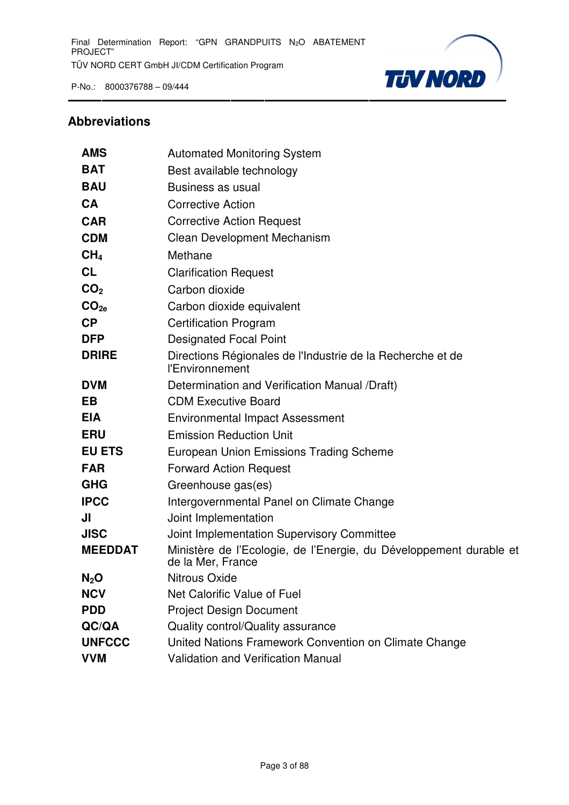

# **Abbreviations**

| <b>AMS</b>       | <b>Automated Monitoring System</b>                                                      |
|------------------|-----------------------------------------------------------------------------------------|
| <b>BAT</b>       | Best available technology                                                               |
| <b>BAU</b>       | Business as usual                                                                       |
| <b>CA</b>        | <b>Corrective Action</b>                                                                |
| <b>CAR</b>       | <b>Corrective Action Request</b>                                                        |
| <b>CDM</b>       | Clean Development Mechanism                                                             |
| CH <sub>4</sub>  | Methane                                                                                 |
| <b>CL</b>        | <b>Clarification Request</b>                                                            |
| CO <sub>2</sub>  | Carbon dioxide                                                                          |
| CO <sub>2e</sub> | Carbon dioxide equivalent                                                               |
| CP               | <b>Certification Program</b>                                                            |
| <b>DFP</b>       | <b>Designated Focal Point</b>                                                           |
| <b>DRIRE</b>     | Directions Régionales de l'Industrie de la Recherche et de<br>l'Environnement           |
| <b>DVM</b>       | Determination and Verification Manual /Draft)                                           |
| <b>EB</b>        | <b>CDM Executive Board</b>                                                              |
| <b>EIA</b>       | <b>Environmental Impact Assessment</b>                                                  |
| <b>ERU</b>       | <b>Emission Reduction Unit</b>                                                          |
| <b>EU ETS</b>    | European Union Emissions Trading Scheme                                                 |
| <b>FAR</b>       | <b>Forward Action Request</b>                                                           |
| <b>GHG</b>       | Greenhouse gas(es)                                                                      |
| <b>IPCC</b>      | Intergovernmental Panel on Climate Change                                               |
| JI               | Joint Implementation                                                                    |
| <b>JISC</b>      | Joint Implementation Supervisory Committee                                              |
| <b>MEEDDAT</b>   | Ministère de l'Ecologie, de l'Energie, du Développement durable et<br>de la Mer, France |
| $N_2$ O          | <b>Nitrous Oxide</b>                                                                    |
| <b>NCV</b>       | Net Calorific Value of Fuel                                                             |
| <b>PDD</b>       | <b>Project Design Document</b>                                                          |
| QC/QA            | Quality control/Quality assurance                                                       |
| <b>UNFCCC</b>    | United Nations Framework Convention on Climate Change                                   |
| <b>VVM</b>       | Validation and Verification Manual                                                      |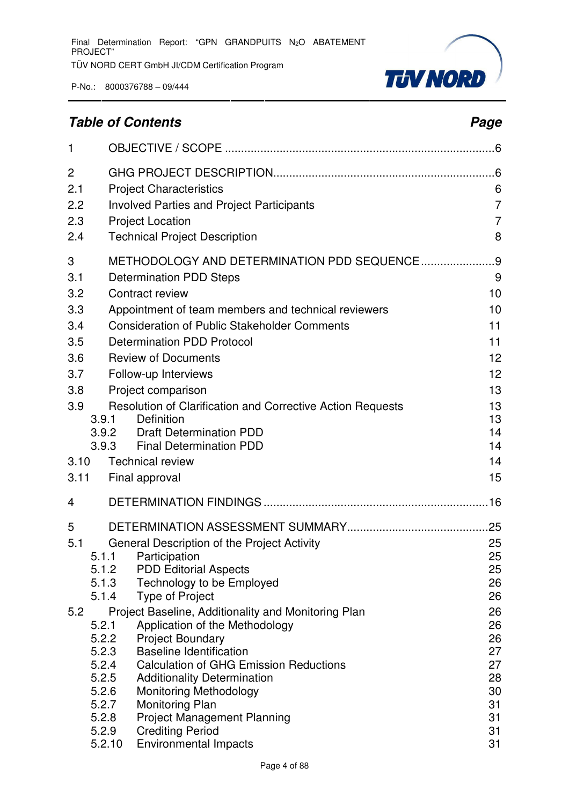

# **Table of Contents Page 2014**

| $\mathbf{1}$ |                |                                                                                       |                                  |
|--------------|----------------|---------------------------------------------------------------------------------------|----------------------------------|
| 2<br>2.1     |                | <b>Project Characteristics</b>                                                        | 6                                |
| 2.2<br>2.3   |                | <b>Involved Parties and Project Participants</b><br><b>Project Location</b>           | $\overline{7}$<br>$\overline{7}$ |
| 2.4          |                | <b>Technical Project Description</b>                                                  | 8                                |
| 3            |                | METHODOLOGY AND DETERMINATION PDD SEQUENCE                                            | . 9                              |
| 3.1<br>3.2   |                | <b>Determination PDD Steps</b><br>Contract review                                     | 9<br>10                          |
| 3.3          |                | Appointment of team members and technical reviewers                                   | 10                               |
| 3.4          |                | <b>Consideration of Public Stakeholder Comments</b>                                   | 11                               |
| 3.5          |                | <b>Determination PDD Protocol</b>                                                     | 11                               |
| 3.6          |                | <b>Review of Documents</b>                                                            | 12                               |
| 3.7          |                | Follow-up Interviews                                                                  | 12                               |
| 3.8<br>3.9   |                | Project comparison<br>Resolution of Clarification and Corrective Action Requests      | 13<br>13                         |
|              | 3.9.1          | <b>Definition</b>                                                                     | 13                               |
|              | 3.9.2          | <b>Draft Determination PDD</b>                                                        | 14                               |
| 3.10         | 3.9.3          | <b>Final Determination PDD</b><br><b>Technical review</b>                             | 14<br>14                         |
| 3.11         |                | Final approval                                                                        | 15                               |
| 4            |                |                                                                                       |                                  |
| 5            |                |                                                                                       | .25                              |
| 5.1          |                | General Description of the Project Activity                                           | 25                               |
|              | 5.1.1<br>5.1.2 | Participation<br><b>PDD Editorial Aspects</b>                                         | 25<br>25                         |
|              | 5.1.3          | Technology to be Employed                                                             | 26                               |
|              | 5.1.4          | <b>Type of Project</b>                                                                | 26                               |
| 5.2          | 5.2.1          | Project Baseline, Additionality and Monitoring Plan<br>Application of the Methodology | 26<br>26                         |
|              | 5.2.2          | <b>Project Boundary</b>                                                               | 26                               |
|              | 5.2.3<br>5.2.4 | <b>Baseline Identification</b><br><b>Calculation of GHG Emission Reductions</b>       | 27<br>27                         |
|              | 5.2.5          | <b>Additionality Determination</b>                                                    | 28                               |
|              | 5.2.6<br>5.2.7 | <b>Monitoring Methodology</b><br>Monitoring Plan                                      | 30<br>31                         |
|              | 5.2.8          | <b>Project Management Planning</b>                                                    | 31                               |
|              | 5.2.9          | <b>Crediting Period</b>                                                               | 31                               |
|              | 5.2.10         | <b>Environmental Impacts</b>                                                          | 31                               |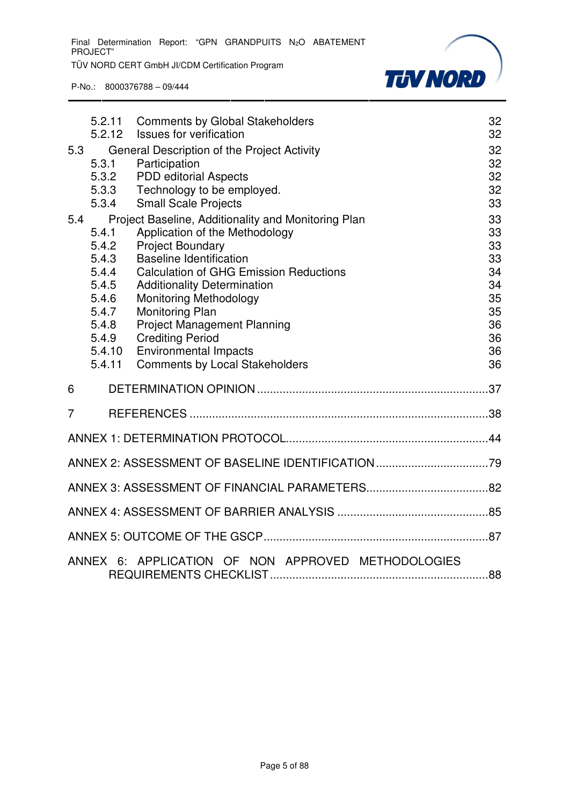

|     | 5.2.11                                                                                            | <b>Comments by Global Stakeholders</b>                                                                                                                                                                                                                                                                                                                                                                                                  | 32                                                                   |
|-----|---------------------------------------------------------------------------------------------------|-----------------------------------------------------------------------------------------------------------------------------------------------------------------------------------------------------------------------------------------------------------------------------------------------------------------------------------------------------------------------------------------------------------------------------------------|----------------------------------------------------------------------|
|     | 5.2.12                                                                                            | <b>Issues for verification</b>                                                                                                                                                                                                                                                                                                                                                                                                          | 32                                                                   |
| 5.3 | 5.3.1<br>5.3.2<br>5.3.3<br>5.3.4                                                                  | General Description of the Project Activity<br>Participation<br><b>PDD</b> editorial Aspects<br>Technology to be employed.<br><b>Small Scale Projects</b>                                                                                                                                                                                                                                                                               | 32<br>32<br>32<br>32<br>33                                           |
| 5.4 | 5.4.1<br>5.4.2<br>5.4.3<br>5.4.4<br>5.4.5<br>5.4.6<br>5.4.7<br>5.4.8<br>5.4.9<br>5.4.10<br>5.4.11 | Project Baseline, Additionality and Monitoring Plan<br>Application of the Methodology<br><b>Project Boundary</b><br><b>Baseline Identification</b><br><b>Calculation of GHG Emission Reductions</b><br><b>Additionality Determination</b><br><b>Monitoring Methodology</b><br>Monitoring Plan<br><b>Project Management Planning</b><br><b>Crediting Period</b><br><b>Environmental Impacts</b><br><b>Comments by Local Stakeholders</b> | 33<br>33<br>33<br>33<br>34<br>34<br>35<br>35<br>36<br>36<br>36<br>36 |
| 6   |                                                                                                   |                                                                                                                                                                                                                                                                                                                                                                                                                                         |                                                                      |
| 7   |                                                                                                   |                                                                                                                                                                                                                                                                                                                                                                                                                                         |                                                                      |
|     |                                                                                                   |                                                                                                                                                                                                                                                                                                                                                                                                                                         |                                                                      |
|     |                                                                                                   |                                                                                                                                                                                                                                                                                                                                                                                                                                         |                                                                      |
|     |                                                                                                   |                                                                                                                                                                                                                                                                                                                                                                                                                                         |                                                                      |
|     |                                                                                                   |                                                                                                                                                                                                                                                                                                                                                                                                                                         |                                                                      |
|     |                                                                                                   |                                                                                                                                                                                                                                                                                                                                                                                                                                         |                                                                      |
|     |                                                                                                   | ANNEX 6: APPLICATION OF NON APPROVED METHODOLOGIES                                                                                                                                                                                                                                                                                                                                                                                      |                                                                      |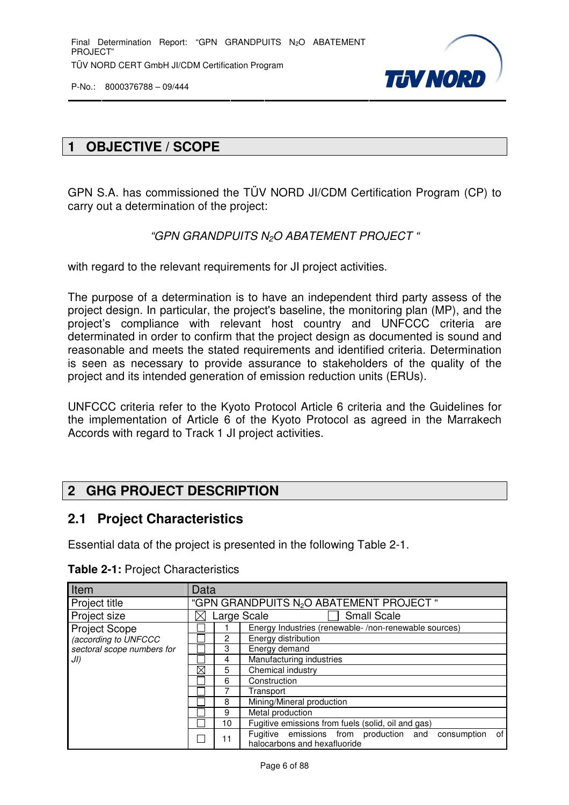

# **1 OBJECTIVE / SCOPE**

GPN S.A. has commissioned the TÜV NORD JI/CDM Certification Program (CP) to carry out a determination of the project:

"GPN GRANDPUITS N<sub>2</sub>O ABATEMENT PROJECT "

with regard to the relevant requirements for JI project activities.

The purpose of a determination is to have an independent third party assess of the project design. In particular, the project's baseline, the monitoring plan (MP), and the project's compliance with relevant host country and UNFCCC criteria are determinated in order to confirm that the project design as documented is sound and reasonable and meets the stated requirements and identified criteria. Determination is seen as necessary to provide assurance to stakeholders of the quality of the project and its intended generation of emission reduction units (ERUs).

UNFCCC criteria refer to the Kyoto Protocol Article 6 criteria and the Guidelines for the implementation of Article 6 of the Kyoto Protocol as agreed in the Marrakech Accords with regard to Track 1 JI project activities.

# **2 GHG PROJECT DESCRIPTION**

#### **2.1 Project Characteristics**

Essential data of the project is presented in the following Table 2-1.

| Item                       | Data        |                                                      |                                                                                          |  |  |  |  |
|----------------------------|-------------|------------------------------------------------------|------------------------------------------------------------------------------------------|--|--|--|--|
| Project title              |             | "GPN GRANDPUITS N <sub>2</sub> O ABATEMENT PROJECT " |                                                                                          |  |  |  |  |
| Project size               |             |                                                      | <b>Small Scale</b><br>Large Scale                                                        |  |  |  |  |
| <b>Project Scope</b>       |             |                                                      | Energy Industries (renewable-/non-renewable sources)                                     |  |  |  |  |
| (according to UNFCCC       |             | $\overline{2}$                                       | Energy distribution                                                                      |  |  |  |  |
| sectoral scope numbers for |             | 3                                                    | Energy demand                                                                            |  |  |  |  |
| JI)                        |             | 4                                                    | Manufacturing industries                                                                 |  |  |  |  |
|                            | $\boxtimes$ | 5                                                    | Chemical industry                                                                        |  |  |  |  |
|                            |             | 6                                                    | Construction                                                                             |  |  |  |  |
|                            |             |                                                      | Transport<br>Mining/Mineral production<br>Metal production                               |  |  |  |  |
|                            |             | 8                                                    |                                                                                          |  |  |  |  |
|                            |             | 9                                                    |                                                                                          |  |  |  |  |
|                            |             | 10                                                   | Fugitive emissions from fuels (solid, oil and gas)                                       |  |  |  |  |
|                            |             | 11                                                   | of<br>Fugitive emissions from production and consumption<br>halocarbons and hexafluoride |  |  |  |  |

**Table 2-1:** Project Characteristics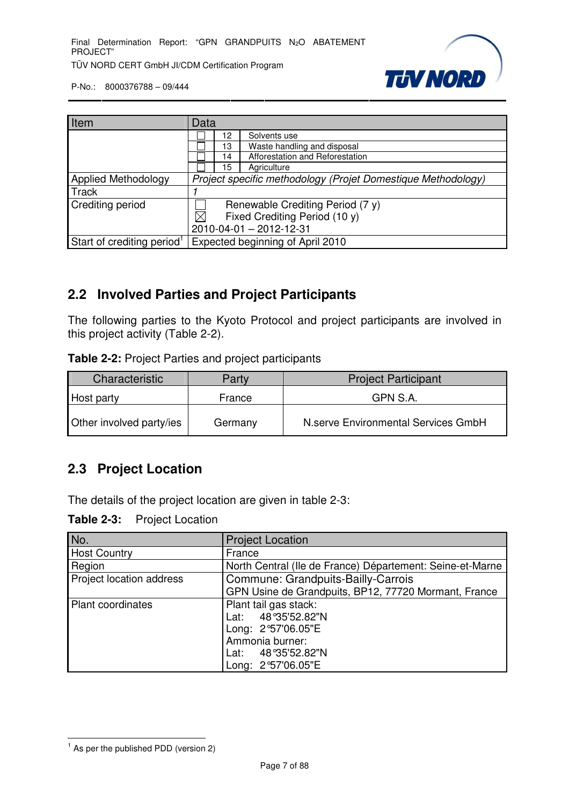

| Item                                   | Data                                                         |                               |                                 |  |  |  |  |
|----------------------------------------|--------------------------------------------------------------|-------------------------------|---------------------------------|--|--|--|--|
|                                        |                                                              | 12                            | Solvents use                    |  |  |  |  |
|                                        |                                                              | 13                            | Waste handling and disposal     |  |  |  |  |
|                                        |                                                              | 14                            | Afforestation and Reforestation |  |  |  |  |
|                                        |                                                              | 15                            | Agriculture                     |  |  |  |  |
| <b>Applied Methodology</b>             | Project specific methodology (Projet Domestique Methodology) |                               |                                 |  |  |  |  |
| <b>Track</b>                           |                                                              |                               |                                 |  |  |  |  |
| <b>Crediting period</b>                | Renewable Crediting Period (7 y)                             |                               |                                 |  |  |  |  |
|                                        | $\boxtimes$                                                  | Fixed Crediting Period (10 y) |                                 |  |  |  |  |
|                                        |                                                              | 2010-04-01 - 2012-12-31       |                                 |  |  |  |  |
| Start of crediting period <sup>1</sup> | Expected beginning of April 2010                             |                               |                                 |  |  |  |  |

# **2.2 Involved Parties and Project Participants**

The following parties to the Kyoto Protocol and project participants are involved in this project activity (Table 2-2).

**Table 2-2:** Project Parties and project participants

| Characteristic           | Party   | <b>Project Participant</b>          |  |  |  |
|--------------------------|---------|-------------------------------------|--|--|--|
| Host party               | France  | GPN S.A.                            |  |  |  |
| Other involved party/ies | Germany | N.serve Environmental Services GmbH |  |  |  |

# **2.3 Project Location**

The details of the project location are given in table 2-3:

**Table 2-3:** Project Location

| No.                      | <b>Project Location</b>                                   |
|--------------------------|-----------------------------------------------------------|
| <b>Host Country</b>      | France                                                    |
| Region                   | North Central (Ile de France) Département: Seine-et-Marne |
| Project location address | Commune: Grandpuits-Bailly-Carrois                        |
|                          | GPN Usine de Grandpuits, BP12, 77720 Mormant, France      |
| <b>Plant coordinates</b> | Plant tail gas stack:                                     |
|                          | Lat: 48°35'52.82"N                                        |
|                          | Long: 2°57'06.05"E                                        |
|                          | Ammonia burner:                                           |
|                          | Lat: 48°35'52.82"N                                        |
|                          | Long: 2°57'06.05"E                                        |

l  $<sup>1</sup>$  As per the published PDD (version 2)</sup>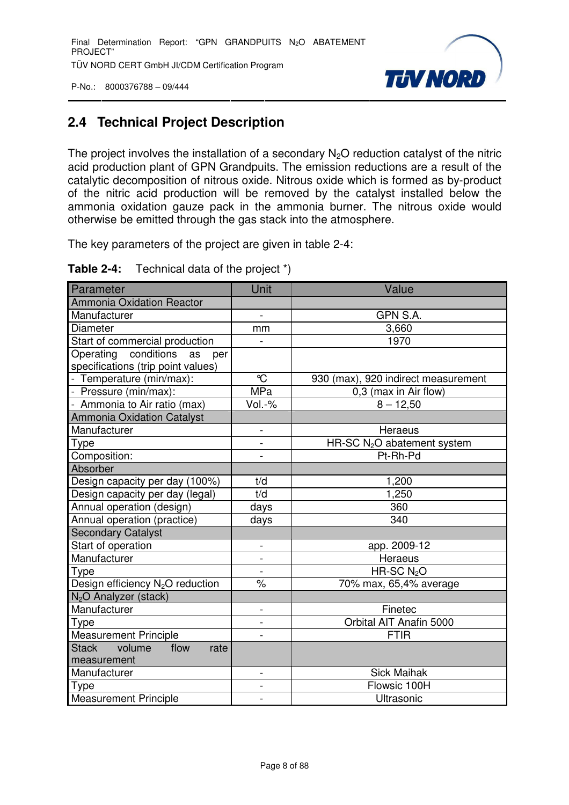

# **2.4 Technical Project Description**

The project involves the installation of a secondary  $N_2O$  reduction catalyst of the nitric acid production plant of GPN Grandpuits. The emission reductions are a result of the catalytic decomposition of nitrous oxide. Nitrous oxide which is formed as by-product of the nitric acid production will be removed by the catalyst installed below the ammonia oxidation gauze pack in the ammonia burner. The nitrous oxide would otherwise be emitted through the gas stack into the atmosphere.

The key parameters of the project are given in table 2-4:

| Table 2-4: | Technical data of the project *) |  |  |
|------------|----------------------------------|--|--|
|------------|----------------------------------|--|--|

| Parameter                                    | Unit                     | Value                                   |
|----------------------------------------------|--------------------------|-----------------------------------------|
| <b>Ammonia Oxidation Reactor</b>             |                          |                                         |
| Manufacturer                                 | $\overline{a}$           | GPN S.A.                                |
| Diameter                                     | mm                       | 3,660                                   |
| Start of commercial production               |                          | 1970                                    |
| Operating conditions<br>as<br>per            |                          |                                         |
| specifications (trip point values)           |                          |                                         |
| - Temperature (min/max):                     | $\mathrm{C}$             | 930 (max), 920 indirect measurement     |
| - Pressure (min/max):                        | <b>MPa</b>               | 0,3 (max in Air flow)                   |
| - Ammonia to Air ratio (max)                 | Vol.-%                   | $8 - 12,50$                             |
| <b>Ammonia Oxidation Catalyst</b>            |                          |                                         |
| Manufacturer                                 | $\overline{a}$           | Heraeus                                 |
| Type                                         | $\overline{\phantom{0}}$ | HR-SC N <sub>2</sub> O abatement system |
| Composition:                                 |                          | Pt-Rh-Pd                                |
| Absorber                                     |                          |                                         |
| Design capacity per day (100%)               | t/d                      | 1,200                                   |
| Design capacity per day (legal)              | t/d                      | 1,250                                   |
| Annual operation (design)                    | days                     | 360                                     |
| Annual operation (practice)                  | days                     | 340                                     |
| <b>Secondary Catalyst</b>                    |                          |                                         |
| Start of operation                           | $\blacksquare$           | app. 2009-12                            |
| Manufacturer                                 | $\overline{a}$           | Heraeus                                 |
| Type                                         |                          | HR-SC N <sub>2</sub> O                  |
| Design efficiency N <sub>2</sub> O reduction | $\%$                     | 70% max, 65,4% average                  |
| N <sub>2</sub> O Analyzer (stack)            |                          |                                         |
| Manufacturer                                 | $\overline{\phantom{0}}$ | Finetec                                 |
| Type                                         | $\overline{a}$           | Orbital AIT Anafin 5000                 |
| <b>Measurement Principle</b>                 |                          | <b>FTIR</b>                             |
| <b>Stack</b><br>volume<br>flow<br>rate       |                          |                                         |
| measurement                                  |                          |                                         |
| Manufacturer                                 |                          | <b>Sick Maihak</b>                      |
| Type                                         | $\overline{a}$           | Flowsic 100H                            |
| <b>Measurement Principle</b>                 | $\overline{a}$           | Ultrasonic                              |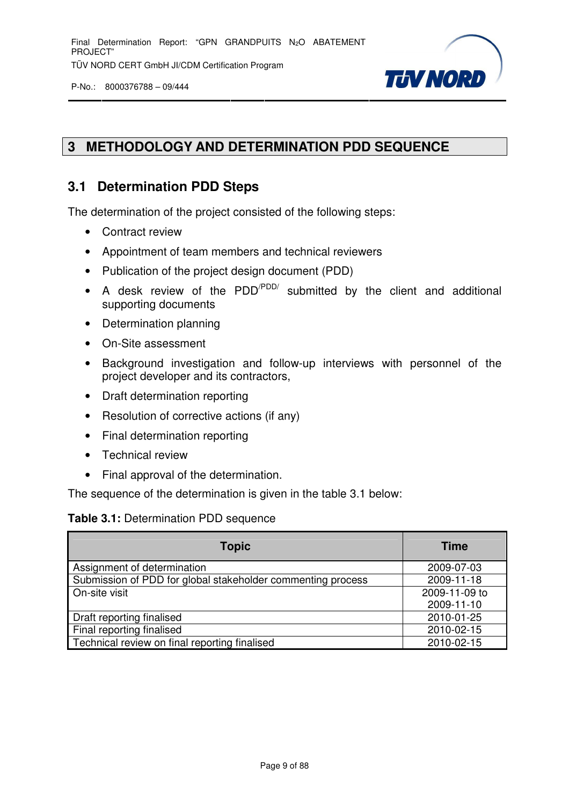

# **3 METHODOLOGY AND DETERMINATION PDD SEQUENCE**

# **3.1 Determination PDD Steps**

The determination of the project consisted of the following steps:

- Contract review
- Appointment of team members and technical reviewers
- Publication of the project design document (PDD)
- A desk review of the  $PDD'^{PDD'}$  submitted by the client and additional supporting documents
- Determination planning
- On-Site assessment
- Background investigation and follow-up interviews with personnel of the project developer and its contractors,
- Draft determination reporting
- Resolution of corrective actions (if any)
- Final determination reporting
- Technical review
- Final approval of the determination.

The sequence of the determination is given in the table 3.1 below:

#### **Table 3.1:** Determination PDD sequence

| <b>Topic</b>                                                | <b>Time</b>   |
|-------------------------------------------------------------|---------------|
| Assignment of determination                                 | 2009-07-03    |
| Submission of PDD for global stakeholder commenting process | 2009-11-18    |
| On-site visit                                               | 2009-11-09 to |
|                                                             | 2009-11-10    |
| Draft reporting finalised                                   | 2010-01-25    |
| Final reporting finalised                                   | 2010-02-15    |
| Technical review on final reporting finalised               | 2010-02-15    |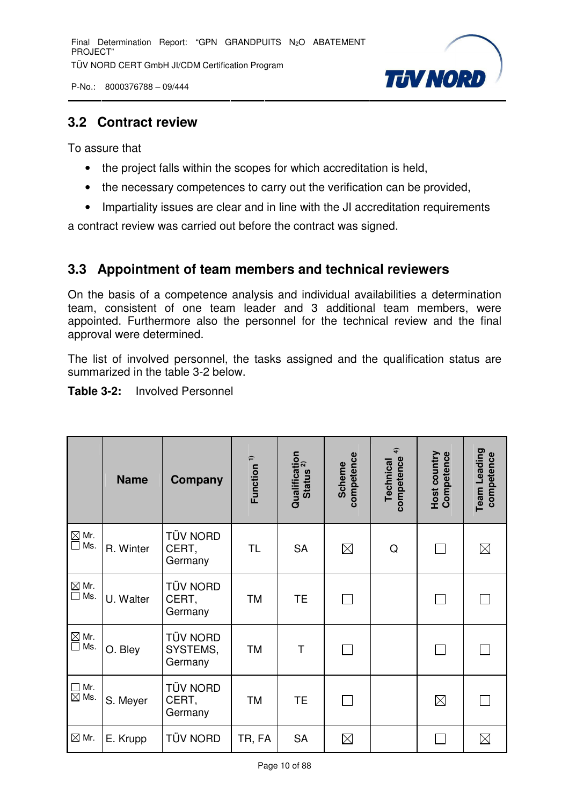Final Determination Report: "GPN GRANDPUITS N<sub>2</sub>O ABATEMENT PROJECT" TÜV NORD CERT GmbH JI/CDM Certification Program

P-No.: 8000376788 – 09/444



### **3.2 Contract review**

To assure that

- the project falls within the scopes for which accreditation is held,
- the necessary competences to carry out the verification can be provided,
- Impartiality issues are clear and in line with the JI accreditation requirements

a contract review was carried out before the contract was signed.

# **3.3 Appointment of team members and technical reviewers**

On the basis of a competence analysis and individual availabilities a determination team, consistent of one team leader and 3 additional team members, were appointed. Furthermore also the personnel for the technical review and the final approval were determined.

The list of involved personnel, the tasks assigned and the qualification status are summarized in the table 3-2 below.

#### **Table 3-2:** Involved Personnel

|                                     | <b>Name</b> | Company                             | Function <sup>1)</sup> | Qualification<br>Status <sup>2)</sup><br><b>Status</b> | competence<br><b>Scheme</b> | $\widehat{\mathbf{f}}$<br>competence<br>Technical | Competence<br>Host country | Team Leading<br>competence |
|-------------------------------------|-------------|-------------------------------------|------------------------|--------------------------------------------------------|-----------------------------|---------------------------------------------------|----------------------------|----------------------------|
| $\boxtimes$ Mr.<br>$\Box$<br>Ms.    | R. Winter   | <b>TÜV NORD</b><br>CERT,<br>Germany | <b>TL</b>              | <b>SA</b>                                              | $\boxtimes$                 | Q                                                 |                            | $\boxtimes$                |
| $\boxtimes$ Mr.<br>$\Box$<br>Ms.    | U. Walter   | TÜV NORD<br>CERT,<br>Germany        | <b>TM</b>              | <b>TE</b>                                              |                             |                                                   |                            |                            |
| $\boxtimes$<br>Mr.<br>$\Box$<br>Ms. | O. Bley     | TÜV NORD<br>SYSTEMS,<br>Germany     | <b>TM</b>              | T                                                      |                             |                                                   |                            |                            |
| Mr.<br>$\Box$<br>$\boxtimes$ Ms.    | S. Meyer    | TÜV NORD<br>CERT,<br>Germany        | <b>TM</b>              | <b>TE</b>                                              |                             |                                                   | $\boxtimes$                |                            |
| $\boxtimes$ Mr.                     | E. Krupp    | TÜV NORD                            | TR, FA                 | <b>SA</b>                                              | $\boxtimes$                 |                                                   |                            | $\boxtimes$                |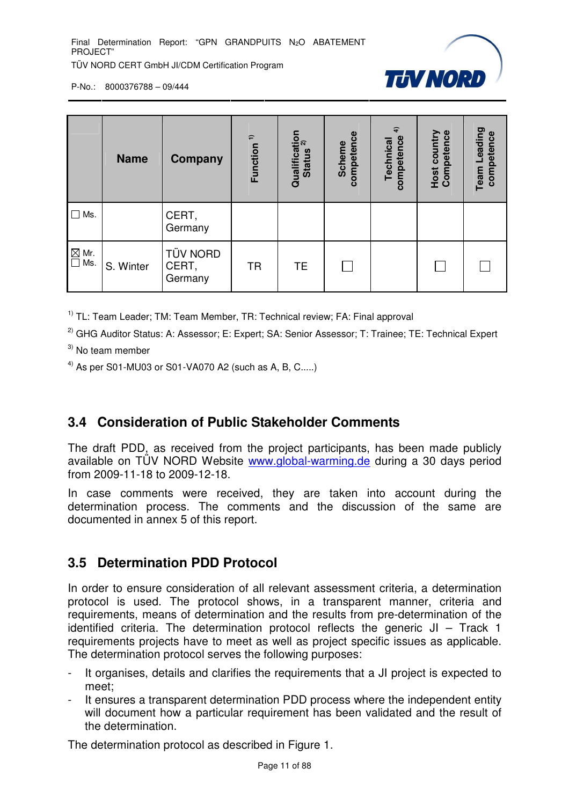

|                                                               | <b>Name</b> | Company                             | $\hat{ }$<br>Function | Qualification<br>Ctature 2)<br><b>Status</b> | competence<br><b>Scheme</b> | $\hat{+}$<br>competence<br><b>Technical</b> | <b>Host country</b><br>Competence | Leading<br>competence<br>Team |
|---------------------------------------------------------------|-------------|-------------------------------------|-----------------------|----------------------------------------------|-----------------------------|---------------------------------------------|-----------------------------------|-------------------------------|
| $\Box$<br>Ms.                                                 |             | CERT,<br>Germany                    |                       |                                              |                             |                                             |                                   |                               |
| $\overline{\text{M}}$ Mr.<br>$\overline{\text{M}}$ Ms.<br>Ms. | S. Winter   | <b>TÜV NORD</b><br>CERT,<br>Germany | <b>TR</b>             | <b>TE</b>                                    |                             |                                             |                                   |                               |

 $1)$  TL: Team Leader; TM: Team Member, TR: Technical review; FA: Final approval

<sup>2)</sup> GHG Auditor Status: A: Assessor; E: Expert; SA: Senior Assessor; T: Trainee; TE: Technical Expert

<sup>3)</sup> No team member

 $^{4)}$  As per S01-MU03 or S01-VA070 A2 (such as A, B, C.....)

# **3.4 Consideration of Public Stakeholder Comments**

The draft PDD, as received from the project participants, has been made publicly available on TÜV NORD Website www.global-warming.de during a 30 days period from 2009-11-18 to 2009-12-18.

In case comments were received, they are taken into account during the determination process. The comments and the discussion of the same are documented in annex 5 of this report.

# **3.5 Determination PDD Protocol**

In order to ensure consideration of all relevant assessment criteria, a determination protocol is used. The protocol shows, in a transparent manner, criteria and requirements, means of determination and the results from pre-determination of the identified criteria. The determination protocol reflects the generic JI – Track 1 requirements projects have to meet as well as project specific issues as applicable. The determination protocol serves the following purposes:

- It organises, details and clarifies the requirements that a JI project is expected to meet;
- It ensures a transparent determination PDD process where the independent entity will document how a particular requirement has been validated and the result of the determination.

The determination protocol as described in Figure 1.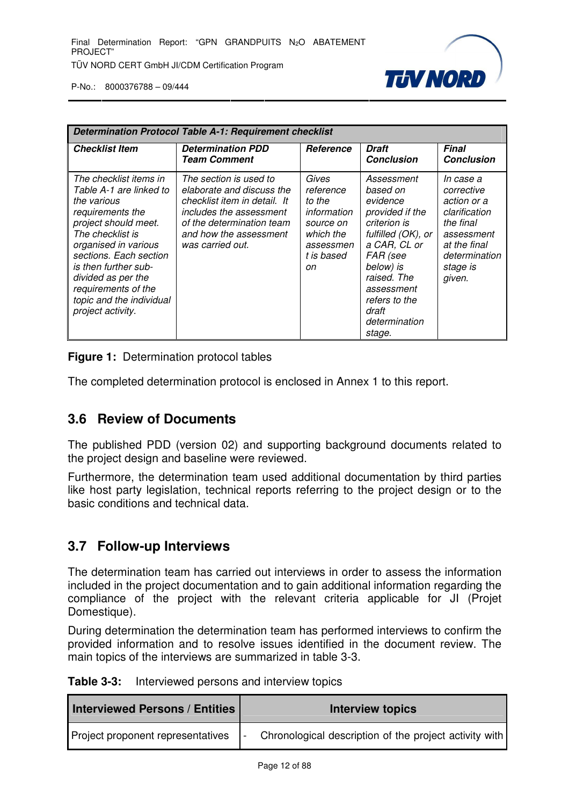

| <b>Determination Protocol Table A-1: Requirement checklist</b>                                                                                                                                                                                                                                           |                                                                                                                                                                                           |                                                                                                        |                                                                                                                                                                                                                        |                                                                                                                                           |  |
|----------------------------------------------------------------------------------------------------------------------------------------------------------------------------------------------------------------------------------------------------------------------------------------------------------|-------------------------------------------------------------------------------------------------------------------------------------------------------------------------------------------|--------------------------------------------------------------------------------------------------------|------------------------------------------------------------------------------------------------------------------------------------------------------------------------------------------------------------------------|-------------------------------------------------------------------------------------------------------------------------------------------|--|
| <b>Checklist Item</b>                                                                                                                                                                                                                                                                                    | <b>Determination PDD</b><br><b>Team Comment</b>                                                                                                                                           | <b>Reference</b>                                                                                       | <b>Draft</b><br><b>Conclusion</b>                                                                                                                                                                                      | <b>Final</b><br><b>Conclusion</b>                                                                                                         |  |
| The checklist items in<br>Table A-1 are linked to<br>the various<br>requirements the<br>project should meet.<br>The checklist is<br>organised in various<br>sections. Each section<br>is then further sub-<br>divided as per the<br>requirements of the<br>topic and the individual<br>project activity. | The section is used to<br>elaborate and discuss the<br>checklist item in detail. It<br>includes the assessment<br>of the determination team<br>and how the assessment<br>was carried out. | Gives<br>reference<br>to the<br>information<br>source on<br>which the<br>assessmen<br>t is based<br>оn | Assessment<br>based on<br>evidence<br>provided if the<br>criterion is<br>fulfilled (OK), or<br>a CAR, CL or<br>FAR (see<br>below) is<br>raised. The<br>assessment<br>refers to the<br>draft<br>determination<br>stage. | In case a<br>corrective<br>action or a<br>clarification<br>the final<br>assessment<br>at the final<br>determination<br>stage is<br>given. |  |

**Figure 1:** Determination protocol tables

The completed determination protocol is enclosed in Annex 1 to this report.

# **3.6 Review of Documents**

The published PDD (version 02) and supporting background documents related to the project design and baseline were reviewed.

Furthermore, the determination team used additional documentation by third parties like host party legislation, technical reports referring to the project design or to the basic conditions and technical data.

#### **3.7 Follow-up Interviews**

The determination team has carried out interviews in order to assess the information included in the project documentation and to gain additional information regarding the compliance of the project with the relevant criteria applicable for JI (Projet Domestique).

During determination the determination team has performed interviews to confirm the provided information and to resolve issues identified in the document review. The main topics of the interviews are summarized in table 3-3.

| Table 3-3: | Interviewed persons and interview topics |
|------------|------------------------------------------|
|------------|------------------------------------------|

| <b>Interviewed Persons / Entities  </b> | Interview topics                                       |
|-----------------------------------------|--------------------------------------------------------|
| Project proponent representatives       | Chronological description of the project activity with |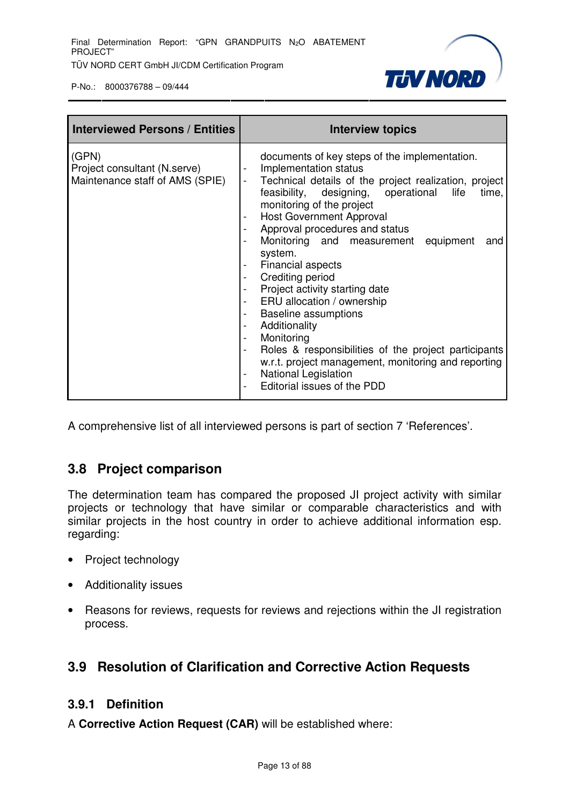

| <b>Interviewed Persons / Entities</b>                                    | Interview topics                                                                                                                                                                                                                                                                                                                                                                                                                                                                                                                                                                                                                                                                                        |
|--------------------------------------------------------------------------|---------------------------------------------------------------------------------------------------------------------------------------------------------------------------------------------------------------------------------------------------------------------------------------------------------------------------------------------------------------------------------------------------------------------------------------------------------------------------------------------------------------------------------------------------------------------------------------------------------------------------------------------------------------------------------------------------------|
| (GPN)<br>Project consultant (N.serve)<br>Maintenance staff of AMS (SPIE) | documents of key steps of the implementation.<br>Implementation status<br>Technical details of the project realization, project<br>feasibility, designing, operational<br>life<br>time,<br>monitoring of the project<br><b>Host Government Approval</b><br>Approval procedures and status<br>Monitoring and measurement equipment<br>and<br>system.<br>Financial aspects<br>Crediting period<br>Project activity starting date<br>ERU allocation / ownership<br><b>Baseline assumptions</b><br>Additionality<br>Monitoring<br>Roles & responsibilities of the project participants<br>w.r.t. project management, monitoring and reporting<br><b>National Legislation</b><br>Editorial issues of the PDD |

A comprehensive list of all interviewed persons is part of section 7 'References'.

# **3.8 Project comparison**

The determination team has compared the proposed JI project activity with similar projects or technology that have similar or comparable characteristics and with similar projects in the host country in order to achieve additional information esp. regarding:

- Project technology
- Additionality issues
- Reasons for reviews, requests for reviews and rejections within the JI registration process.

# **3.9 Resolution of Clarification and Corrective Action Requests**

#### **3.9.1 Definition**

A **Corrective Action Request (CAR)** will be established where: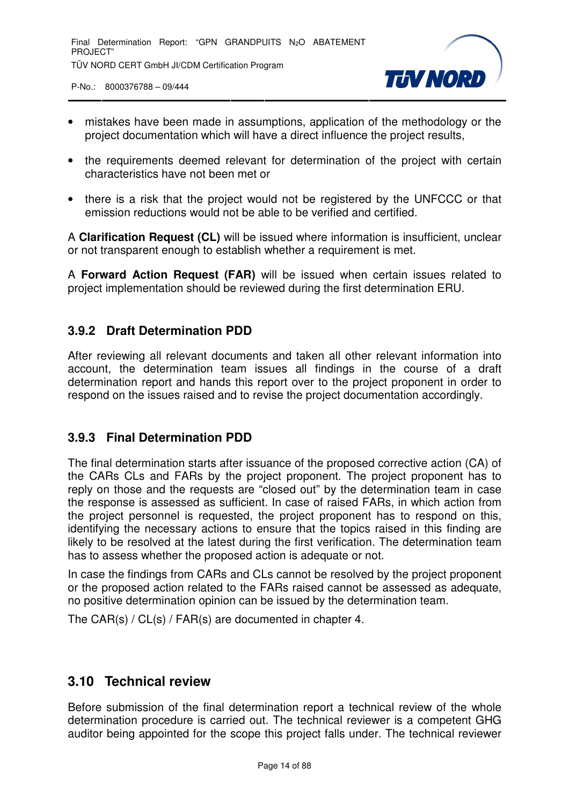

- mistakes have been made in assumptions, application of the methodology or the project documentation which will have a direct influence the project results,
- the requirements deemed relevant for determination of the project with certain characteristics have not been met or
- there is a risk that the project would not be registered by the UNFCCC or that emission reductions would not be able to be verified and certified.

A **Clarification Request (CL)** will be issued where information is insufficient, unclear or not transparent enough to establish whether a requirement is met.

A **Forward Action Request (FAR)** will be issued when certain issues related to project implementation should be reviewed during the first determination ERU.

#### **3.9.2 Draft Determination PDD**

After reviewing all relevant documents and taken all other relevant information into account, the determination team issues all findings in the course of a draft determination report and hands this report over to the project proponent in order to respond on the issues raised and to revise the project documentation accordingly.

#### **3.9.3 Final Determination PDD**

The final determination starts after issuance of the proposed corrective action (CA) of the CARs CLs and FARs by the project proponent. The project proponent has to reply on those and the requests are "closed out" by the determination team in case the response is assessed as sufficient. In case of raised FARs, in which action from the project personnel is requested, the project proponent has to respond on this, identifying the necessary actions to ensure that the topics raised in this finding are likely to be resolved at the latest during the first verification. The determination team has to assess whether the proposed action is adequate or not.

In case the findings from CARs and CLs cannot be resolved by the project proponent or the proposed action related to the FARs raised cannot be assessed as adequate, no positive determination opinion can be issued by the determination team.

The CAR(s) / CL(s) / FAR(s) are documented in chapter 4.

# **3.10 Technical review**

Before submission of the final determination report a technical review of the whole determination procedure is carried out. The technical reviewer is a competent GHG auditor being appointed for the scope this project falls under. The technical reviewer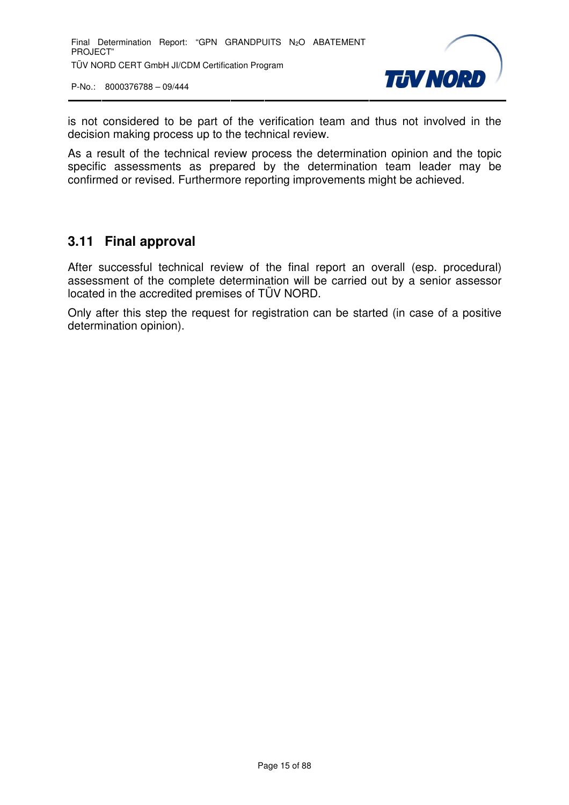

is not considered to be part of the verification team and thus not involved in the decision making process up to the technical review.

As a result of the technical review process the determination opinion and the topic specific assessments as prepared by the determination team leader may be confirmed or revised. Furthermore reporting improvements might be achieved.

# **3.11 Final approval**

After successful technical review of the final report an overall (esp. procedural) assessment of the complete determination will be carried out by a senior assessor located in the accredited premises of TÜV NORD.

Only after this step the request for registration can be started (in case of a positive determination opinion).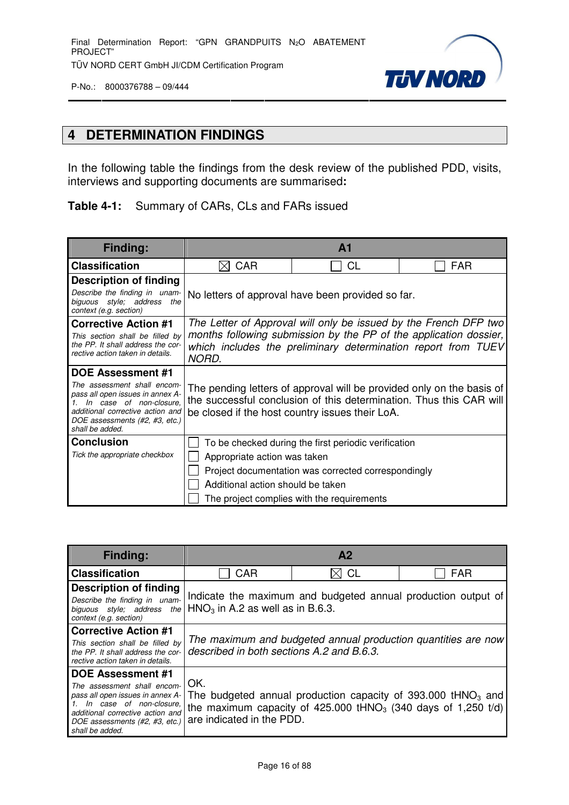

# **4 DETERMINATION FINDINGS**

In the following table the findings from the desk review of the published PDD, visits, interviews and supporting documents are summarised**:**

#### **Table 4-1:** Summary of CARs, CLs and FARs issued

| <b>Finding:</b>                                                                                                                                                                     | A <sub>1</sub>                                                                                                                                                                                                  |                                                     |                                                                                                                                              |
|-------------------------------------------------------------------------------------------------------------------------------------------------------------------------------------|-----------------------------------------------------------------------------------------------------------------------------------------------------------------------------------------------------------------|-----------------------------------------------------|----------------------------------------------------------------------------------------------------------------------------------------------|
| <b>Classification</b>                                                                                                                                                               | <b>CAR</b><br>⋉                                                                                                                                                                                                 | <b>CL</b>                                           | <b>FAR</b>                                                                                                                                   |
| Description of finding                                                                                                                                                              |                                                                                                                                                                                                                 |                                                     |                                                                                                                                              |
| Describe the finding in unam-<br>biguous style; address<br>the<br>context (e.g. section)                                                                                            | No letters of approval have been provided so far.                                                                                                                                                               |                                                     |                                                                                                                                              |
| <b>Corrective Action #1</b><br>This section shall be filled by<br>the PP. It shall address the cor-<br>rective action taken in details.                                             | The Letter of Approval will only be issued by the French DFP two<br>months following submission by the PP of the application dossier,<br>which includes the preliminary determination report from TUEV<br>NORD. |                                                     |                                                                                                                                              |
| <b>DOE Assessment #1</b>                                                                                                                                                            |                                                                                                                                                                                                                 |                                                     |                                                                                                                                              |
| The assessment shall encom-<br>pass all open issues in annex A-<br>In case of non-closure.<br>additional corrective action and<br>DOE assessments (#2, #3, etc.)<br>shall be added. |                                                                                                                                                                                                                 | be closed if the host country issues their LoA.     | The pending letters of approval will be provided only on the basis of<br>the successful conclusion of this determination. Thus this CAR will |
| <b>Conclusion</b>                                                                                                                                                                   | To be checked during the first periodic verification                                                                                                                                                            |                                                     |                                                                                                                                              |
| Tick the appropriate checkbox                                                                                                                                                       | Appropriate action was taken                                                                                                                                                                                    |                                                     |                                                                                                                                              |
|                                                                                                                                                                                     |                                                                                                                                                                                                                 | Project documentation was corrected correspondingly |                                                                                                                                              |
|                                                                                                                                                                                     | Additional action should be taken                                                                                                                                                                               |                                                     |                                                                                                                                              |
|                                                                                                                                                                                     |                                                                                                                                                                                                                 | The project complies with the requirements          |                                                                                                                                              |

| <b>Finding:</b>                                                                                                                                                                                                                                                                          | A <sub>2</sub>                                                                                             |                                                                           |  |
|------------------------------------------------------------------------------------------------------------------------------------------------------------------------------------------------------------------------------------------------------------------------------------------|------------------------------------------------------------------------------------------------------------|---------------------------------------------------------------------------|--|
| <b>Classification</b>                                                                                                                                                                                                                                                                    | CAR<br>CL<br><b>FAR</b>                                                                                    |                                                                           |  |
| <b>Description of finding</b><br>Describe the finding in unam-<br>biguous style; address<br>the I<br>context (e.g. section)                                                                                                                                                              | Indicate the maximum and budgeted annual production output of<br>$HNO3$ in A.2 as well as in B.6.3.        |                                                                           |  |
| <b>Corrective Action #1</b><br>This section shall be filled by<br>the PP. It shall address the cor-<br>rective action taken in details.                                                                                                                                                  | The maximum and budgeted annual production quantities are now<br>described in both sections A.2 and B.6.3. |                                                                           |  |
| <b>DOE Assessment #1</b><br>The assessment shall encom-<br>pass all open issues in annex A- The budgeted annual production capacity of 393.000 tHNO <sub>3</sub> and<br>In case of non-closure.<br>additional corrective action and<br>DOE assessments (#2, #3, etc.)<br>shall be added. | OK.<br>are indicated in the PDD.                                                                           | the maximum capacity of 425.000 tHNO <sub>3</sub> (340 days of 1,250 t/d) |  |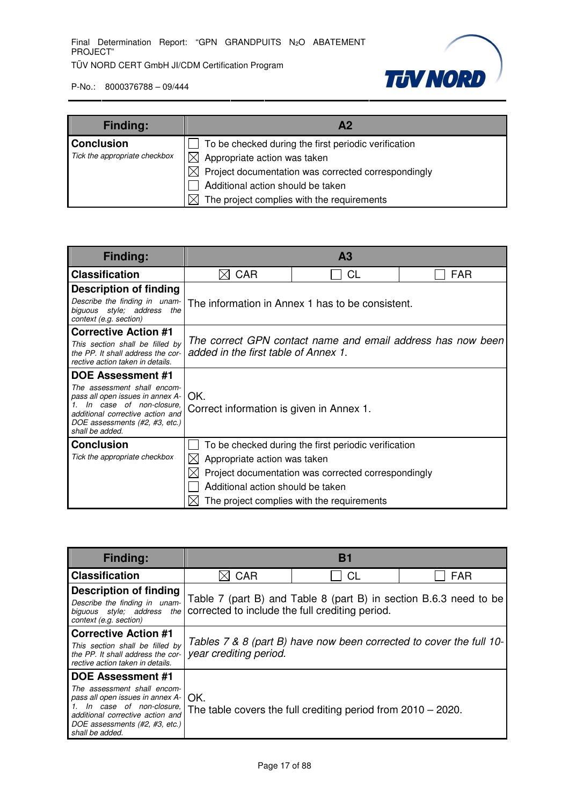

| <b>Finding:</b>               | Α2                                                        |  |  |
|-------------------------------|-----------------------------------------------------------|--|--|
| <b>Conclusion</b>             | To be checked during the first periodic verification      |  |  |
| Tick the appropriate checkbox | $\boxtimes$ Appropriate action was taken                  |  |  |
|                               | Project documentation was corrected correspondingly<br>ЖI |  |  |
|                               | Additional action should be taken                         |  |  |
|                               | The project complies with the requirements                |  |  |

| <b>Finding:</b>                                                                                                                                                                     | A <sub>3</sub>                                                                                      |                                                     |  |  |
|-------------------------------------------------------------------------------------------------------------------------------------------------------------------------------------|-----------------------------------------------------------------------------------------------------|-----------------------------------------------------|--|--|
| <b>Classification</b>                                                                                                                                                               | <b>CL</b><br><b>CAR</b><br><b>FAR</b><br>IХ                                                         |                                                     |  |  |
| <b>Description of finding</b>                                                                                                                                                       |                                                                                                     |                                                     |  |  |
| Describe the finding in unam-<br>biguous style; address<br>the<br>context (e.g. section)                                                                                            | The information in Annex 1 has to be consistent.                                                    |                                                     |  |  |
| <b>Corrective Action #1</b>                                                                                                                                                         |                                                                                                     |                                                     |  |  |
| This section shall be filled by<br>the PP. It shall address the cor-<br>rective action taken in details.                                                                            | The correct GPN contact name and email address has now been<br>added in the first table of Annex 1. |                                                     |  |  |
| DOE Assessment #1                                                                                                                                                                   |                                                                                                     |                                                     |  |  |
| The assessment shall encom-<br>pass all open issues in annex A-<br>In case of non-closure.<br>additional corrective action and<br>DOE assessments (#2, #3, etc.)<br>shall be added. | OK.<br>Correct information is given in Annex 1.                                                     |                                                     |  |  |
| <b>Conclusion</b>                                                                                                                                                                   | To be checked during the first periodic verification                                                |                                                     |  |  |
| Tick the appropriate checkbox                                                                                                                                                       | Appropriate action was taken                                                                        |                                                     |  |  |
|                                                                                                                                                                                     |                                                                                                     | Project documentation was corrected correspondingly |  |  |
|                                                                                                                                                                                     | Additional action should be taken                                                                   |                                                     |  |  |
|                                                                                                                                                                                     |                                                                                                     | The project complies with the requirements          |  |  |

| <b>Finding:</b>                                                                                                                                                                                                                | <b>B1</b>                                                                                                                                       |                                                                 |            |
|--------------------------------------------------------------------------------------------------------------------------------------------------------------------------------------------------------------------------------|-------------------------------------------------------------------------------------------------------------------------------------------------|-----------------------------------------------------------------|------------|
| <b>Classification</b>                                                                                                                                                                                                          | CAR                                                                                                                                             | СL                                                              | <b>FAR</b> |
| <b>Description of finding</b><br>Describe the finding in unam-<br>context (e.g. section)                                                                                                                                       | Table 7 (part B) and Table 8 (part B) in section B.6.3 need to be<br>biguous style; address the corrected to include the full crediting period. |                                                                 |            |
| <b>Corrective Action #1</b><br>This section shall be filled by<br>the PP. It shall address the cor-<br>rective action taken in details.                                                                                        | Tables 7 & 8 (part B) have now been corrected to cover the full 10-<br>year crediting period.                                                   |                                                                 |            |
| <b>DOE Assessment #1</b><br>The assessment shall encom-<br>pass all open issues in annex $A - \cup X$ .<br>1. In case of non-closure,<br>additional corrective action and<br>DOE assessments (#2, #3, etc.)<br>shall be added. |                                                                                                                                                 | The table covers the full crediting period from $2010 - 2020$ . |            |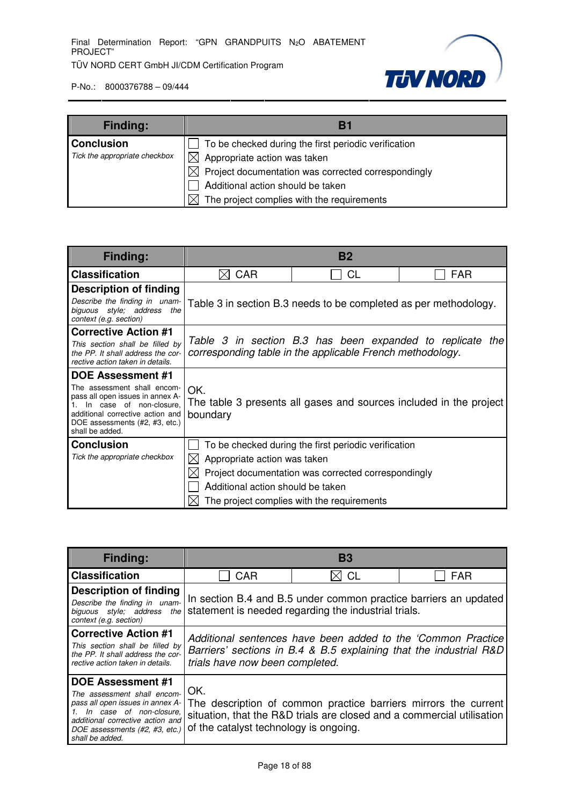

| <b>Finding:</b>               | B1                                                        |  |  |
|-------------------------------|-----------------------------------------------------------|--|--|
| <b>Conclusion</b>             | To be checked during the first periodic verification      |  |  |
| Tick the appropriate checkbox | $\boxtimes$ Appropriate action was taken                  |  |  |
|                               | Project documentation was corrected correspondingly<br>ЖI |  |  |
|                               | Additional action should be taken                         |  |  |
|                               | The project complies with the requirements                |  |  |

| <b>Finding:</b>                                                                                                                                                                     | <b>B2</b>                                                                                                              |                                                                  |                                                                    |
|-------------------------------------------------------------------------------------------------------------------------------------------------------------------------------------|------------------------------------------------------------------------------------------------------------------------|------------------------------------------------------------------|--------------------------------------------------------------------|
| <b>Classification</b>                                                                                                                                                               | <b>CAR</b><br>IXI                                                                                                      | CL                                                               | <b>FAR</b>                                                         |
| <b>Description of finding</b>                                                                                                                                                       |                                                                                                                        |                                                                  |                                                                    |
| Describe the finding in unam-<br>biguous style; address<br>the<br>context (e.g. section)                                                                                            |                                                                                                                        | Table 3 in section B.3 needs to be completed as per methodology. |                                                                    |
| <b>Corrective Action #1</b>                                                                                                                                                         |                                                                                                                        |                                                                  |                                                                    |
| This section shall be filled by<br>the PP. It shall address the cor-<br>rective action taken in details.                                                                            | Table 3 in section B.3 has been expanded to replicate the<br>corresponding table in the applicable French methodology. |                                                                  |                                                                    |
| <b>DOE Assessment #1</b>                                                                                                                                                            |                                                                                                                        |                                                                  |                                                                    |
| The assessment shall encom-<br>pass all open issues in annex A-<br>In case of non-closure.<br>additional corrective action and<br>DOE assessments (#2, #3, etc.)<br>shall be added. | OK.<br>boundary                                                                                                        |                                                                  | The table 3 presents all gases and sources included in the project |
| <b>Conclusion</b>                                                                                                                                                                   | To be checked during the first periodic verification                                                                   |                                                                  |                                                                    |
| Tick the appropriate checkbox                                                                                                                                                       | Appropriate action was taken<br>$\ltimes$                                                                              |                                                                  |                                                                    |
|                                                                                                                                                                                     |                                                                                                                        | Project documentation was corrected correspondingly              |                                                                    |
|                                                                                                                                                                                     | Additional action should be taken                                                                                      |                                                                  |                                                                    |
|                                                                                                                                                                                     |                                                                                                                        | The project complies with the requirements                       |                                                                    |

| <b>Finding:</b>                                                                                                                                                                                                    | <b>B3</b>                                                                                                                                                             |           |                                                                                                                                           |
|--------------------------------------------------------------------------------------------------------------------------------------------------------------------------------------------------------------------|-----------------------------------------------------------------------------------------------------------------------------------------------------------------------|-----------|-------------------------------------------------------------------------------------------------------------------------------------------|
| <b>Classification</b>                                                                                                                                                                                              | <b>CAR</b>                                                                                                                                                            | <b>CL</b> | <b>FAR</b>                                                                                                                                |
| <b>Description of finding</b><br>Describe the finding in unam-<br>biguous style: address the<br>context (e.g. section)                                                                                             | In section B.4 and B.5 under common practice barriers an updated<br>statement is needed regarding the industrial trials.                                              |           |                                                                                                                                           |
| <b>Corrective Action #1</b><br>This section shall be filled by<br>the PP. It shall address the cor-<br>rective action taken in details.                                                                            | Additional sentences have been added to the 'Common Practice<br>Barriers' sections in B.4 & B.5 explaining that the industrial R&D<br>trials have now been completed. |           |                                                                                                                                           |
| <b>DOE Assessment #1</b><br>The assessment shall encom-<br>pass all open issues in annex A-<br>1. In case of non-closure,<br>additional corrective action and<br>DOE assessments (#2, #3, etc.)<br>shall be added. | OK.<br>of the catalyst technology is ongoing.                                                                                                                         |           | The description of common practice barriers mirrors the current<br>situation, that the R&D trials are closed and a commercial utilisation |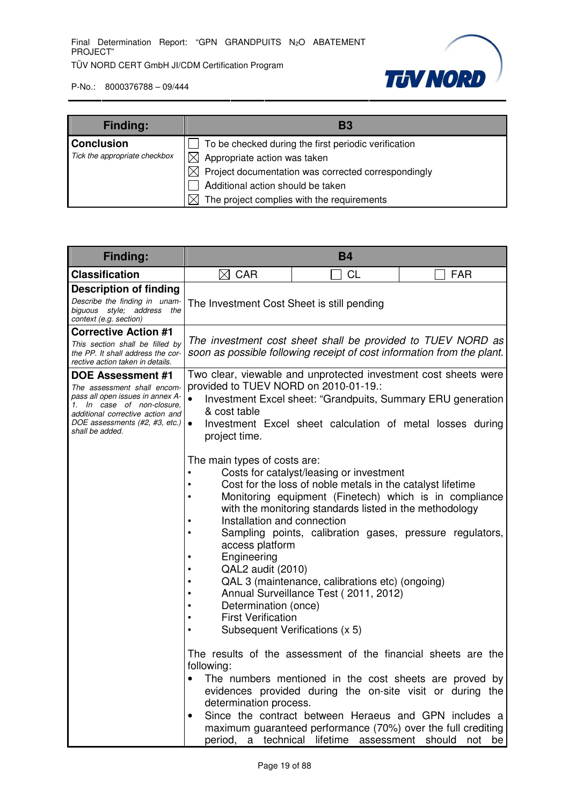

| <b>Finding:</b>               | В3                                                                |
|-------------------------------|-------------------------------------------------------------------|
| <b>Conclusion</b>             | To be checked during the first periodic verification              |
| Tick the appropriate checkbox | $\boxtimes$ Appropriate action was taken                          |
|                               | Project documentation was corrected correspondingly<br>$\times$ l |
|                               | Additional action should be taken                                 |
|                               | The project complies with the requirements                        |

| Finding:                                                                                                                                                                                                           | <b>B4</b>                                                                                                                                                                                                                                                                                                                                              |                                                                                                                                                                                                                                                                                                                                                                                                                                                                                                                                                                                                                                 |                                                                                                                               |
|--------------------------------------------------------------------------------------------------------------------------------------------------------------------------------------------------------------------|--------------------------------------------------------------------------------------------------------------------------------------------------------------------------------------------------------------------------------------------------------------------------------------------------------------------------------------------------------|---------------------------------------------------------------------------------------------------------------------------------------------------------------------------------------------------------------------------------------------------------------------------------------------------------------------------------------------------------------------------------------------------------------------------------------------------------------------------------------------------------------------------------------------------------------------------------------------------------------------------------|-------------------------------------------------------------------------------------------------------------------------------|
| <b>Classification</b>                                                                                                                                                                                              | $\boxtimes$ CAR                                                                                                                                                                                                                                                                                                                                        | <b>CL</b>                                                                                                                                                                                                                                                                                                                                                                                                                                                                                                                                                                                                                       | FAR                                                                                                                           |
| <b>Description of finding</b><br>Describe the finding in unam-<br>biguous style; address<br>the<br>context (e.g. section)                                                                                          | The Investment Cost Sheet is still pending                                                                                                                                                                                                                                                                                                             |                                                                                                                                                                                                                                                                                                                                                                                                                                                                                                                                                                                                                                 |                                                                                                                               |
| <b>Corrective Action #1</b><br>This section shall be filled by<br>the PP. It shall address the cor-<br>rective action taken in details.                                                                            |                                                                                                                                                                                                                                                                                                                                                        | The investment cost sheet shall be provided to TUEV NORD as<br>soon as possible following receipt of cost information from the plant.                                                                                                                                                                                                                                                                                                                                                                                                                                                                                           |                                                                                                                               |
| <b>DOE Assessment #1</b><br>The assessment shall encom-<br>pass all open issues in annex A-<br>1. In case of non-closure,<br>additional corrective action and<br>DOE assessments (#2, #3, etc.)<br>shall be added. | provided to TUEV NORD on 2010-01-19.:<br>& cost table<br>$\bullet$<br>project time.                                                                                                                                                                                                                                                                    | Two clear, viewable and unprotected investment cost sheets were<br>Investment Excel sheet: "Grandpuits, Summary ERU generation<br>Investment Excel sheet calculation of metal losses during                                                                                                                                                                                                                                                                                                                                                                                                                                     |                                                                                                                               |
|                                                                                                                                                                                                                    | The main types of costs are:<br>Installation and connection<br>٠<br>$\bullet$<br>access platform<br>Engineering<br>$\bullet$<br>QAL2 audit (2010)<br>$\bullet$<br>$\bullet$<br>$\bullet$<br>Determination (once)<br>٠<br><b>First Verification</b><br>$\bullet$<br>Subsequent Verifications (x 5)<br>$\bullet$<br>following:<br>determination process. | Costs for catalyst/leasing or investment<br>Cost for the loss of noble metals in the catalyst lifetime<br>Monitoring equipment (Finetech) which is in compliance<br>with the monitoring standards listed in the methodology<br>Sampling points, calibration gases, pressure regulators,<br>QAL 3 (maintenance, calibrations etc) (ongoing)<br>Annual Surveillance Test (2011, 2012)<br>The results of the assessment of the financial sheets are the<br>Since the contract between Heraeus and GPN includes a<br>maximum guaranteed performance (70%) over the full crediting<br>period, a technical lifetime assessment should | The numbers mentioned in the cost sheets are proved by<br>evidences provided during the on-site visit or during the<br>not be |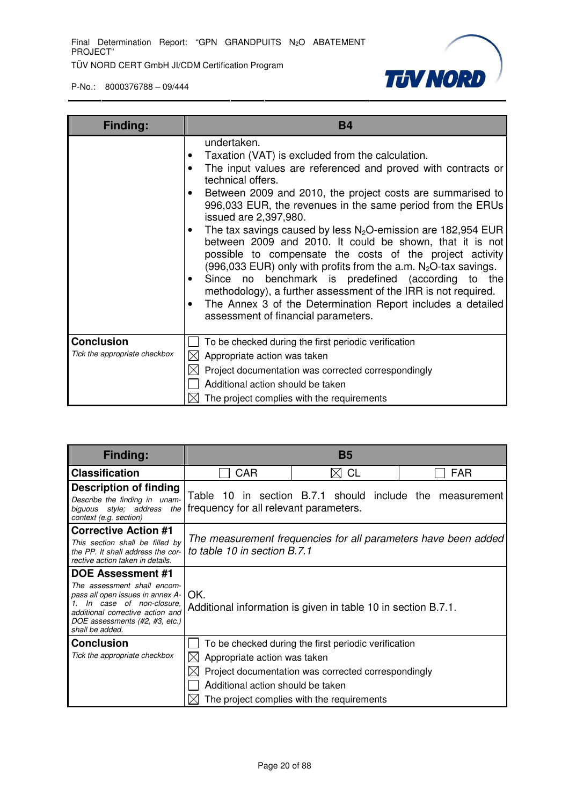

| <b>Finding:</b>                                    | <b>B4</b>                                                                                                                                                                                                                                                                                                                                                                                                                                                                                                                                                                                                                                                                                                                                                                                                |
|----------------------------------------------------|----------------------------------------------------------------------------------------------------------------------------------------------------------------------------------------------------------------------------------------------------------------------------------------------------------------------------------------------------------------------------------------------------------------------------------------------------------------------------------------------------------------------------------------------------------------------------------------------------------------------------------------------------------------------------------------------------------------------------------------------------------------------------------------------------------|
|                                                    | undertaken.<br>Taxation (VAT) is excluded from the calculation.<br>The input values are referenced and proved with contracts or<br>technical offers.<br>Between 2009 and 2010, the project costs are summarised to<br>996,033 EUR, the revenues in the same period from the ERUs<br>issued are 2,397,980.<br>The tax savings caused by less $N_2O$ -emission are 182,954 EUR<br>between 2009 and 2010. It could be shown, that it is not<br>possible to compensate the costs of the project activity<br>(996,033 EUR) only with profits from the a.m. $N_2O$ -tax savings.<br>Since no benchmark is predefined (according to the<br>methodology), a further assessment of the IRR is not required.<br>The Annex 3 of the Determination Report includes a detailed<br>assessment of financial parameters. |
| <b>Conclusion</b><br>Tick the appropriate checkbox | To be checked during the first periodic verification<br>Appropriate action was taken<br>IХ<br>Project documentation was corrected correspondingly<br>Additional action should be taken<br>The project complies with the requirements                                                                                                                                                                                                                                                                                                                                                                                                                                                                                                                                                                     |

| <b>Finding:</b>                                                                                                                                                                                          | <b>B5</b>                                                         |                                                                                                                                                           |                                                                |
|----------------------------------------------------------------------------------------------------------------------------------------------------------------------------------------------------------|-------------------------------------------------------------------|-----------------------------------------------------------------------------------------------------------------------------------------------------------|----------------------------------------------------------------|
| <b>Classification</b>                                                                                                                                                                                    | CAR                                                               | <b>CL</b>                                                                                                                                                 | <b>FAR</b>                                                     |
| <b>Description of finding</b><br>Describe the finding in unam-<br>style; address<br>biquous<br>the I<br>context (e.g. section)                                                                           | Table 10<br>frequency for all relevant parameters.                |                                                                                                                                                           | in section B.7.1 should include the measurement                |
| <b>Corrective Action #1</b><br>This section shall be filled by<br>the PP. It shall address the cor-<br>rective action taken in details.                                                                  | to table 10 in section B.7.1                                      |                                                                                                                                                           | The measurement frequencies for all parameters have been added |
| DOE Assessment #1<br>The assessment shall encom-<br>pass all open issues in annex A-<br>In case of non-closure.<br>additional corrective action and<br>DOE assessments (#2, #3, etc.)<br>shall be added. | OK.                                                               | Additional information is given in table 10 in section B.7.1.                                                                                             |                                                                |
| <b>Conclusion</b><br>Tick the appropriate checkbox                                                                                                                                                       | Appropriate action was taken<br>Additional action should be taken | To be checked during the first periodic verification<br>Project documentation was corrected correspondingly<br>The project complies with the requirements |                                                                |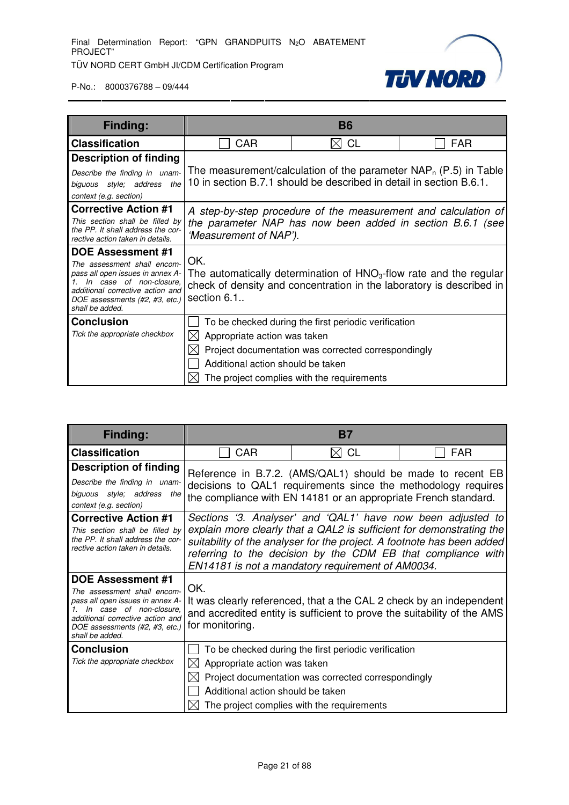

| Finding:                                                                                                                                                                                                        |                                                                          | <b>B6</b>                                                                                                                                                 |                                                                                                                                              |
|-----------------------------------------------------------------------------------------------------------------------------------------------------------------------------------------------------------------|--------------------------------------------------------------------------|-----------------------------------------------------------------------------------------------------------------------------------------------------------|----------------------------------------------------------------------------------------------------------------------------------------------|
| <b>Classification</b>                                                                                                                                                                                           | CAR                                                                      | <b>CL</b>                                                                                                                                                 | <b>FAR</b>                                                                                                                                   |
| <b>Description of finding</b><br>Describe the finding in unam-<br>biguous style; address the<br>context (e.g. section)                                                                                          |                                                                          | The measurement/calculation of the parameter $NAP_n$ (P.5) in Table<br>10 in section B.7.1 should be described in detail in section B.6.1.                |                                                                                                                                              |
| <b>Corrective Action #1</b><br>This section shall be filled by<br>the PP. It shall address the cor-<br>rective action taken in details.                                                                         | 'Measurement of NAP').                                                   | A step-by-step procedure of the measurement and calculation of<br>the parameter NAP has now been added in section B.6.1 (see                              |                                                                                                                                              |
| <b>DOE Assessment #1</b><br>The assessment shall encom-<br>pass all open issues in annex A-<br>In case of non-closure.<br>additional corrective action and<br>DOE assessments (#2, #3, etc.)<br>shall be added. | OK.<br>section 6.1.                                                      |                                                                                                                                                           | The automatically determination of $HNO3$ -flow rate and the regular<br>check of density and concentration in the laboratory is described in |
| <b>Conclusion</b><br>Tick the appropriate checkbox                                                                                                                                                              | Appropriate action was taken<br>IXI<br>Additional action should be taken | To be checked during the first periodic verification<br>Project documentation was corrected correspondingly<br>The project complies with the requirements |                                                                                                                                              |

| Finding:                                                                                                                                                                                                        | <b>B7</b>                                                         |                                                                                                                                                                                                                                                                                                                                    |            |
|-----------------------------------------------------------------------------------------------------------------------------------------------------------------------------------------------------------------|-------------------------------------------------------------------|------------------------------------------------------------------------------------------------------------------------------------------------------------------------------------------------------------------------------------------------------------------------------------------------------------------------------------|------------|
| <b>Classification</b>                                                                                                                                                                                           | <b>CAR</b>                                                        | $\bowtie$ CL                                                                                                                                                                                                                                                                                                                       | <b>FAR</b> |
| <b>Description of finding</b><br>Describe the finding in unam-<br>biguous style; address the<br>context (e.g. section)                                                                                          |                                                                   | Reference in B.7.2. (AMS/QAL1) should be made to recent EB<br>decisions to QAL1 requirements since the methodology requires<br>the compliance with EN 14181 or an appropriate French standard.                                                                                                                                     |            |
| <b>Corrective Action #1</b><br>This section shall be filled by<br>the PP. It shall address the cor-<br>rective action taken in details.                                                                         |                                                                   | Sections '3. Analyser' and 'QAL1' have now been adjusted to<br>explain more clearly that a QAL2 is sufficient for demonstrating the<br>suitability of the analyser for the project. A footnote has been added<br>referring to the decision by the CDM EB that compliance with<br>EN14181 is not a mandatory requirement of AM0034. |            |
| <b>DOE Assessment #1</b><br>The assessment shall encom-<br>pass all open issues in annex A-<br>In case of non-closure.<br>additional corrective action and<br>DOE assessments (#2, #3, etc.)<br>shall be added. | OK.<br>for monitoring.                                            | It was clearly referenced, that a the CAL 2 check by an independent<br>and accredited entity is sufficient to prove the suitability of the AMS                                                                                                                                                                                     |            |
| <b>Conclusion</b><br>Tick the appropriate checkbox                                                                                                                                                              | Appropriate action was taken<br>Additional action should be taken | To be checked during the first periodic verification<br>Project documentation was corrected correspondingly<br>The project complies with the requirements                                                                                                                                                                          |            |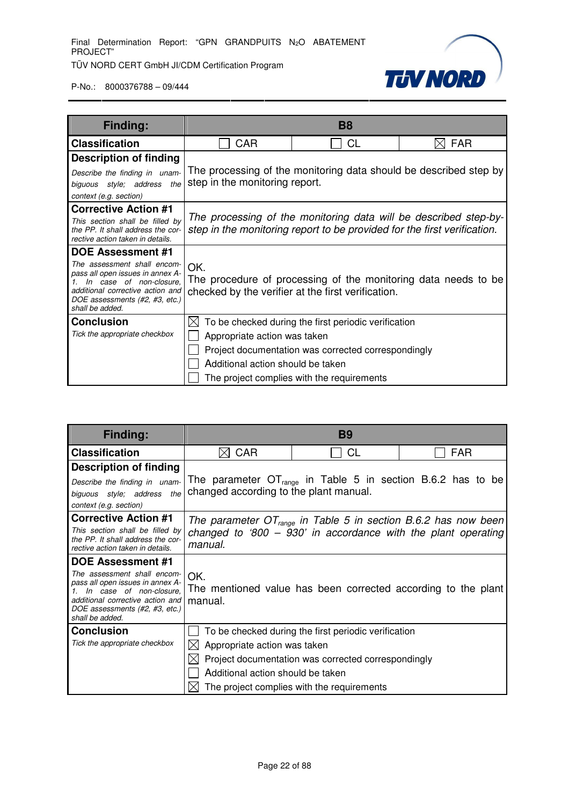

| Finding:                                                             |                                                                | <b>B8</b>                                                                                                                                    |                                                                   |
|----------------------------------------------------------------------|----------------------------------------------------------------|----------------------------------------------------------------------------------------------------------------------------------------------|-------------------------------------------------------------------|
| <b>Classification</b>                                                | CAR                                                            | <b>CL</b>                                                                                                                                    | <b>FAR</b>                                                        |
| <b>Description of finding</b>                                        |                                                                |                                                                                                                                              |                                                                   |
| Describe the finding in unam-                                        |                                                                |                                                                                                                                              | The processing of the monitoring data should be described step by |
| biguous style; address the                                           | step in the monitoring report.                                 |                                                                                                                                              |                                                                   |
| context (e.g. section)                                               |                                                                |                                                                                                                                              |                                                                   |
| <b>Corrective Action #1</b>                                          |                                                                |                                                                                                                                              |                                                                   |
| This section shall be filled by<br>the PP. It shall address the cor- |                                                                | The processing of the monitoring data will be described step-by-<br>step in the monitoring report to be provided for the first verification. |                                                                   |
| rective action taken in details.                                     |                                                                |                                                                                                                                              |                                                                   |
| <b>DOE Assessment #1</b>                                             |                                                                |                                                                                                                                              |                                                                   |
| The assessment shall encom-<br>pass all open issues in annex A-      | OK.                                                            |                                                                                                                                              |                                                                   |
| In case of non-closure,                                              | The procedure of processing of the monitoring data needs to be |                                                                                                                                              |                                                                   |
| additional corrective action and<br>DOE assessments (#2, #3, etc.)   |                                                                | checked by the verifier at the first verification.                                                                                           |                                                                   |
| shall be added.                                                      |                                                                |                                                                                                                                              |                                                                   |
| <b>Conclusion</b>                                                    | IХ                                                             | To be checked during the first periodic verification                                                                                         |                                                                   |
| Tick the appropriate checkbox                                        | Appropriate action was taken                                   |                                                                                                                                              |                                                                   |
|                                                                      |                                                                | Project documentation was corrected correspondingly                                                                                          |                                                                   |
|                                                                      | Additional action should be taken                              |                                                                                                                                              |                                                                   |
|                                                                      |                                                                | The project complies with the requirements                                                                                                   |                                                                   |

| <b>Finding:</b>                                                                                                                                                                                                 | <b>B9</b>                                                                |                                                                                                                                                           |                                                                                                                                        |
|-----------------------------------------------------------------------------------------------------------------------------------------------------------------------------------------------------------------|--------------------------------------------------------------------------|-----------------------------------------------------------------------------------------------------------------------------------------------------------|----------------------------------------------------------------------------------------------------------------------------------------|
| <b>Classification</b>                                                                                                                                                                                           | <b>CAR</b><br>$\mathsf{X}$                                               | CL                                                                                                                                                        | <b>FAR</b>                                                                                                                             |
| <b>Description of finding</b>                                                                                                                                                                                   |                                                                          |                                                                                                                                                           | The parameter $OT_{\text{rance}}$ in Table 5 in section B.6.2 has to be                                                                |
| Describe the finding in unam-<br>biguous style; address the<br>context (e.g. section)                                                                                                                           | changed according to the plant manual.                                   |                                                                                                                                                           |                                                                                                                                        |
| <b>Corrective Action #1</b><br>This section shall be filled by<br>the PP. It shall address the cor-<br>rective action taken in details.                                                                         | manual.                                                                  |                                                                                                                                                           | The parameter $OT_{range}$ in Table 5 in section B.6.2 has now been<br>changed to '800 $-$ 930' in accordance with the plant operating |
| <b>DOE Assessment #1</b><br>The assessment shall encom-<br>pass all open issues in annex A-<br>In case of non-closure.<br>additional corrective action and<br>DOE assessments (#2, #3, etc.)<br>shall be added. | OK.<br>manual.                                                           |                                                                                                                                                           | The mentioned value has been corrected according to the plant                                                                          |
| <b>Conclusion</b><br>Tick the appropriate checkbox                                                                                                                                                              | Appropriate action was taken<br>IХI<br>Additional action should be taken | To be checked during the first periodic verification<br>Project documentation was corrected correspondingly<br>The project complies with the requirements |                                                                                                                                        |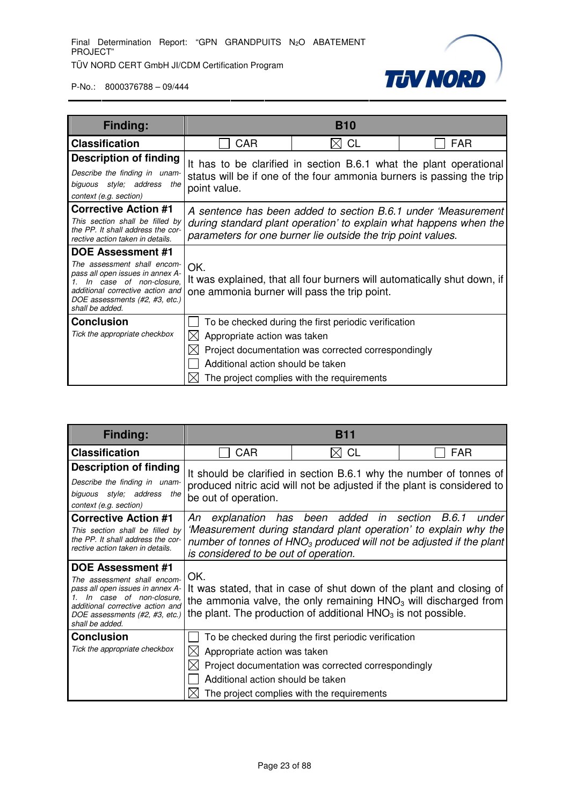

| Finding:                                                                                                                                                                                                        |                                                                                 | <b>B10</b>                                                                                                                                                |                                                                                                                                     |
|-----------------------------------------------------------------------------------------------------------------------------------------------------------------------------------------------------------------|---------------------------------------------------------------------------------|-----------------------------------------------------------------------------------------------------------------------------------------------------------|-------------------------------------------------------------------------------------------------------------------------------------|
| <b>Classification</b>                                                                                                                                                                                           | CAR                                                                             | $\rtimes$ CL                                                                                                                                              | <b>FAR</b>                                                                                                                          |
| <b>Description of finding</b><br>Describe the finding in unam-<br>biguous style; address the<br>context (e.g. section)                                                                                          | point value.                                                                    | It has to be clarified in section B.6.1 what the plant operational<br>status will be if one of the four ammonia burners is passing the trip               |                                                                                                                                     |
| <b>Corrective Action #1</b><br>This section shall be filled by<br>the PP. It shall address the cor-<br>rective action taken in details.                                                                         |                                                                                 | parameters for one burner lie outside the trip point values.                                                                                              | A sentence has been added to section B.6.1 under 'Measurement'<br>during standard plant operation' to explain what happens when the |
| <b>DOE Assessment #1</b><br>The assessment shall encom-<br>pass all open issues in annex A-<br>In case of non-closure.<br>additional corrective action and<br>DOE assessments (#2, #3, etc.)<br>shall be added. | OK.<br>one ammonia burner will pass the trip point.                             | It was explained, that all four burners will automatically shut down, if                                                                                  |                                                                                                                                     |
| <b>Conclusion</b><br>Tick the appropriate checkbox                                                                                                                                                              | Appropriate action was taken<br>IХI<br>IХI<br>Additional action should be taken | To be checked during the first periodic verification<br>Project documentation was corrected correspondingly<br>The project complies with the requirements |                                                                                                                                     |

| Finding:                                                                                                                                                                                                 |                                                                        | <b>B11</b>                                                                                                                                                |                                                                                                                                                    |
|----------------------------------------------------------------------------------------------------------------------------------------------------------------------------------------------------------|------------------------------------------------------------------------|-----------------------------------------------------------------------------------------------------------------------------------------------------------|----------------------------------------------------------------------------------------------------------------------------------------------------|
| <b>Classification</b>                                                                                                                                                                                    | CAR                                                                    | $\bowtie$ CL                                                                                                                                              | <b>FAR</b>                                                                                                                                         |
| <b>Description of finding</b><br>Describe the finding in unam-<br>biguous style; address the<br>context (e.g. section)                                                                                   | be out of operation.                                                   | produced nitric acid will not be adjusted if the plant is considered to                                                                                   | It should be clarified in section B.6.1 why the number of tonnes of                                                                                |
| <b>Corrective Action #1</b><br>This section shall be filled by<br>the PP. It shall address the cor-<br>rective action taken in details.                                                                  | is considered to be out of operation.                                  | An explanation has been added in section B.6.1                                                                                                            | under<br>'Measurement during standard plant operation' to explain why the<br>number of tonnes of $HNO3$ produced will not be adjusted if the plant |
| DOE Assessment #1<br>The assessment shall encom-<br>pass all open issues in annex A-<br>In case of non-closure.<br>additional corrective action and<br>DOE assessments (#2, #3, etc.)<br>shall be added. | OK.                                                                    | the ammonia valve, the only remaining $HNO3$ will discharged from<br>the plant. The production of additional $HNO3$ is not possible.                      | It was stated, that in case of shut down of the plant and closing of                                                                               |
| <b>Conclusion</b><br>Tick the appropriate checkbox                                                                                                                                                       | Appropriate action was taken<br>M<br>Additional action should be taken | To be checked during the first periodic verification<br>Project documentation was corrected correspondingly<br>The project complies with the requirements |                                                                                                                                                    |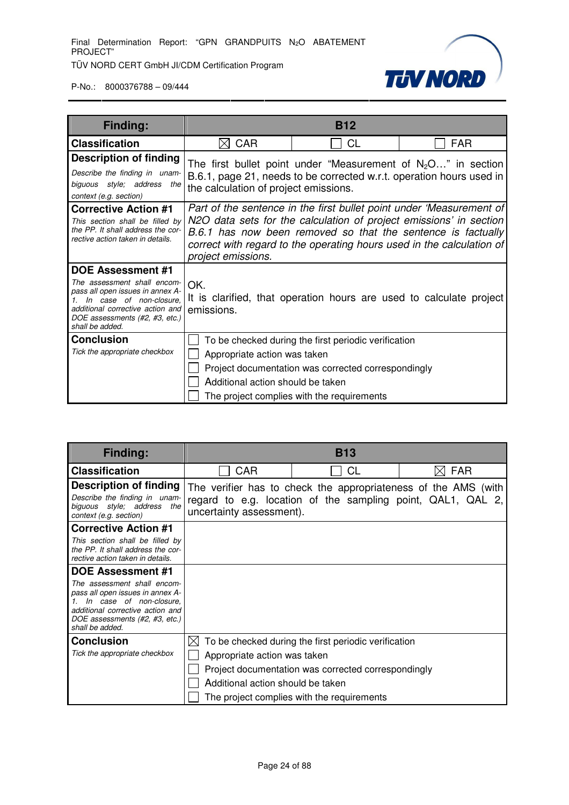

| Finding:                                                                                                                                                                                                              |                                                                   | <b>B12</b>                                                                                                                                                |                                                                                                                                                                                                                                                                                     |
|-----------------------------------------------------------------------------------------------------------------------------------------------------------------------------------------------------------------------|-------------------------------------------------------------------|-----------------------------------------------------------------------------------------------------------------------------------------------------------|-------------------------------------------------------------------------------------------------------------------------------------------------------------------------------------------------------------------------------------------------------------------------------------|
| <b>Classification</b>                                                                                                                                                                                                 | <b>CAR</b><br>IXI                                                 | CL                                                                                                                                                        | <b>FAR</b>                                                                                                                                                                                                                                                                          |
| <b>Description of finding</b><br>Describe the finding in unam-<br>biguous style; address the<br>context (e.g. section)                                                                                                | the calculation of project emissions.                             |                                                                                                                                                           | The first bullet point under "Measurement of $N_2O$ " in section<br>B.6.1, page 21, needs to be corrected w.r.t. operation hours used in                                                                                                                                            |
| <b>Corrective Action #1</b><br>This section shall be filled by<br>the PP. It shall address the cor-<br>rective action taken in details.                                                                               | project emissions.                                                |                                                                                                                                                           | Part of the sentence in the first bullet point under 'Measurement of<br>N2O data sets for the calculation of project emissions' in section<br>B.6.1 has now been removed so that the sentence is factually<br>correct with regard to the operating hours used in the calculation of |
| <b>DOE Assessment #1</b><br>The assessment shall encom-<br>pass all open issues in annex A-<br>In case of non-closure.<br>1.<br>additional corrective action and<br>DOE assessments (#2, #3, etc.)<br>shall be added. | OK.<br>emissions.                                                 |                                                                                                                                                           | It is clarified, that operation hours are used to calculate project                                                                                                                                                                                                                 |
| <b>Conclusion</b><br>Tick the appropriate checkbox                                                                                                                                                                    | Appropriate action was taken<br>Additional action should be taken | To be checked during the first periodic verification<br>Project documentation was corrected correspondingly<br>The project complies with the requirements |                                                                                                                                                                                                                                                                                     |

| <b>Finding:</b>                                                                                                                                                                     | <b>B13</b>                                                                                                                                                |                                                      |            |
|-------------------------------------------------------------------------------------------------------------------------------------------------------------------------------------|-----------------------------------------------------------------------------------------------------------------------------------------------------------|------------------------------------------------------|------------|
| <b>Classification</b>                                                                                                                                                               | CAR                                                                                                                                                       | СL                                                   | <b>FAR</b> |
| <b>Description of finding</b><br>Describe the finding in unam-<br>biguous style; address the<br>context (e.g. section)                                                              | The verifier has to check the appropriateness of the AMS (with<br>regard to e.g. location of the sampling point, QAL1, QAL 2,<br>uncertainty assessment). |                                                      |            |
| <b>Corrective Action #1</b>                                                                                                                                                         |                                                                                                                                                           |                                                      |            |
| This section shall be filled by<br>the PP. It shall address the cor-<br>rective action taken in details.                                                                            |                                                                                                                                                           |                                                      |            |
| <b>DOE Assessment #1</b>                                                                                                                                                            |                                                                                                                                                           |                                                      |            |
| The assessment shall encom-<br>pass all open issues in annex A-<br>In case of non-closure.<br>additional corrective action and<br>DOE assessments (#2, #3, etc.)<br>shall be added. |                                                                                                                                                           |                                                      |            |
| <b>Conclusion</b>                                                                                                                                                                   | $\mathbb{X}$                                                                                                                                              | To be checked during the first periodic verification |            |
| Tick the appropriate checkbox                                                                                                                                                       | Appropriate action was taken                                                                                                                              |                                                      |            |
|                                                                                                                                                                                     |                                                                                                                                                           | Project documentation was corrected correspondingly  |            |
|                                                                                                                                                                                     | Additional action should be taken                                                                                                                         |                                                      |            |
|                                                                                                                                                                                     |                                                                                                                                                           | The project complies with the requirements           |            |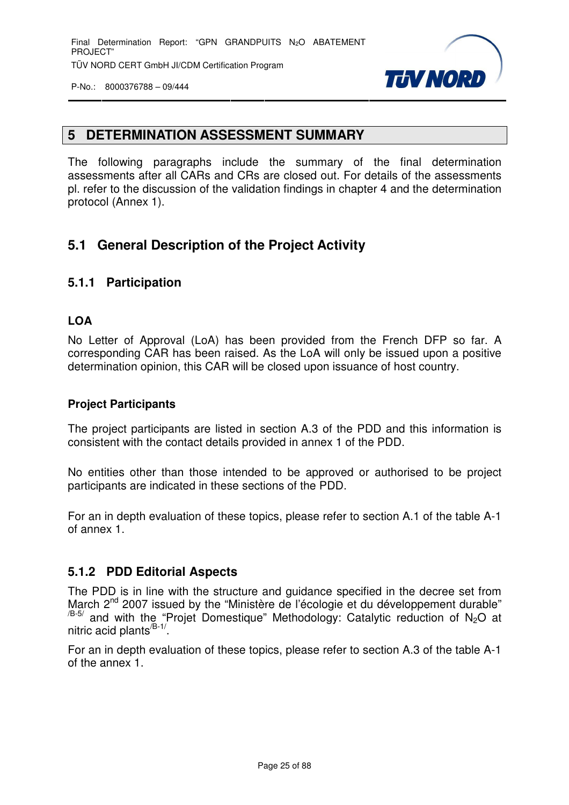

# **5 DETERMINATION ASSESSMENT SUMMARY**

The following paragraphs include the summary of the final determination assessments after all CARs and CRs are closed out. For details of the assessments pl. refer to the discussion of the validation findings in chapter 4 and the determination protocol (Annex 1).

# **5.1 General Description of the Project Activity**

#### **5.1.1 Participation**

#### **LOA**

No Letter of Approval (LoA) has been provided from the French DFP so far. A corresponding CAR has been raised. As the LoA will only be issued upon a positive determination opinion, this CAR will be closed upon issuance of host country.

#### **Project Participants**

The project participants are listed in section A.3 of the PDD and this information is consistent with the contact details provided in annex 1 of the PDD.

No entities other than those intended to be approved or authorised to be project participants are indicated in these sections of the PDD.

For an in depth evaluation of these topics, please refer to section A.1 of the table A-1 of annex 1.

#### **5.1.2 PDD Editorial Aspects**

The PDD is in line with the structure and guidance specified in the decree set from March 2<sup>nd</sup> 2007 issued by the "Ministère de l'écologie et du développement durable"  $/$ B-5/ and with the "Projet Domestique" Methodology: Catalytic reduction of N<sub>2</sub>O at nitric acid plants<sup>/B-1/</sup>.

For an in depth evaluation of these topics, please refer to section A.3 of the table A-1 of the annex 1.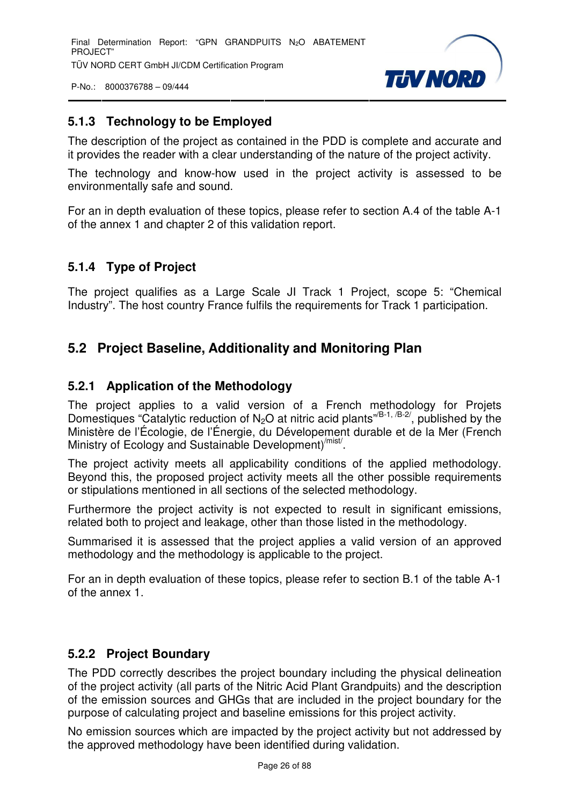Final Determination Report: "GPN GRANDPUITS N<sub>2</sub>O ABATEMENT PROJECT" TÜV NORD CERT GmbH JI/CDM Certification Program

P-No.: 8000376788 – 09/444



### **5.1.3 Technology to be Employed**

The description of the project as contained in the PDD is complete and accurate and it provides the reader with a clear understanding of the nature of the project activity.

The technology and know-how used in the project activity is assessed to be environmentally safe and sound.

For an in depth evaluation of these topics, please refer to section A.4 of the table A-1 of the annex 1 and chapter 2 of this validation report.

# **5.1.4 Type of Project**

The project qualifies as a Large Scale JI Track 1 Project, scope 5: "Chemical Industry". The host country France fulfils the requirements for Track 1 participation.

# **5.2 Project Baseline, Additionality and Monitoring Plan**

#### **5.2.1 Application of the Methodology**

The project applies to a valid version of a French methodology for Projets Domestiques "Catalytic reduction of N<sub>2</sub>O at nitric acid plants<sup>"/B-1, /B-2/, published by the</sup> Ministère de l'Écologie, de l'Énergie, du Dévelopement durable et de la Mer (French Ministry of Ecology and Sustainable Development)<sup>/mist/</sup>.

The project activity meets all applicability conditions of the applied methodology. Beyond this, the proposed project activity meets all the other possible requirements or stipulations mentioned in all sections of the selected methodology.

Furthermore the project activity is not expected to result in significant emissions, related both to project and leakage, other than those listed in the methodology.

Summarised it is assessed that the project applies a valid version of an approved methodology and the methodology is applicable to the project.

For an in depth evaluation of these topics, please refer to section B.1 of the table A-1 of the annex 1.

# **5.2.2 Project Boundary**

The PDD correctly describes the project boundary including the physical delineation of the project activity (all parts of the Nitric Acid Plant Grandpuits) and the description of the emission sources and GHGs that are included in the project boundary for the purpose of calculating project and baseline emissions for this project activity.

No emission sources which are impacted by the project activity but not addressed by the approved methodology have been identified during validation.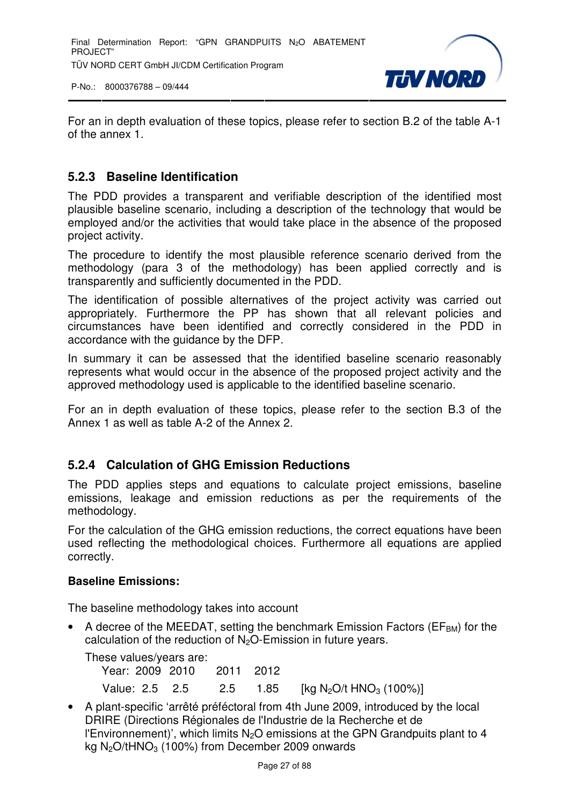

For an in depth evaluation of these topics, please refer to section B.2 of the table A-1 of the annex 1.

#### **5.2.3 Baseline Identification**

The PDD provides a transparent and verifiable description of the identified most plausible baseline scenario, including a description of the technology that would be employed and/or the activities that would take place in the absence of the proposed project activity.

The procedure to identify the most plausible reference scenario derived from the methodology (para 3 of the methodology) has been applied correctly and is transparently and sufficiently documented in the PDD.

The identification of possible alternatives of the project activity was carried out appropriately. Furthermore the PP has shown that all relevant policies and circumstances have been identified and correctly considered in the PDD in accordance with the guidance by the DFP.

In summary it can be assessed that the identified baseline scenario reasonably represents what would occur in the absence of the proposed project activity and the approved methodology used is applicable to the identified baseline scenario.

For an in depth evaluation of these topics, please refer to the section B.3 of the Annex 1 as well as table A-2 of the Annex 2.

# **5.2.4 Calculation of GHG Emission Reductions**

The PDD applies steps and equations to calculate project emissions, baseline emissions, leakage and emission reductions as per the requirements of the methodology.

For the calculation of the GHG emission reductions, the correct equations have been used reflecting the methodological choices. Furthermore all equations are applied correctly.

#### **Baseline Emissions:**

The baseline methodology takes into account

• A decree of the MEEDAT, setting the benchmark Emission Factors ( $EF<sub>BM</sub>$ ) for the calculation of the reduction of  $N_2O$ -Emission in future years.

These values/years are:

Year: 2009 2010 2011 2012

Value: 2.5 2.5 2.5 1.85 [kg N<sub>2</sub>O/t HNO<sub>3</sub> (100%)]

• A plant-specific 'arrêté préféctoral from 4th June 2009, introduced by the local DRIRE (Directions Régionales de l'Industrie de la Recherche et de l'Environnement)', which limits  $N<sub>2</sub>O$  emissions at the GPN Grandpuits plant to 4 kg  $N<sub>2</sub>O/tHNO<sub>3</sub>$  (100%) from December 2009 onwards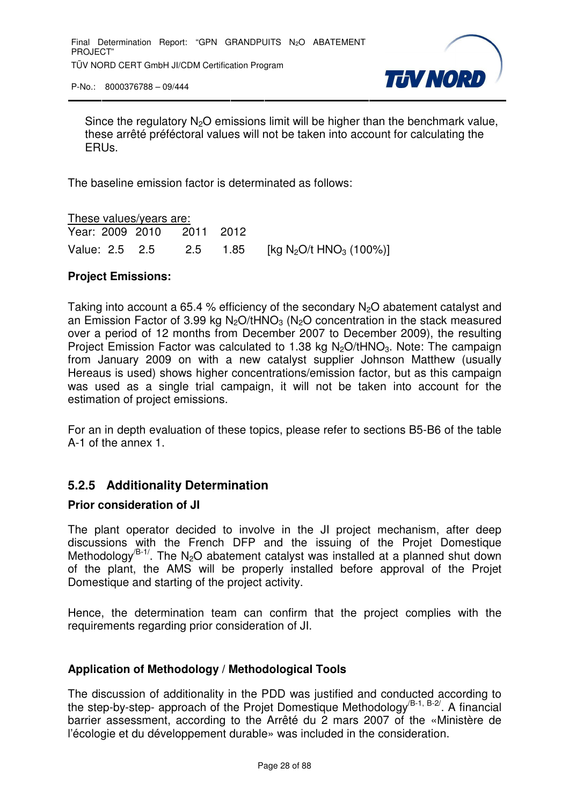

Since the regulatory  $N_2O$  emissions limit will be higher than the benchmark value, these arrêté préféctoral values will not be taken into account for calculating the ERUs.

The baseline emission factor is determinated as follows:

These values/years are: Year: 2009 2010 2011 2012 Value: 2.5 2.5 2.5 1.85 [kg N<sub>2</sub>O/t HNO<sub>3</sub> (100%)]

#### **Project Emissions:**

Taking into account a 65.4 % efficiency of the secondary  $N_2O$  abatement catalyst and an Emission Factor of 3.99 kg N<sub>2</sub>O/tHNO<sub>3</sub> (N<sub>2</sub>O concentration in the stack measured over a period of 12 months from December 2007 to December 2009), the resulting Project Emission Factor was calculated to 1.38 kg  $N_2O/tHNO_3$ . Note: The campaign from January 2009 on with a new catalyst supplier Johnson Matthew (usually Hereaus is used) shows higher concentrations/emission factor, but as this campaign was used as a single trial campaign, it will not be taken into account for the estimation of project emissions.

For an in depth evaluation of these topics, please refer to sections B5-B6 of the table A-1 of the annex 1.

#### **5.2.5 Additionality Determination**

#### **Prior consideration of JI**

The plant operator decided to involve in the JI project mechanism, after deep discussions with the French DFP and the issuing of the Projet Domestique Methodology<sup>/B-1/</sup>. The N<sub>2</sub>O abatement catalyst was installed at a planned shut down of the plant, the AMS will be properly installed before approval of the Projet Domestique and starting of the project activity.

Hence, the determination team can confirm that the project complies with the requirements regarding prior consideration of JI.

#### **Application of Methodology / Methodological Tools**

The discussion of additionality in the PDD was justified and conducted according to the step-by-step- approach of the Projet Domestique Methodology<sup> $B-1, B-2$ </sup>. A financial barrier assessment, according to the Arrêté du 2 mars 2007 of the «Ministère de l'écologie et du développement durable» was included in the consideration.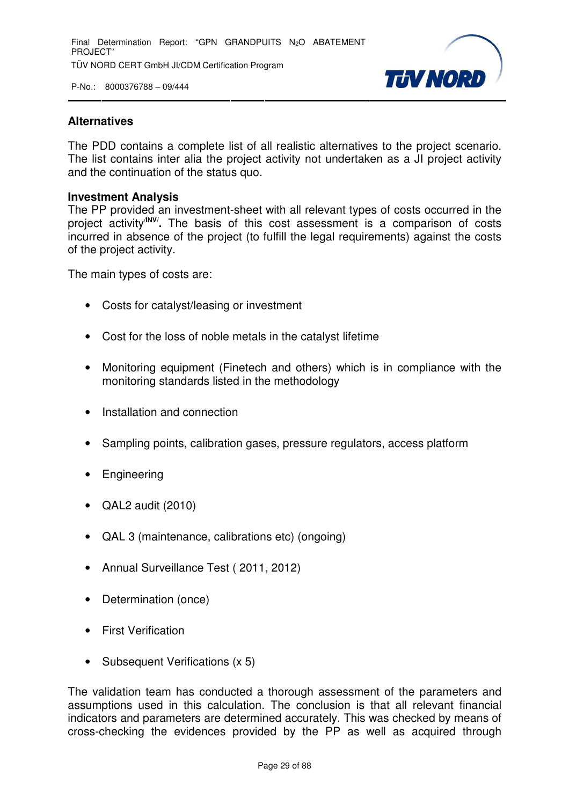

#### **Alternatives**

The PDD contains a complete list of all realistic alternatives to the project scenario. The list contains inter alia the project activity not undertaken as a JI project activity and the continuation of the status quo.

#### **Investment Analysis**

The PP provided an investment-sheet with all relevant types of costs occurred in the project activity**/INV/ .** The basis of this cost assessment is a comparison of costs incurred in absence of the project (to fulfill the legal requirements) against the costs of the project activity.

The main types of costs are:

- Costs for catalyst/leasing or investment
- Cost for the loss of noble metals in the catalyst lifetime
- Monitoring equipment (Finetech and others) which is in compliance with the monitoring standards listed in the methodology
- Installation and connection
- Sampling points, calibration gases, pressure regulators, access platform
- **Engineering**
- QAL2 audit (2010)
- QAL 3 (maintenance, calibrations etc) (ongoing)
- Annual Surveillance Test ( 2011, 2012)
- Determination (once)
- First Verification
- Subsequent Verifications (x 5)

The validation team has conducted a thorough assessment of the parameters and assumptions used in this calculation. The conclusion is that all relevant financial indicators and parameters are determined accurately. This was checked by means of cross-checking the evidences provided by the PP as well as acquired through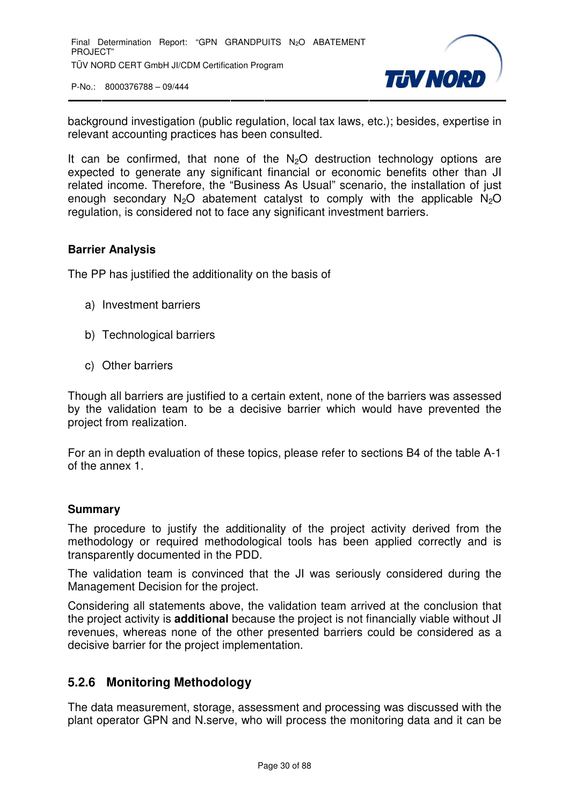

background investigation (public regulation, local tax laws, etc.); besides, expertise in relevant accounting practices has been consulted.

It can be confirmed, that none of the  $N<sub>2</sub>O$  destruction technology options are expected to generate any significant financial or economic benefits other than JI related income. Therefore, the "Business As Usual" scenario, the installation of just enough secondary  $N_2O$  abatement catalyst to comply with the applicable  $N_2O$ regulation, is considered not to face any significant investment barriers.

#### **Barrier Analysis**

The PP has justified the additionality on the basis of

- a) Investment barriers
- b) Technological barriers
- c) Other barriers

Though all barriers are justified to a certain extent, none of the barriers was assessed by the validation team to be a decisive barrier which would have prevented the project from realization.

For an in depth evaluation of these topics, please refer to sections B4 of the table A-1 of the annex 1.

#### **Summary**

The procedure to justify the additionality of the project activity derived from the methodology or required methodological tools has been applied correctly and is transparently documented in the PDD.

The validation team is convinced that the JI was seriously considered during the Management Decision for the project.

Considering all statements above, the validation team arrived at the conclusion that the project activity is **additional** because the project is not financially viable without JI revenues, whereas none of the other presented barriers could be considered as a decisive barrier for the project implementation.

#### **5.2.6 Monitoring Methodology**

The data measurement, storage, assessment and processing was discussed with the plant operator GPN and N.serve, who will process the monitoring data and it can be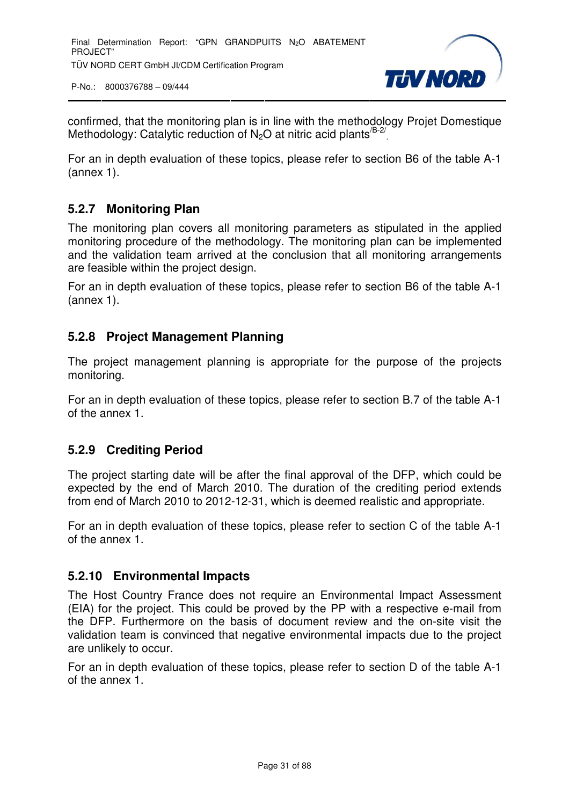

confirmed, that the monitoring plan is in line with the methodology Projet Domestique Methodology: Catalytic reduction of  $N_2O$  at nitric acid plants  $B-2/2$ 

For an in depth evaluation of these topics, please refer to section B6 of the table A-1 (annex 1).

# **5.2.7 Monitoring Plan**

The monitoring plan covers all monitoring parameters as stipulated in the applied monitoring procedure of the methodology. The monitoring plan can be implemented and the validation team arrived at the conclusion that all monitoring arrangements are feasible within the project design.

For an in depth evaluation of these topics, please refer to section B6 of the table A-1 (annex 1).

#### **5.2.8 Project Management Planning**

The project management planning is appropriate for the purpose of the projects monitoring.

For an in depth evaluation of these topics, please refer to section B.7 of the table A-1 of the annex 1.

#### **5.2.9 Crediting Period**

The project starting date will be after the final approval of the DFP, which could be expected by the end of March 2010. The duration of the crediting period extends from end of March 2010 to 2012-12-31, which is deemed realistic and appropriate.

For an in depth evaluation of these topics, please refer to section C of the table A-1 of the annex 1.

#### **5.2.10 Environmental Impacts**

The Host Country France does not require an Environmental Impact Assessment (EIA) for the project. This could be proved by the PP with a respective e-mail from the DFP. Furthermore on the basis of document review and the on-site visit the validation team is convinced that negative environmental impacts due to the project are unlikely to occur.

For an in depth evaluation of these topics, please refer to section D of the table A-1 of the annex 1.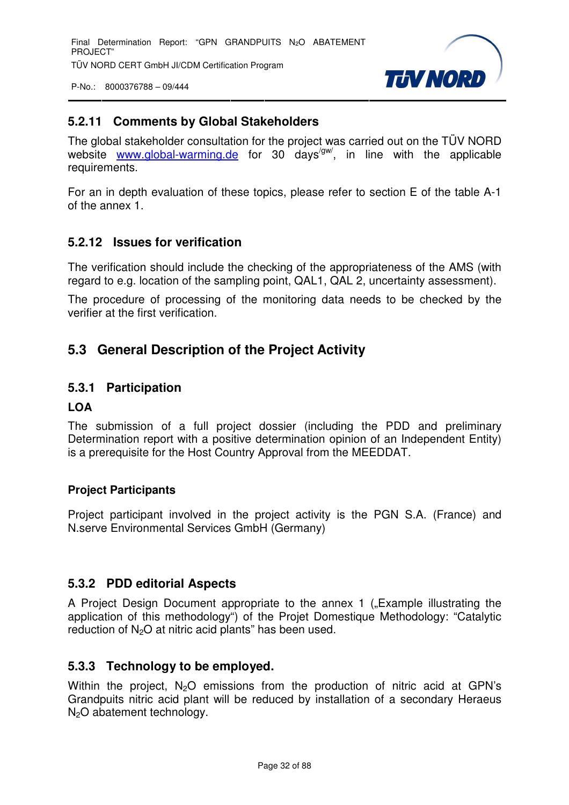

#### **5.2.11 Comments by Global Stakeholders**

The global stakeholder consultation for the project was carried out on the TÜV NORD website www.global-warming.de for 30 days<sup>/gw/</sup>, in line with the applicable requirements.

For an in depth evaluation of these topics, please refer to section E of the table A-1 of the annex 1.

#### **5.2.12 Issues for verification**

The verification should include the checking of the appropriateness of the AMS (with regard to e.g. location of the sampling point, QAL1, QAL 2, uncertainty assessment).

The procedure of processing of the monitoring data needs to be checked by the verifier at the first verification.

# **5.3 General Description of the Project Activity**

#### **5.3.1 Participation**

#### **LOA**

The submission of a full project dossier (including the PDD and preliminary Determination report with a positive determination opinion of an Independent Entity) is a prerequisite for the Host Country Approval from the MEEDDAT.

#### **Project Participants**

Project participant involved in the project activity is the PGN S.A. (France) and N.serve Environmental Services GmbH (Germany)

#### **5.3.2 PDD editorial Aspects**

A Project Design Document appropriate to the annex 1 ("Example illustrating the application of this methodology") of the Projet Domestique Methodology: "Catalytic reduction of  $N_2O$  at nitric acid plants" has been used.

#### **5.3.3 Technology to be employed.**

Within the project. N<sub>2</sub>O emissions from the production of nitric acid at GPN's Grandpuits nitric acid plant will be reduced by installation of a secondary Heraeus  $N<sub>2</sub>O$  abatement technology.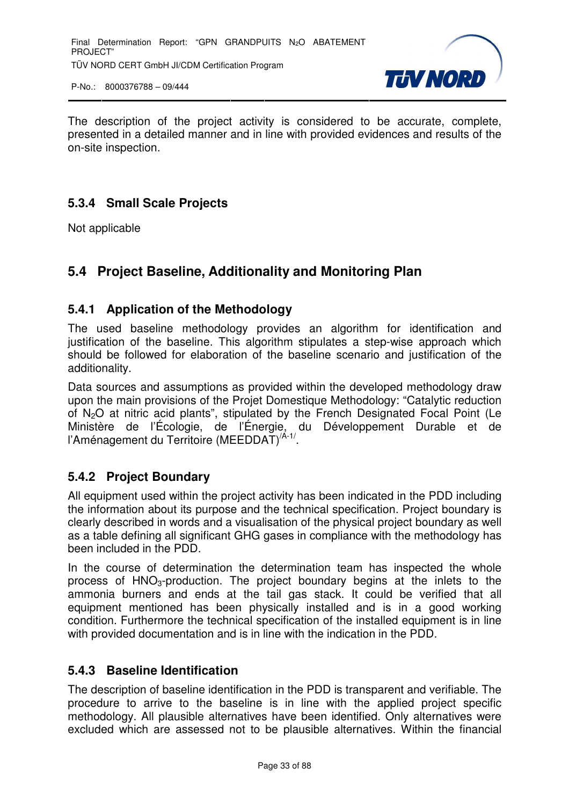

The description of the project activity is considered to be accurate, complete, presented in a detailed manner and in line with provided evidences and results of the on-site inspection.

# **5.3.4 Small Scale Projects**

Not applicable

# **5.4 Project Baseline, Additionality and Monitoring Plan**

#### **5.4.1 Application of the Methodology**

The used baseline methodology provides an algorithm for identification and justification of the baseline. This algorithm stipulates a step-wise approach which should be followed for elaboration of the baseline scenario and justification of the additionality.

Data sources and assumptions as provided within the developed methodology draw upon the main provisions of the Projet Domestique Methodology: "Catalytic reduction of N2O at nitric acid plants", stipulated by the French Designated Focal Point (Le Ministère de l'Écologie, de l'Énergie, du Développement Durable et de l'Aménagement du Territoire (MEEDDAT)<sup>/A-1/</sup>.

# **5.4.2 Project Boundary**

All equipment used within the project activity has been indicated in the PDD including the information about its purpose and the technical specification. Project boundary is clearly described in words and a visualisation of the physical project boundary as well as a table defining all significant GHG gases in compliance with the methodology has been included in the PDD.

In the course of determination the determination team has inspected the whole process of HNO<sub>3</sub>-production. The project boundary begins at the inlets to the ammonia burners and ends at the tail gas stack. It could be verified that all equipment mentioned has been physically installed and is in a good working condition. Furthermore the technical specification of the installed equipment is in line with provided documentation and is in line with the indication in the PDD.

#### **5.4.3 Baseline Identification**

The description of baseline identification in the PDD is transparent and verifiable. The procedure to arrive to the baseline is in line with the applied project specific methodology. All plausible alternatives have been identified. Only alternatives were excluded which are assessed not to be plausible alternatives. Within the financial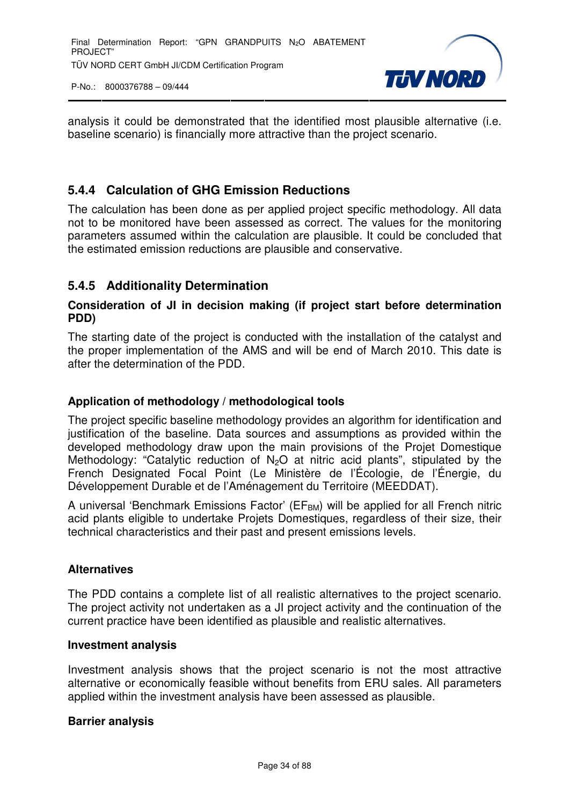

analysis it could be demonstrated that the identified most plausible alternative (i.e. baseline scenario) is financially more attractive than the project scenario.

# **5.4.4 Calculation of GHG Emission Reductions**

The calculation has been done as per applied project specific methodology. All data not to be monitored have been assessed as correct. The values for the monitoring parameters assumed within the calculation are plausible. It could be concluded that the estimated emission reductions are plausible and conservative.

#### **5.4.5 Additionality Determination**

#### **Consideration of JI in decision making (if project start before determination PDD)**

The starting date of the project is conducted with the installation of the catalyst and the proper implementation of the AMS and will be end of March 2010. This date is after the determination of the PDD.

#### **Application of methodology / methodological tools**

The project specific baseline methodology provides an algorithm for identification and justification of the baseline. Data sources and assumptions as provided within the developed methodology draw upon the main provisions of the Projet Domestique Methodology: "Catalytic reduction of  $N_2O$  at nitric acid plants", stipulated by the French Designated Focal Point (Le Ministère de l'Écologie, de l'Énergie, du Développement Durable et de l'Aménagement du Territoire (MEEDDAT).

A universal 'Benchmark Emissions Factor' (EF<sub>BM</sub>) will be applied for all French nitric acid plants eligible to undertake Projets Domestiques, regardless of their size, their technical characteristics and their past and present emissions levels.

#### **Alternatives**

The PDD contains a complete list of all realistic alternatives to the project scenario. The project activity not undertaken as a JI project activity and the continuation of the current practice have been identified as plausible and realistic alternatives.

#### **Investment analysis**

Investment analysis shows that the project scenario is not the most attractive alternative or economically feasible without benefits from ERU sales. All parameters applied within the investment analysis have been assessed as plausible.

#### **Barrier analysis**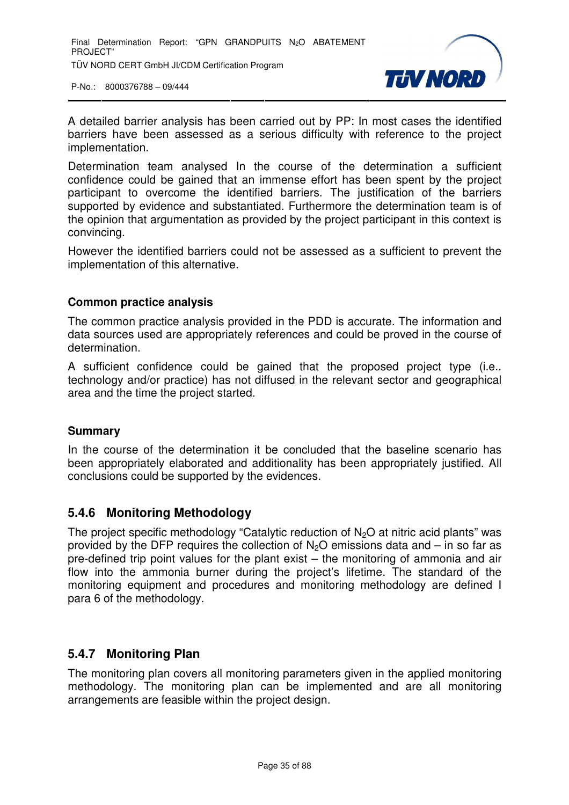

A detailed barrier analysis has been carried out by PP: In most cases the identified barriers have been assessed as a serious difficulty with reference to the project implementation.

Determination team analysed In the course of the determination a sufficient confidence could be gained that an immense effort has been spent by the project participant to overcome the identified barriers. The justification of the barriers supported by evidence and substantiated. Furthermore the determination team is of the opinion that argumentation as provided by the project participant in this context is convincing.

However the identified barriers could not be assessed as a sufficient to prevent the implementation of this alternative.

#### **Common practice analysis**

The common practice analysis provided in the PDD is accurate. The information and data sources used are appropriately references and could be proved in the course of determination.

A sufficient confidence could be gained that the proposed project type (i.e.. technology and/or practice) has not diffused in the relevant sector and geographical area and the time the project started.

#### **Summary**

In the course of the determination it be concluded that the baseline scenario has been appropriately elaborated and additionality has been appropriately justified. All conclusions could be supported by the evidences.

#### **5.4.6 Monitoring Methodology**

The project specific methodology "Catalytic reduction of  $N<sub>2</sub>O$  at nitric acid plants" was provided by the DFP requires the collection of  $N<sub>2</sub>O$  emissions data and – in so far as pre-defined trip point values for the plant exist – the monitoring of ammonia and air flow into the ammonia burner during the project's lifetime. The standard of the monitoring equipment and procedures and monitoring methodology are defined I para 6 of the methodology.

#### **5.4.7 Monitoring Plan**

The monitoring plan covers all monitoring parameters given in the applied monitoring methodology. The monitoring plan can be implemented and are all monitoring arrangements are feasible within the project design.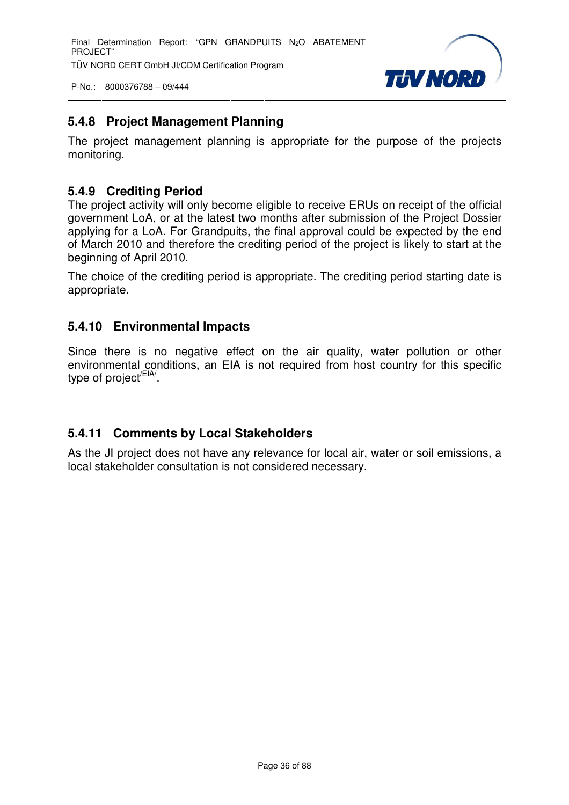Final Determination Report: "GPN GRANDPUITS N<sub>2</sub>O ABATEMENT PROJECT" TÜV NORD CERT GmbH JI/CDM Certification Program

P-No.: 8000376788 – 09/444



### **5.4.8 Project Management Planning**

The project management planning is appropriate for the purpose of the projects monitoring.

#### **5.4.9 Crediting Period**

The project activity will only become eligible to receive ERUs on receipt of the official government LoA, or at the latest two months after submission of the Project Dossier applying for a LoA. For Grandpuits, the final approval could be expected by the end of March 2010 and therefore the crediting period of the project is likely to start at the beginning of April 2010.

The choice of the crediting period is appropriate. The crediting period starting date is appropriate.

#### **5.4.10 Environmental Impacts**

Since there is no negative effect on the air quality, water pollution or other environmental conditions, an EIA is not required from host country for this specific type of project<sup>/EIA/</sup>.

# **5.4.11 Comments by Local Stakeholders**

As the JI project does not have any relevance for local air, water or soil emissions, a local stakeholder consultation is not considered necessary.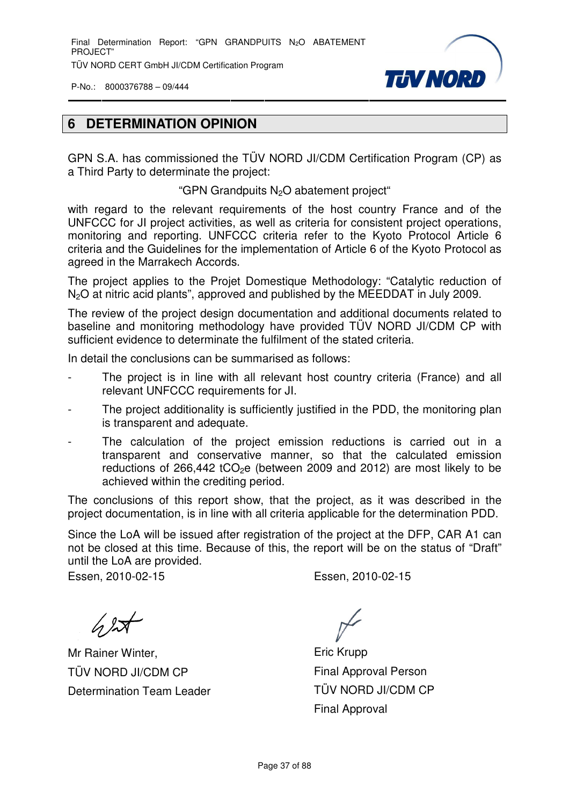Final Determination Report: "GPN GRANDPUITS N<sub>2</sub>O ABATEMENT PROJECT" TÜV NORD CERT GmbH JI/CDM Certification Program

P-No.: 8000376788 – 09/444



#### **6 DETERMINATION OPINION**

GPN S.A. has commissioned the TÜV NORD JI/CDM Certification Program (CP) as a Third Party to determinate the project:

"GPN Grandpuits N<sub>2</sub>O abatement project"

with regard to the relevant requirements of the host country France and of the UNFCCC for JI project activities, as well as criteria for consistent project operations, monitoring and reporting. UNFCCC criteria refer to the Kyoto Protocol Article 6 criteria and the Guidelines for the implementation of Article 6 of the Kyoto Protocol as agreed in the Marrakech Accords.

The project applies to the Projet Domestique Methodology: "Catalytic reduction of N<sub>2</sub>O at nitric acid plants", approved and published by the MEEDDAT in July 2009.

The review of the project design documentation and additional documents related to baseline and monitoring methodology have provided TÜV NORD JI/CDM CP with sufficient evidence to determinate the fulfilment of the stated criteria.

In detail the conclusions can be summarised as follows:

- The project is in line with all relevant host country criteria (France) and all relevant UNFCCC requirements for JI.
- The project additionality is sufficiently justified in the PDD, the monitoring plan is transparent and adequate.
- The calculation of the project emission reductions is carried out in a transparent and conservative manner, so that the calculated emission reductions of 266,442  $tCO<sub>2</sub>e$  (between 2009 and 2012) are most likely to be achieved within the crediting period.

The conclusions of this report show, that the project, as it was described in the project documentation, is in line with all criteria applicable for the determination PDD.

Since the LoA will be issued after registration of the project at the DFP, CAR A1 can not be closed at this time. Because of this, the report will be on the status of "Draft" until the LoA are provided.

Essen, 2010-02-15 Essen, 2010-02-15

 $\sqrt{2}$ 

Mr Rainer Winter, TÜV NORD JI/CDM CP Determination Team Leader

Eric Krupp Final Approval Person TÜV NORD JI/CDM CP Final Approval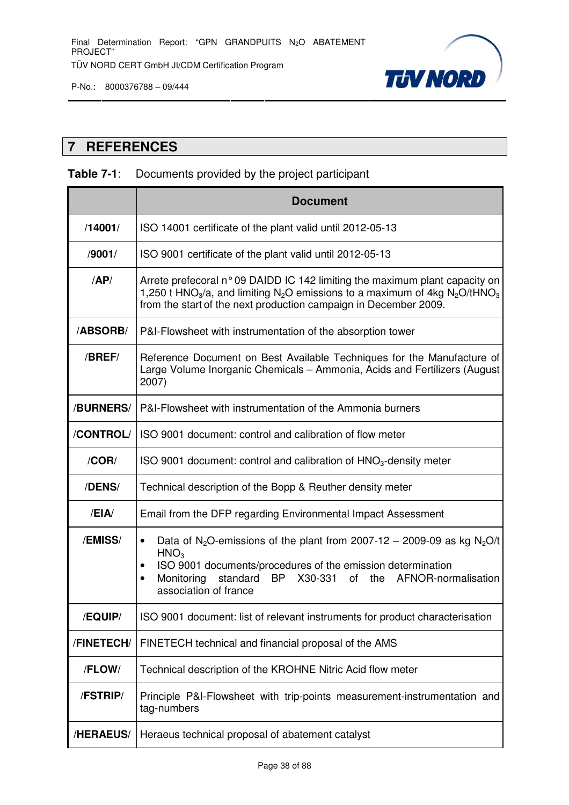

# **TJV NORD**

### **7 REFERENCES**

# **Table 7-1**: Documents provided by the project participant

|                 | <b>Document</b>                                                                                                                                                                                                                                                                                                               |  |  |  |  |  |
|-----------------|-------------------------------------------------------------------------------------------------------------------------------------------------------------------------------------------------------------------------------------------------------------------------------------------------------------------------------|--|--|--|--|--|
| /14001/         | ISO 14001 certificate of the plant valid until 2012-05-13                                                                                                                                                                                                                                                                     |  |  |  |  |  |
| /9001/          | ISO 9001 certificate of the plant valid until 2012-05-13                                                                                                                                                                                                                                                                      |  |  |  |  |  |
| AP/             | Arrete prefecoral n° 09 DAIDD IC 142 limiting the maximum plant capacity on<br>1,250 t HNO <sub>3</sub> /a, and limiting N <sub>2</sub> O emissions to a maximum of 4kg N <sub>2</sub> O/tHNO <sub>3</sub><br>from the start of the next production campaign in December 2009.                                                |  |  |  |  |  |
| <b>/ABSORB/</b> | P&I-Flowsheet with instrumentation of the absorption tower                                                                                                                                                                                                                                                                    |  |  |  |  |  |
| /BREF/          | Reference Document on Best Available Techniques for the Manufacture of<br>Large Volume Inorganic Chemicals - Ammonia, Acids and Fertilizers (August<br>2007)                                                                                                                                                                  |  |  |  |  |  |
| /BURNERS/       | P&I-Flowsheet with instrumentation of the Ammonia burners                                                                                                                                                                                                                                                                     |  |  |  |  |  |
| /CONTROL/       | ISO 9001 document: control and calibration of flow meter                                                                                                                                                                                                                                                                      |  |  |  |  |  |
| /COR/           | ISO 9001 document: control and calibration of $HNO3$ -density meter                                                                                                                                                                                                                                                           |  |  |  |  |  |
| /DENS/          | Technical description of the Bopp & Reuther density meter                                                                                                                                                                                                                                                                     |  |  |  |  |  |
| /EIA            | Email from the DFP regarding Environmental Impact Assessment                                                                                                                                                                                                                                                                  |  |  |  |  |  |
| /EMISS/         | Data of N <sub>2</sub> O-emissions of the plant from 2007-12 - 2009-09 as kg N <sub>2</sub> O/t<br>$\bullet$<br>HNO <sub>3</sub><br>ISO 9001 documents/procedures of the emission determination<br>$\bullet$<br>Monitoring<br>standard<br>X30-331<br>of the AFNOR-normalisation<br>BP .<br>$\bullet$<br>association of france |  |  |  |  |  |
| /EQUIP/         | ISO 9001 document: list of relevant instruments for product characterisation                                                                                                                                                                                                                                                  |  |  |  |  |  |
| /FINETECH/      | FINETECH technical and financial proposal of the AMS                                                                                                                                                                                                                                                                          |  |  |  |  |  |
| /FLOW/          | Technical description of the KROHNE Nitric Acid flow meter                                                                                                                                                                                                                                                                    |  |  |  |  |  |
| /FSTRIP/        | Principle P&I-Flowsheet with trip-points measurement-instrumentation and<br>tag-numbers                                                                                                                                                                                                                                       |  |  |  |  |  |
| /HERAEUS/       | Heraeus technical proposal of abatement catalyst                                                                                                                                                                                                                                                                              |  |  |  |  |  |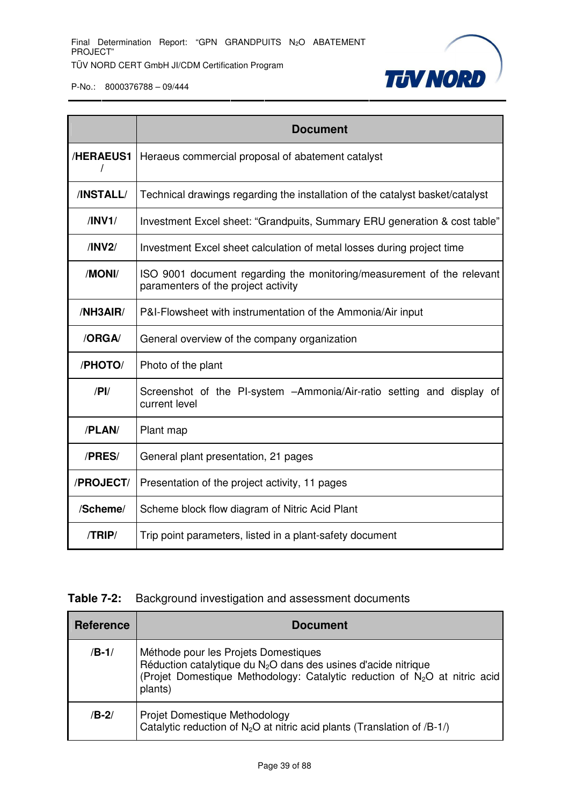

|                  | <b>Document</b>                                                                                               |
|------------------|---------------------------------------------------------------------------------------------------------------|
| <b>/HERAEUS1</b> | Heraeus commercial proposal of abatement catalyst                                                             |
| /INSTALL/        | Technical drawings regarding the installation of the catalyst basket/catalyst                                 |
| /INV1/           | Investment Excel sheet: "Grandpuits, Summary ERU generation & cost table"                                     |
| /INV2/           | Investment Excel sheet calculation of metal losses during project time                                        |
| /MONI/           | ISO 9001 document regarding the monitoring/measurement of the relevant<br>paramenters of the project activity |
| /NH3AIR/         | P&I-Flowsheet with instrumentation of the Ammonia/Air input                                                   |
| /ORGA/           | General overview of the company organization                                                                  |
| /PHOTO/          | Photo of the plant                                                                                            |
| $/$ P $\mid$     | Screenshot of the PI-system - Ammonia/Air-ratio setting and display of<br>current level                       |
| /PLAN/           | Plant map                                                                                                     |
| /PRES/           | General plant presentation, 21 pages                                                                          |
| /PROJECT/        | Presentation of the project activity, 11 pages                                                                |
| /Scheme/         | Scheme block flow diagram of Nitric Acid Plant                                                                |
| /TRIP/           | Trip point parameters, listed in a plant-safety document                                                      |

#### **Table 7-2:** Background investigation and assessment documents

| <b>Reference</b> | <b>Document</b>                                                                                                                                                                                                          |
|------------------|--------------------------------------------------------------------------------------------------------------------------------------------------------------------------------------------------------------------------|
| $/B-1/$          | Méthode pour les Projets Domestiques<br>Réduction catalytique du N <sub>2</sub> O dans des usines d'acide nitrique<br>(Projet Domestique Methodology: Catalytic reduction of N <sub>2</sub> O at nitric acid)<br>plants) |
| $/B-2/$          | Projet Domestique Methodology<br>Catalytic reduction of N <sub>2</sub> O at nitric acid plants (Translation of /B-1/)                                                                                                    |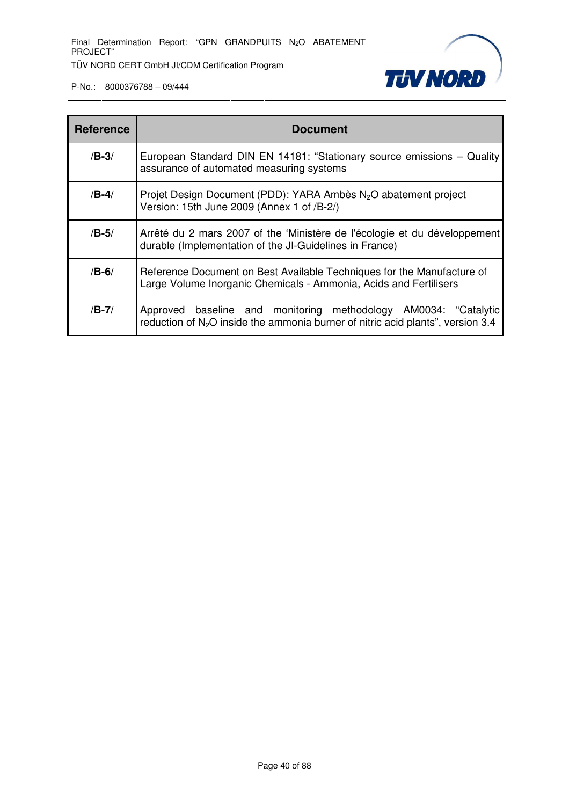

| <b>Reference</b> | <b>Document</b>                                                                                                                                      |
|------------------|------------------------------------------------------------------------------------------------------------------------------------------------------|
| $/B-3/$          | European Standard DIN EN 14181: "Stationary source emissions - Quality<br>assurance of automated measuring systems                                   |
| $/B-4/$          | Projet Design Document (PDD): YARA Ambès N <sub>2</sub> O abatement project<br>Version: 15th June 2009 (Annex 1 of /B-2/)                            |
| $/B-5/$          | Arrêté du 2 mars 2007 of the 'Ministère de l'écologie et du développement<br>durable (Implementation of the JI-Guidelines in France)                 |
| $/B-6/$          | Reference Document on Best Available Techniques for the Manufacture of<br>Large Volume Inorganic Chemicals - Ammonia, Acids and Fertilisers          |
| $/B-7/$          | Approved baseline and monitoring methodology AM0034: "Catalytic<br>reduction of $N_2O$ inside the ammonia burner of nitric acid plants", version 3.4 |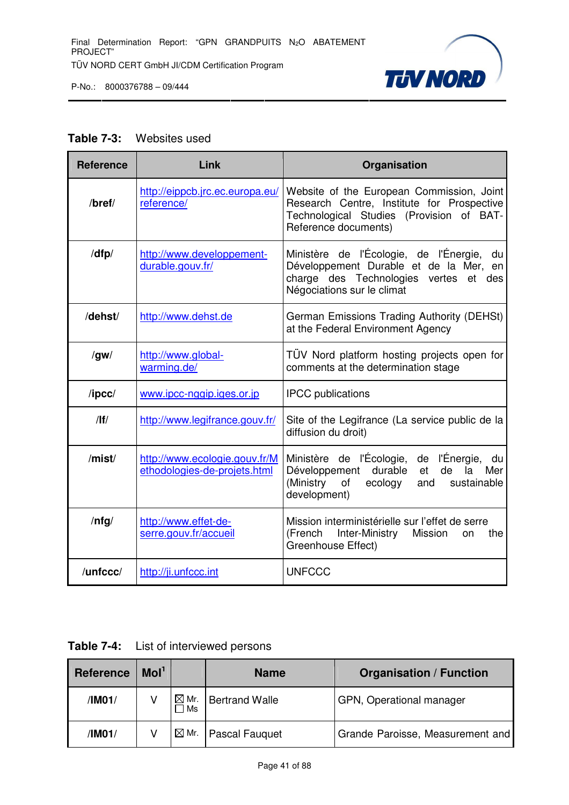

#### **Table 7-3:** Websites used

| <b>Reference</b> | Link                                                          | Organisation                                                                                                                                                             |
|------------------|---------------------------------------------------------------|--------------------------------------------------------------------------------------------------------------------------------------------------------------------------|
| /bref/           | http://eippcb.jrc.ec.europa.eu/<br>reference/                 | Website of the European Commission, Joint<br>Research Centre, Institute for Prospective<br>Technological Studies (Provision of BAT-<br>Reference documents)              |
| /dfp/            | http://www.developpement-<br>durable.gouv.fr/                 | Ministère de l'Écologie, de l'Énergie,<br>du<br>Développement Durable et de la Mer,<br>en<br>charge des Technologies<br>vertes<br>et des<br>Négociations sur le climat   |
| /dehst/          | http://www.dehst.de                                           | German Emissions Trading Authority (DEHSt)<br>at the Federal Environment Agency                                                                                          |
| /gw/             | http://www.global-<br>warming.de/                             | TÜV Nord platform hosting projects open for<br>comments at the determination stage                                                                                       |
| $\sqrt{I}$       | www.ipcc-nggip.iges.or.jp                                     | <b>IPCC</b> publications                                                                                                                                                 |
| $/$  f $/$       | http://www.legifrance.gouv.fr/                                | Site of the Legifrance (La service public de la<br>diffusion du droit)                                                                                                   |
| /mist/           | http://www.ecologie.gouv.fr/M<br>ethodologies-de-projets.html | Ministère de l'Écologie,<br>de l'Énergie,<br>du<br>durable<br>Développement<br>et<br>de<br>la<br>Mer<br>(Ministry<br>of<br>ecology<br>sustainable<br>and<br>development) |
| $/$ nfg $/$      | http://www.effet-de-<br>serre.gouv.fr/accueil                 | Mission interministérielle sur l'effet de serre<br>(French<br>Inter-Ministry<br>Mission<br>the<br>on<br>Greenhouse Effect)                                               |
| /unfccc/         | http://ji.unfccc.int                                          | <b>UNFCCC</b>                                                                                                                                                            |

| <b>Table 7-4:</b> | List of interviewed persons |
|-------------------|-----------------------------|
|-------------------|-----------------------------|

| <b>Reference</b> | Mol <sup>1</sup> |                        | <b>Name</b>           | <b>Organisation / Function</b>   |
|------------------|------------------|------------------------|-----------------------|----------------------------------|
| /IM01/           |                  | $\boxtimes$ Mr.<br>⊺Ms | <b>Bertrand Walle</b> | GPN, Operational manager         |
| /IM01/           |                  | $\boxtimes$ Mr.        | <b>Pascal Fauguet</b> | Grande Paroisse, Measurement and |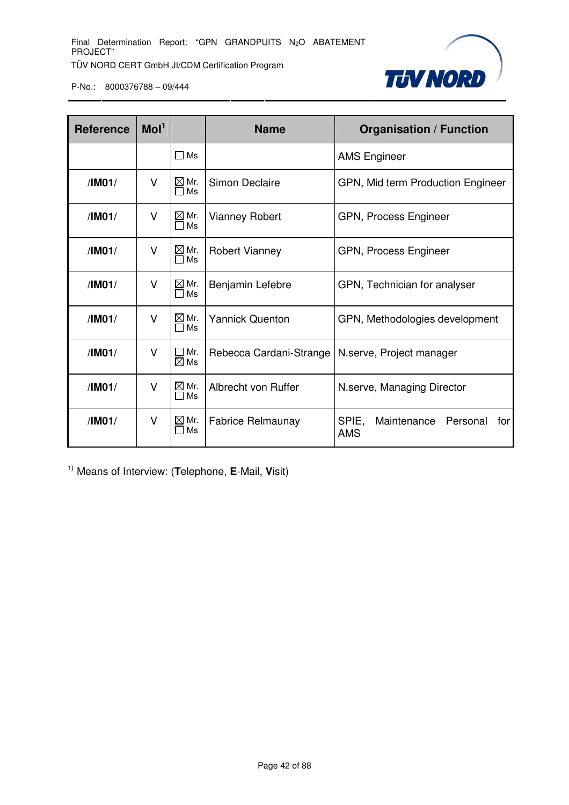

| <b>Reference</b> | Mol <sup>1</sup>           |                                 | <b>Name</b>              | <b>Organisation / Function</b>                        |  |  |  |
|------------------|----------------------------|---------------------------------|--------------------------|-------------------------------------------------------|--|--|--|
|                  |                            | $\square$ Ms                    |                          | <b>AMS Engineer</b>                                   |  |  |  |
| /IM01/           | V                          | $\boxtimes$ Mr.<br>Ms           | Simon Declaire           | GPN, Mid term Production Engineer                     |  |  |  |
| /IM01/           | V                          | $\boxtimes$ Mr.<br>$\Box$ Ms    | <b>Vianney Robert</b>    | GPN, Process Engineer                                 |  |  |  |
| /IM01/           | $\boxtimes$ Mr.<br>V<br>Ms |                                 | <b>Robert Vianney</b>    | GPN, Process Engineer                                 |  |  |  |
| /IM01/           | V                          | $\boxtimes$ Mr.<br>Ms           | Benjamin Lefebre         | GPN, Technician for analyser                          |  |  |  |
| /IM01/           | V                          | $\boxtimes$ Mr.<br>$\Box$ Ms    | <b>Yannick Quenton</b>   | GPN, Methodologies development                        |  |  |  |
| /IM01/           | V                          | $\square$ Mr.<br>$\boxtimes$ Ms | Rebecca Cardani-Strange  | N.serve, Project manager                              |  |  |  |
| /IM01/           | V                          | $\boxtimes$ Mr.<br>Ms           | Albrecht von Ruffer      | N.serve, Managing Director                            |  |  |  |
| /IM01/           | $\vee$                     | $\boxtimes$ Mr.<br>Ms           | <b>Fabrice Relmaunay</b> | SPIE,<br>Maintenance<br>Personal<br>for<br><b>AMS</b> |  |  |  |

1) Means of Interview: (**T**elephone, **E**-Mail, **V**isit)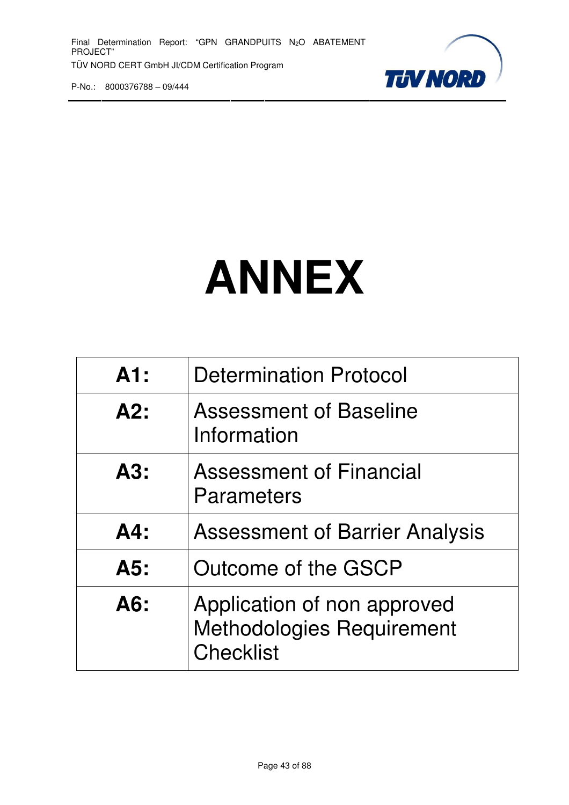

# **ANNEX**

| A1:    | <b>Determination Protocol</b>                                                       |
|--------|-------------------------------------------------------------------------------------|
| A2:    | Assessment of Baseline<br>Information                                               |
| A3:    | <b>Assessment of Financial</b><br>Parameters                                        |
| $AA$ : | <b>Assessment of Barrier Analysis</b>                                               |
| A5:    | Outcome of the GSCP                                                                 |
| A6:    | Application of non approved<br><b>Methodologies Requirement</b><br><b>Checklist</b> |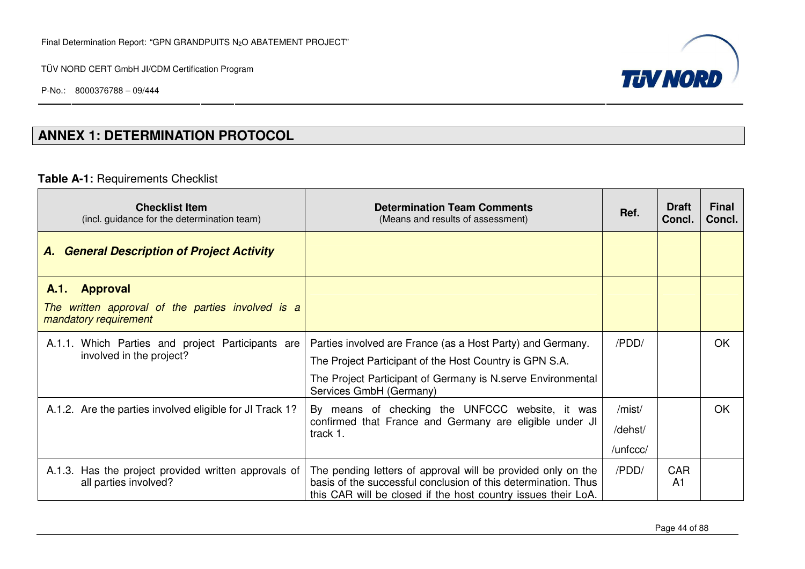P-No.: 8000376788 – 09/444



# **ANNEX 1: DETERMINATION PROTOCOL**

#### **Table A-1:** Requirements Checklist

| <b>Checklist Item</b><br>(incl. guidance for the determination team)             | <b>Determination Team Comments</b><br>(Means and results of assessment)                                                                                                                         | Ref.     | <b>Draft</b><br>Concl. | <b>Final</b><br>Concl. |
|----------------------------------------------------------------------------------|-------------------------------------------------------------------------------------------------------------------------------------------------------------------------------------------------|----------|------------------------|------------------------|
| <b>A. General Description of Project Activity</b>                                |                                                                                                                                                                                                 |          |                        |                        |
| <b>Approval</b><br>A.1.                                                          |                                                                                                                                                                                                 |          |                        |                        |
| The written approval of the parties involved is a<br>mandatory requirement       |                                                                                                                                                                                                 |          |                        |                        |
| A.1.1. Which Parties and project Participants are                                | Parties involved are France (as a Host Party) and Germany.                                                                                                                                      | /PDD/    |                        | <b>OK</b>              |
| involved in the project?                                                         | The Project Participant of the Host Country is GPN S.A.                                                                                                                                         |          |                        |                        |
|                                                                                  | The Project Participant of Germany is N.serve Environmental<br>Services GmbH (Germany)                                                                                                          |          |                        |                        |
| A.1.2. Are the parties involved eligible for JI Track 1?                         | By means of checking the UNFCCC website, it was                                                                                                                                                 | /mist/   |                        | <b>OK</b>              |
|                                                                                  | confirmed that France and Germany are eligible under JI<br>track 1.                                                                                                                             | /dehst/  |                        |                        |
|                                                                                  |                                                                                                                                                                                                 | /unfccc/ |                        |                        |
| Has the project provided written approvals of<br>A.1.3.<br>all parties involved? | The pending letters of approval will be provided only on the<br>basis of the successful conclusion of this determination. Thus<br>this CAR will be closed if the host country issues their LoA. | /PDD/    | <b>CAR</b><br>A1       |                        |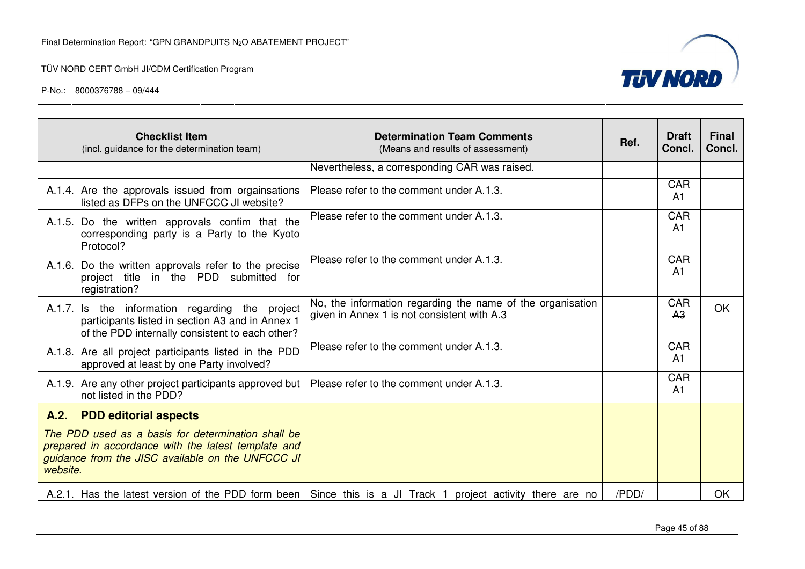

| <b>Checklist Item</b><br>(incl. guidance for the determination team)                                                                                                       | <b>Determination Team Comments</b><br>(Means and results of assessment)                                       | Ref.  | <b>Draft</b><br>Concl.       | <b>Final</b><br>Concl. |
|----------------------------------------------------------------------------------------------------------------------------------------------------------------------------|---------------------------------------------------------------------------------------------------------------|-------|------------------------------|------------------------|
|                                                                                                                                                                            | Nevertheless, a corresponding CAR was raised.                                                                 |       |                              |                        |
| A.1.4. Are the approvals issued from orgainsations<br>listed as DFPs on the UNFCCC JI website?                                                                             | Please refer to the comment under A.1.3.                                                                      |       | <b>CAR</b><br>A <sub>1</sub> |                        |
| A.1.5. Do the written approvals confim that the<br>corresponding party is a Party to the Kyoto<br>Protocol?                                                                | Please refer to the comment under A.1.3.                                                                      |       | <b>CAR</b><br>A <sub>1</sub> |                        |
| A.1.6. Do the written approvals refer to the precise<br>project title in the PDD submitted for<br>registration?                                                            | Please refer to the comment under A.1.3.                                                                      |       | CAR<br>A <sub>1</sub>        |                        |
| A.1.7. Is the information regarding the project<br>participants listed in section A3 and in Annex 1<br>of the PDD internally consistent to each other?                     | No, the information regarding the name of the organisation<br>given in Annex 1 is not consistent with A.3     |       | <b>GAR</b><br>A <sub>3</sub> | OK                     |
| A.1.8. Are all project participants listed in the PDD<br>approved at least by one Party involved?                                                                          | Please refer to the comment under A.1.3.                                                                      |       | <b>CAR</b><br>A <sub>1</sub> |                        |
| A.1.9. Are any other project participants approved but<br>not listed in the PDD?                                                                                           | Please refer to the comment under A.1.3.                                                                      |       | <b>CAR</b><br>A <sub>1</sub> |                        |
| A.2. PDD editorial aspects                                                                                                                                                 |                                                                                                               |       |                              |                        |
| The PDD used as a basis for determination shall be<br>prepared in accordance with the latest template and<br>guidance from the JISC available on the UNFCCC JI<br>website. |                                                                                                               |       |                              |                        |
|                                                                                                                                                                            | A.2.1. Has the latest version of the PDD form been   Since this is a JI Track 1 project activity there are no | /PDD/ |                              | OK                     |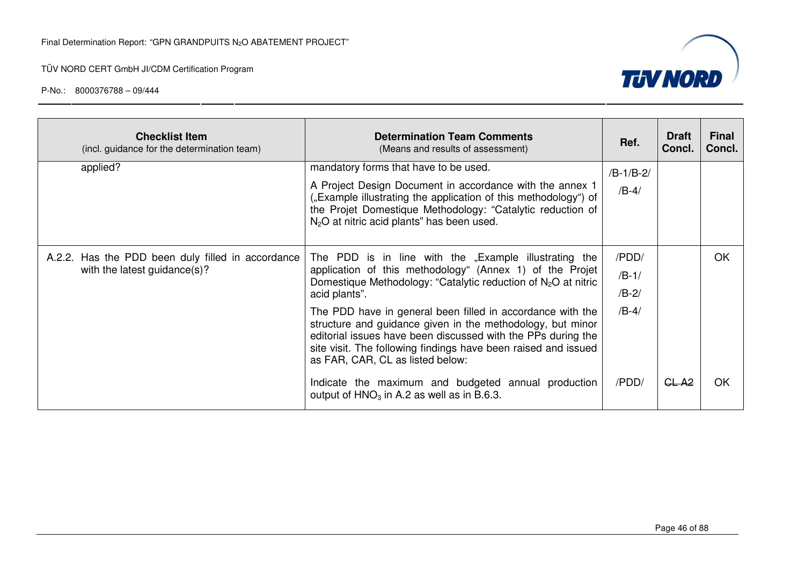

| <b>Checklist Item</b><br>(incl. guidance for the determination team)              | <b>Determination Team Comments</b><br>(Means and results of assessment)                                                                                                                                                                                                                        | Ref.                   | <b>Draft</b><br>Concl. | Final<br>Concl. |
|-----------------------------------------------------------------------------------|------------------------------------------------------------------------------------------------------------------------------------------------------------------------------------------------------------------------------------------------------------------------------------------------|------------------------|------------------------|-----------------|
| applied?                                                                          | mandatory forms that have to be used.<br>A Project Design Document in accordance with the annex 1<br>("Example illustrating the application of this methodology") of<br>the Projet Domestique Methodology: "Catalytic reduction of                                                             | $/B-1/B-2/$<br>$/B-4/$ |                        |                 |
|                                                                                   | $N2O$ at nitric acid plants" has been used.                                                                                                                                                                                                                                                    |                        |                        |                 |
| A.2.2. Has the PDD been duly filled in accordance<br>with the latest guidance(s)? | The PDD is in line with the "Example illustrating the<br>application of this methodology" (Annex 1) of the Projet                                                                                                                                                                              | /PDD/                  |                        | <b>OK</b>       |
|                                                                                   | Domestique Methodology: "Catalytic reduction of $N_2O$ at nitric                                                                                                                                                                                                                               | $/B-1/$                |                        |                 |
|                                                                                   | acid plants".                                                                                                                                                                                                                                                                                  | $/B-2/$                |                        |                 |
|                                                                                   | The PDD have in general been filled in accordance with the<br>structure and guidance given in the methodology, but minor<br>editorial issues have been discussed with the PPs during the<br>site visit. The following findings have been raised and issued<br>as FAR, CAR, CL as listed below: | $/B-4/$                |                        |                 |
|                                                                                   | Indicate the maximum and budgeted annual production<br>output of $HNO3$ in A.2 as well as in B.6.3.                                                                                                                                                                                            | /PDD/                  | GL-A <sub>2</sub>      | ΟK              |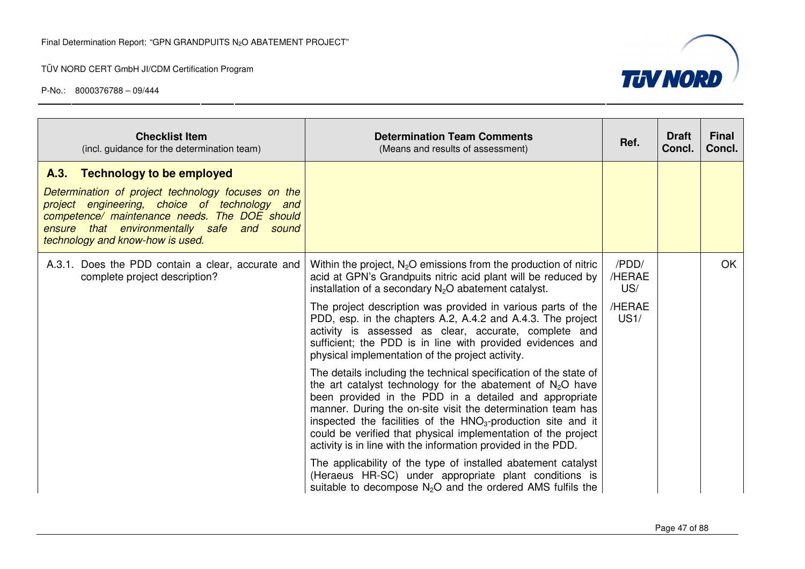

| <b>Checklist Item</b><br>(incl. guidance for the determination team)                                                                                                                                                                                                     | <b>Determination Team Comments</b><br>(Means and results of assessment)                                                                                                                                                                                                                                                                                                                                                                                                                                                                                                                                                                                                                                                                                                                                                                                                                                                                                                                                                                                                                                                                                                       | Ref.                                     | <b>Draft</b><br>Concl. | <b>Final</b><br>Concl. |
|--------------------------------------------------------------------------------------------------------------------------------------------------------------------------------------------------------------------------------------------------------------------------|-------------------------------------------------------------------------------------------------------------------------------------------------------------------------------------------------------------------------------------------------------------------------------------------------------------------------------------------------------------------------------------------------------------------------------------------------------------------------------------------------------------------------------------------------------------------------------------------------------------------------------------------------------------------------------------------------------------------------------------------------------------------------------------------------------------------------------------------------------------------------------------------------------------------------------------------------------------------------------------------------------------------------------------------------------------------------------------------------------------------------------------------------------------------------------|------------------------------------------|------------------------|------------------------|
| A.3. Technology to be employed<br>Determination of project technology focuses on the<br>project engineering, choice of technology and<br>competence/ maintenance needs. The DOE should<br>ensure that environmentally safe and sound<br>technology and know-how is used. |                                                                                                                                                                                                                                                                                                                                                                                                                                                                                                                                                                                                                                                                                                                                                                                                                                                                                                                                                                                                                                                                                                                                                                               |                                          |                        |                        |
| A.3.1. Does the PDD contain a clear, accurate and<br>complete project description?                                                                                                                                                                                       | Within the project, $N_2O$ emissions from the production of nitric<br>acid at GPN's Grandpuits nitric acid plant will be reduced by<br>installation of a secondary $N_2O$ abatement catalyst.<br>The project description was provided in various parts of the<br>PDD, esp. in the chapters A.2, A.4.2 and A.4.3. The project<br>activity is assessed as clear, accurate, complete and<br>sufficient; the PDD is in line with provided evidences and<br>physical implementation of the project activity.<br>The details including the technical specification of the state of<br>the art catalyst technology for the abatement of $N_2O$ have<br>been provided in the PDD in a detailed and appropriate<br>manner. During the on-site visit the determination team has<br>inspected the facilities of the HNO <sub>3</sub> -production site and it<br>could be verified that physical implementation of the project<br>activity is in line with the information provided in the PDD.<br>The applicability of the type of installed abatement catalyst<br>(Heraeus HR-SC) under appropriate plant conditions is<br>suitable to decompose $N_2O$ and the ordered AMS fulfils the | /PDD/<br>/HERAE<br>US/<br>/HERAE<br>US1/ |                        | OK.                    |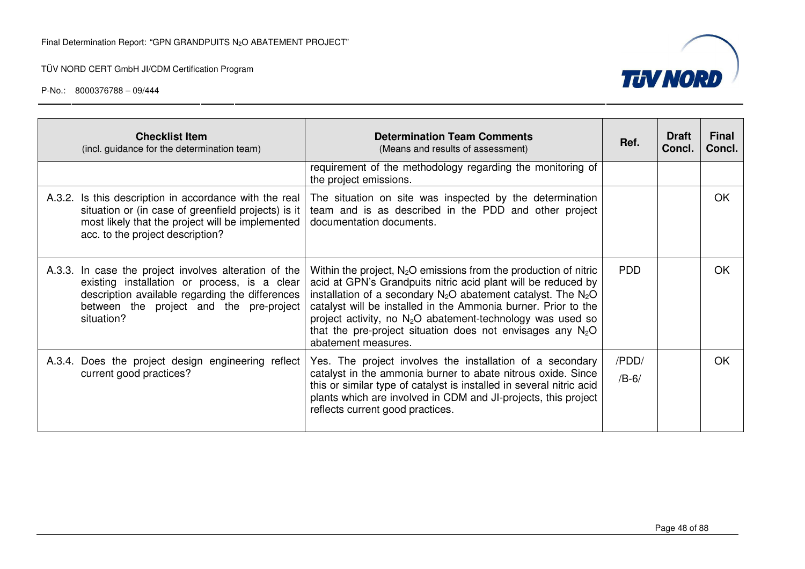

| <b>Checklist Item</b><br>(incl. guidance for the determination team)                                                                                                                                              | <b>Determination Team Comments</b><br>(Means and results of assessment)                                                                                                                                                                                                                                                                                                                                                           | Ref.             | <b>Draft</b><br>Concl. | <b>Final</b><br>Concl. |
|-------------------------------------------------------------------------------------------------------------------------------------------------------------------------------------------------------------------|-----------------------------------------------------------------------------------------------------------------------------------------------------------------------------------------------------------------------------------------------------------------------------------------------------------------------------------------------------------------------------------------------------------------------------------|------------------|------------------------|------------------------|
|                                                                                                                                                                                                                   | requirement of the methodology regarding the monitoring of<br>the project emissions.                                                                                                                                                                                                                                                                                                                                              |                  |                        |                        |
| A.3.2. Is this description in accordance with the real<br>situation or (in case of greenfield projects) is it<br>most likely that the project will be implemented<br>acc. to the project description?             | The situation on site was inspected by the determination<br>team and is as described in the PDD and other project<br>documentation documents.                                                                                                                                                                                                                                                                                     |                  |                        | <b>OK</b>              |
| A.3.3. In case the project involves alteration of the<br>existing installation or process, is a clear<br>description available regarding the differences<br>between the project and the pre-project<br>situation? | Within the project, $N_2O$ emissions from the production of nitric<br>acid at GPN's Grandpuits nitric acid plant will be reduced by<br>installation of a secondary $N_2O$ abatement catalyst. The $N_2O$<br>catalyst will be installed in the Ammonia burner. Prior to the<br>project activity, no $N_2O$ abatement-technology was used so<br>that the pre-project situation does not envisages any $N_2O$<br>abatement measures. | <b>PDD</b>       |                        | OK                     |
| A.3.4. Does the project design engineering reflect<br>current good practices?                                                                                                                                     | Yes. The project involves the installation of a secondary<br>catalyst in the ammonia burner to abate nitrous oxide. Since<br>this or similar type of catalyst is installed in several nitric acid<br>plants which are involved in CDM and JI-projects, this project<br>reflects current good practices.                                                                                                                           | /PDD/<br>$/B-6/$ |                        | <b>OK</b>              |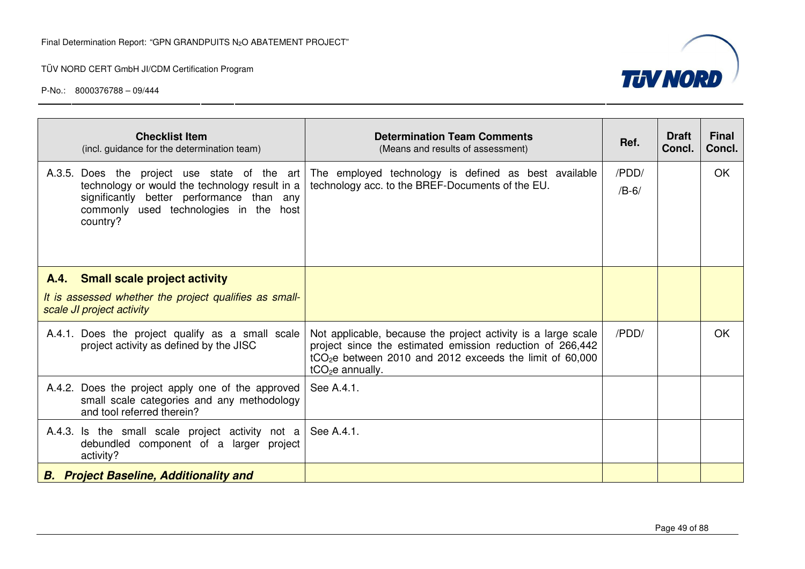

| <b>Checklist Item</b><br>(incl. guidance for the determination team)                                                                                                                              | <b>Determination Team Comments</b><br>(Means and results of assessment)                                                                                                                                                 | Ref.             | <b>Draft</b><br>Concl. | <b>Final</b><br>Concl. |
|---------------------------------------------------------------------------------------------------------------------------------------------------------------------------------------------------|-------------------------------------------------------------------------------------------------------------------------------------------------------------------------------------------------------------------------|------------------|------------------------|------------------------|
| A.3.5. Does the project use state of the art<br>technology or would the technology result in a<br>significantly better performance than any<br>commonly used technologies in the host<br>country? | The employed technology is defined as best available<br>technology acc. to the BREF-Documents of the EU.                                                                                                                | /PDD/<br>$/B-6/$ |                        | OK.                    |
| A.4. Small scale project activity<br>It is assessed whether the project qualifies as small-<br>scale JI project activity                                                                          |                                                                                                                                                                                                                         |                  |                        |                        |
| A.4.1. Does the project qualify as a small scale<br>project activity as defined by the JISC                                                                                                       | Not applicable, because the project activity is a large scale<br>project since the estimated emission reduction of 266,442<br>tCO <sub>2</sub> e between 2010 and 2012 exceeds the limit of 60,000<br>$tCO2e$ annually. | /PDD/            |                        | <b>OK</b>              |
| A.4.2. Does the project apply one of the approved<br>small scale categories and any methodology<br>and tool referred therein?                                                                     | See A.4.1.                                                                                                                                                                                                              |                  |                        |                        |
| A.4.3. Is the small scale project activity not a<br>debundled component of a larger project<br>activity?                                                                                          | See A.4.1.                                                                                                                                                                                                              |                  |                        |                        |
| <b>B.</b> Project Baseline, Additionality and                                                                                                                                                     |                                                                                                                                                                                                                         |                  |                        |                        |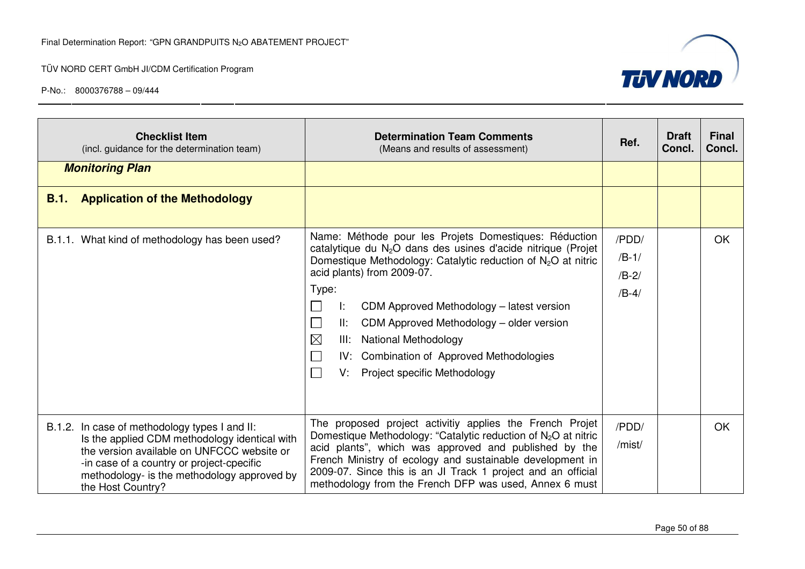



| <b>Checklist Item</b><br>(incl. guidance for the determination team)                                                                                                                                                                                          | <b>Determination Team Comments</b><br>(Means and results of assessment)                                                                                                                                                                                                                                                                                                                                                                                                                    | Ref.                                   | <b>Draft</b><br>Concl. | <b>Final</b><br>Concl. |
|---------------------------------------------------------------------------------------------------------------------------------------------------------------------------------------------------------------------------------------------------------------|--------------------------------------------------------------------------------------------------------------------------------------------------------------------------------------------------------------------------------------------------------------------------------------------------------------------------------------------------------------------------------------------------------------------------------------------------------------------------------------------|----------------------------------------|------------------------|------------------------|
| <b>Monitoring Plan</b>                                                                                                                                                                                                                                        |                                                                                                                                                                                                                                                                                                                                                                                                                                                                                            |                                        |                        |                        |
| <b>Application of the Methodology</b><br>B.1.                                                                                                                                                                                                                 |                                                                                                                                                                                                                                                                                                                                                                                                                                                                                            |                                        |                        |                        |
| B.1.1. What kind of methodology has been used?                                                                                                                                                                                                                | Name: Méthode pour les Projets Domestiques: Réduction<br>catalytique du N <sub>2</sub> O dans des usines d'acide nitrique (Projet<br>Domestique Methodology: Catalytic reduction of $N_2O$ at nitric<br>acid plants) from 2009-07.<br>Type:<br>CDM Approved Methodology - latest version<br>Ŀ.<br>II:<br>CDM Approved Methodology - older version<br>$\boxtimes$<br><b>National Methodology</b><br>III:<br>IV: Combination of Approved Methodologies<br>Project specific Methodology<br>V: | /PDD/<br>$/B-1/$<br>$/B-2/$<br>$/B-4/$ |                        | OK.                    |
| B.1.2. In case of methodology types I and II:<br>Is the applied CDM methodology identical with<br>the version available on UNFCCC website or<br>-in case of a country or project-cpecific<br>methodology- is the methodology approved by<br>the Host Country? | The proposed project activitiy applies the French Projet<br>Domestique Methodology: "Catalytic reduction of $N_2O$ at nitric<br>acid plants", which was approved and published by the<br>French Ministry of ecology and sustainable development in<br>2009-07. Since this is an JI Track 1 project and an official<br>methodology from the French DFP was used, Annex 6 must                                                                                                               | /PDD/<br>/mist/                        |                        | <b>OK</b>              |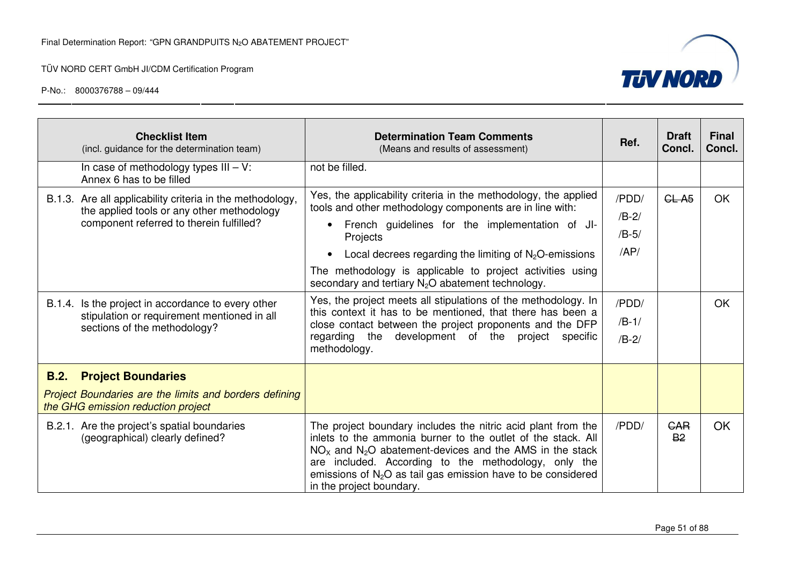

|      | <b>Checklist Item</b><br>(incl. guidance for the determination team)                                                                                                                                      | <b>Determination Team Comments</b><br>(Means and results of assessment)                                                                                                                                                                                                                                                                                                                                                                                 | Ref.                                        | <b>Draft</b><br>Concl.  | <b>Final</b><br>Concl. |
|------|-----------------------------------------------------------------------------------------------------------------------------------------------------------------------------------------------------------|---------------------------------------------------------------------------------------------------------------------------------------------------------------------------------------------------------------------------------------------------------------------------------------------------------------------------------------------------------------------------------------------------------------------------------------------------------|---------------------------------------------|-------------------------|------------------------|
|      | In case of methodology types $III - V$ :<br>Annex 6 has to be filled                                                                                                                                      | not be filled.                                                                                                                                                                                                                                                                                                                                                                                                                                          |                                             |                         |                        |
|      | B.1.3. Are all applicability criteria in the methodology,<br>the applied tools or any other methodology<br>component referred to therein fulfilled?<br>B.1.4. Is the project in accordance to every other | Yes, the applicability criteria in the methodology, the applied<br>tools and other methodology components are in line with:<br>French guidelines for the implementation of JI-<br>Projects<br>Local decrees regarding the limiting of $N_2O$ -emissions<br>The methodology is applicable to project activities using<br>secondary and tertiary N <sub>2</sub> O abatement technology.<br>Yes, the project meets all stipulations of the methodology. In | /PDD/<br>$/B-2/$<br>$/B-5/$<br>AP/<br>/PDD/ | CL A <sub>5</sub>       | <b>OK</b><br><b>OK</b> |
|      | stipulation or requirement mentioned in all<br>sections of the methodology?                                                                                                                               | this context it has to be mentioned, that there has been a<br>close contact between the project proponents and the DFP<br>regarding the development of the project<br>specific<br>methodology.                                                                                                                                                                                                                                                          | $/B-1/$<br>$/B-2/$                          |                         |                        |
| B.2. | <b>Project Boundaries</b>                                                                                                                                                                                 |                                                                                                                                                                                                                                                                                                                                                                                                                                                         |                                             |                         |                        |
|      | Project Boundaries are the limits and borders defining<br>the GHG emission reduction project                                                                                                              |                                                                                                                                                                                                                                                                                                                                                                                                                                                         |                                             |                         |                        |
|      | B.2.1. Are the project's spatial boundaries<br>(geographical) clearly defined?                                                                                                                            | The project boundary includes the nitric acid plant from the<br>inlets to the ammonia burner to the outlet of the stack. All<br>$NOx$ and $N2O$ abatement-devices and the AMS in the stack<br>are included. According to the methodology, only the<br>emissions of $N_2O$ as tail gas emission have to be considered<br>in the project boundary.                                                                                                        | /PDD/                                       | <b>GAR</b><br><b>B2</b> | <b>OK</b>              |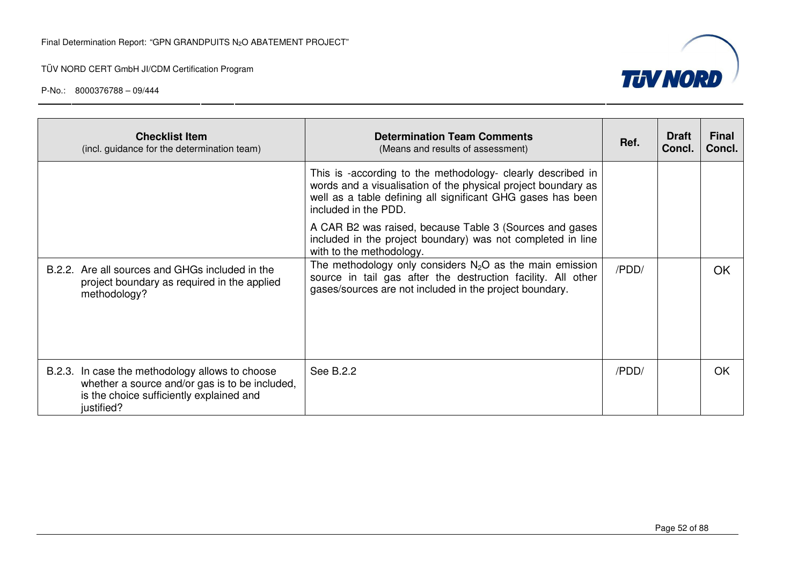



| <b>Checklist Item</b><br>(incl. guidance for the determination team)                                                                                        | <b>Determination Team Comments</b><br>(Means and results of assessment)                                                                                                                                             | Ref.  | <b>Draft</b><br>Concl. | <b>Final</b><br>Concl. |
|-------------------------------------------------------------------------------------------------------------------------------------------------------------|---------------------------------------------------------------------------------------------------------------------------------------------------------------------------------------------------------------------|-------|------------------------|------------------------|
|                                                                                                                                                             | This is -according to the methodology- clearly described in<br>words and a visualisation of the physical project boundary as<br>well as a table defining all significant GHG gases has been<br>included in the PDD. |       |                        |                        |
|                                                                                                                                                             | A CAR B2 was raised, because Table 3 (Sources and gases<br>included in the project boundary) was not completed in line<br>with to the methodology.                                                                  |       |                        |                        |
| B.2.2. Are all sources and GHGs included in the<br>project boundary as required in the applied<br>methodology?                                              | The methodology only considers $N_2O$ as the main emission<br>source in tail gas after the destruction facility. All other<br>gases/sources are not included in the project boundary.                               | /PDD/ |                        | OK                     |
| B.2.3. In case the methodology allows to choose<br>whether a source and/or gas is to be included,<br>is the choice sufficiently explained and<br>justified? | See B.2.2                                                                                                                                                                                                           | /PDD/ |                        | OK.                    |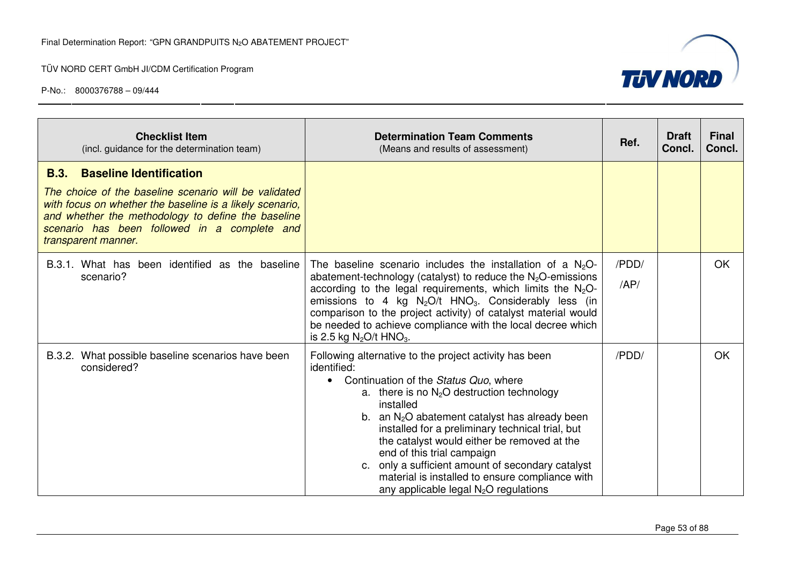

| <b>Checklist Item</b><br>(incl. guidance for the determination team)                                                                                                                                                                                                                            | <b>Determination Team Comments</b><br>(Means and results of assessment)                                                                                                                                                                                                                                                                                                                                                                                                                                             | Ref.          | <b>Draft</b><br>Concl. | <b>Final</b><br>Concl. |
|-------------------------------------------------------------------------------------------------------------------------------------------------------------------------------------------------------------------------------------------------------------------------------------------------|---------------------------------------------------------------------------------------------------------------------------------------------------------------------------------------------------------------------------------------------------------------------------------------------------------------------------------------------------------------------------------------------------------------------------------------------------------------------------------------------------------------------|---------------|------------------------|------------------------|
| <b>Baseline Identification</b><br><b>B.3.</b><br>The choice of the baseline scenario will be validated<br>with focus on whether the baseline is a likely scenario,<br>and whether the methodology to define the baseline<br>scenario has been followed in a complete and<br>transparent manner. |                                                                                                                                                                                                                                                                                                                                                                                                                                                                                                                     |               |                        |                        |
| B.3.1. What has been identified as the baseline<br>scenario?                                                                                                                                                                                                                                    | The baseline scenario includes the installation of a $N2O-$<br>abatement-technology (catalyst) to reduce the $N_2O$ -emissions<br>according to the legal requirements, which limits the $N_2O$ -<br>emissions to 4 kg $N_2O/t$ HNO <sub>3</sub> . Considerably less (in<br>comparison to the project activity) of catalyst material would<br>be needed to achieve compliance with the local decree which<br>is 2.5 kg $N_2O/t$ HNO <sub>3</sub> .                                                                   | /PDD/<br>/AP/ |                        | OK                     |
| B.3.2. What possible baseline scenarios have been<br>considered?                                                                                                                                                                                                                                | Following alternative to the project activity has been<br>identified:<br>Continuation of the Status Quo, where<br>a. there is no $N_2O$ destruction technology<br>installed<br>b. an $N_2O$ abatement catalyst has already been<br>installed for a preliminary technical trial, but<br>the catalyst would either be removed at the<br>end of this trial campaign<br>c. only a sufficient amount of secondary catalyst<br>material is installed to ensure compliance with<br>any applicable legal $N_2O$ regulations | /PDD/         |                        | OK                     |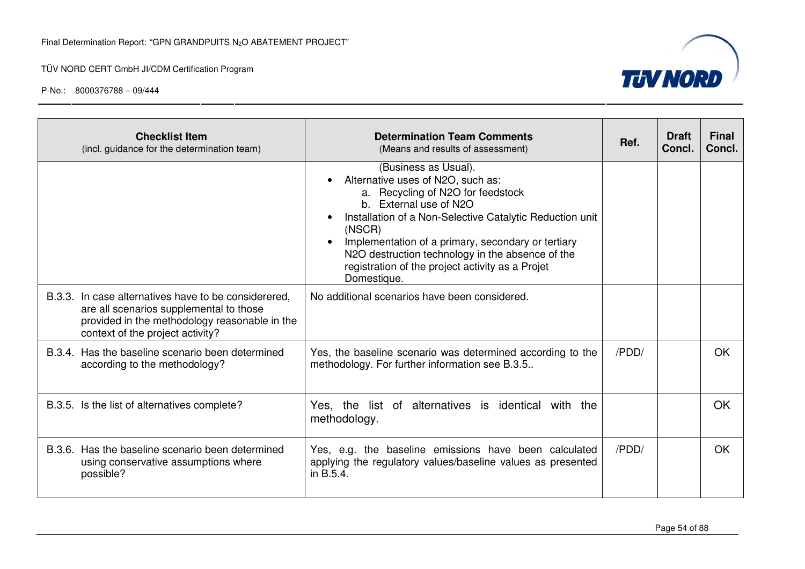

| <b>Checklist Item</b><br>(incl. guidance for the determination team)                                                                                                                 | <b>Determination Team Comments</b><br>(Means and results of assessment)                                                                                                                                                                                                                                                                                                     | Ref.  | <b>Draft</b><br>Concl. | <b>Final</b><br>Concl. |
|--------------------------------------------------------------------------------------------------------------------------------------------------------------------------------------|-----------------------------------------------------------------------------------------------------------------------------------------------------------------------------------------------------------------------------------------------------------------------------------------------------------------------------------------------------------------------------|-------|------------------------|------------------------|
|                                                                                                                                                                                      | (Business as Usual).<br>Alternative uses of N2O, such as:<br>a. Recycling of N2O for feedstock<br>b. External use of N2O<br>Installation of a Non-Selective Catalytic Reduction unit<br>(NSCR)<br>Implementation of a primary, secondary or tertiary<br>N2O destruction technology in the absence of the<br>registration of the project activity as a Projet<br>Domestique. |       |                        |                        |
| B.3.3. In case alternatives have to be considerered.<br>are all scenarios supplemental to those<br>provided in the methodology reasonable in the<br>context of the project activity? | No additional scenarios have been considered.                                                                                                                                                                                                                                                                                                                               |       |                        |                        |
| B.3.4. Has the baseline scenario been determined<br>according to the methodology?                                                                                                    | Yes, the baseline scenario was determined according to the<br>methodology. For further information see B.3.5                                                                                                                                                                                                                                                                | /PDD/ |                        | OK.                    |
| B.3.5. Is the list of alternatives complete?                                                                                                                                         | Yes, the list of alternatives is identical with the<br>methodology.                                                                                                                                                                                                                                                                                                         |       |                        | OK                     |
| B.3.6. Has the baseline scenario been determined<br>using conservative assumptions where<br>possible?                                                                                | Yes, e.g. the baseline emissions have been calculated<br>applying the regulatory values/baseline values as presented<br>in B.5.4.                                                                                                                                                                                                                                           | /PDD/ |                        | <b>OK</b>              |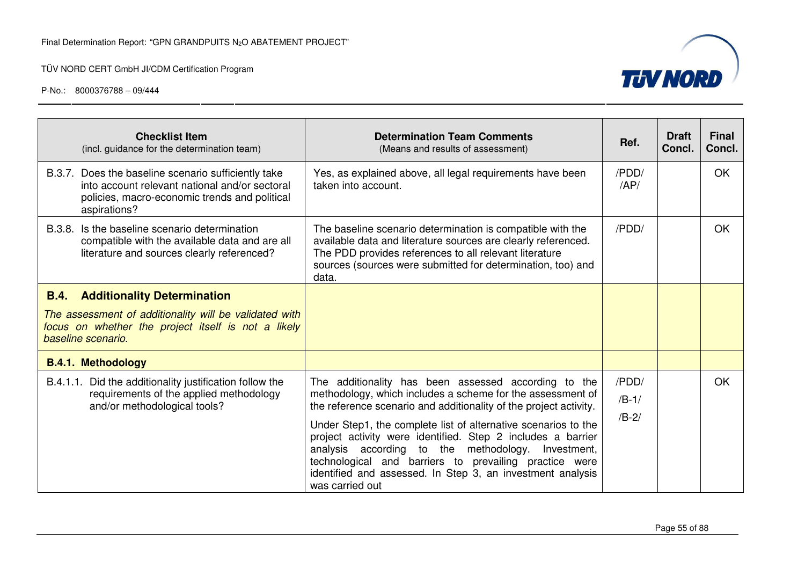

|                                                                                                                                                                                          | <b>Checklist Item</b><br>(incl. guidance for the determination team)                                                                                                   | <b>Determination Team Comments</b><br>(Means and results of assessment)                                                                                                                                                                                                                                                                                                                                                                                                                                                      | Ref.                        | <b>Draft</b><br>Concl. | <b>Final</b><br>Concl. |
|------------------------------------------------------------------------------------------------------------------------------------------------------------------------------------------|------------------------------------------------------------------------------------------------------------------------------------------------------------------------|------------------------------------------------------------------------------------------------------------------------------------------------------------------------------------------------------------------------------------------------------------------------------------------------------------------------------------------------------------------------------------------------------------------------------------------------------------------------------------------------------------------------------|-----------------------------|------------------------|------------------------|
|                                                                                                                                                                                          | B.3.7. Does the baseline scenario sufficiently take<br>into account relevant national and/or sectoral<br>policies, macro-economic trends and political<br>aspirations? | Yes, as explained above, all legal requirements have been<br>taken into account.                                                                                                                                                                                                                                                                                                                                                                                                                                             | /PDD/<br>AP/                |                        | <b>OK</b>              |
| B.3.8.                                                                                                                                                                                   | Is the baseline scenario determination<br>compatible with the available data and are all<br>literature and sources clearly referenced?                                 | The baseline scenario determination is compatible with the<br>available data and literature sources are clearly referenced.<br>The PDD provides references to all relevant literature<br>sources (sources were submitted for determination, too) and<br>data.                                                                                                                                                                                                                                                                | /PDD/                       |                        | OK                     |
| <b>Additionality Determination</b><br><b>B.4.</b><br>The assessment of additionality will be validated with<br>focus on whether the project itself is not a likely<br>baseline scenario. |                                                                                                                                                                        |                                                                                                                                                                                                                                                                                                                                                                                                                                                                                                                              |                             |                        |                        |
|                                                                                                                                                                                          | <b>B.4.1. Methodology</b><br>B.4.1.1. Did the additionality justification follow the<br>requirements of the applied methodology<br>and/or methodological tools?        | The additionality has been assessed according to the<br>methodology, which includes a scheme for the assessment of<br>the reference scenario and additionality of the project activity.<br>Under Step1, the complete list of alternative scenarios to the<br>project activity were identified. Step 2 includes a barrier<br>analysis according to the<br>methodology. Investment,<br>technological and barriers to prevailing practice were<br>identified and assessed. In Step 3, an investment analysis<br>was carried out | /PDD/<br>$/B-1/$<br>$/B-2/$ |                        | <b>OK</b>              |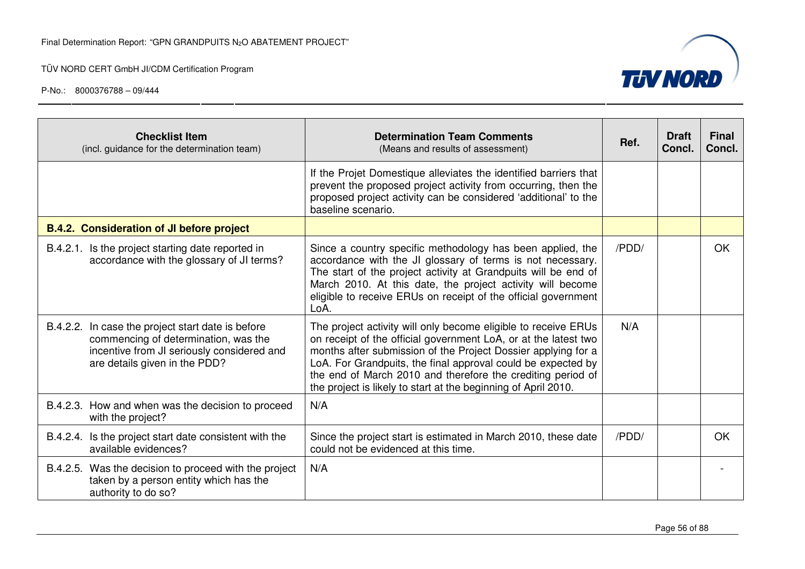

| <b>Checklist Item</b><br>(incl. guidance for the determination team)                                                                                                     | <b>Determination Team Comments</b><br>(Means and results of assessment)                                                                                                                                                                                                                                                                                                                             | Ref.  | <b>Draft</b><br>Concl. | <b>Final</b><br>Concl. |
|--------------------------------------------------------------------------------------------------------------------------------------------------------------------------|-----------------------------------------------------------------------------------------------------------------------------------------------------------------------------------------------------------------------------------------------------------------------------------------------------------------------------------------------------------------------------------------------------|-------|------------------------|------------------------|
|                                                                                                                                                                          | If the Projet Domestique alleviates the identified barriers that<br>prevent the proposed project activity from occurring, then the<br>proposed project activity can be considered 'additional' to the<br>baseline scenario.                                                                                                                                                                         |       |                        |                        |
| <b>B.4.2. Consideration of JI before project</b>                                                                                                                         |                                                                                                                                                                                                                                                                                                                                                                                                     |       |                        |                        |
| B.4.2.1. Is the project starting date reported in<br>accordance with the glossary of JI terms?                                                                           | Since a country specific methodology has been applied, the<br>accordance with the JI glossary of terms is not necessary.<br>The start of the project activity at Grandpuits will be end of<br>March 2010. At this date, the project activity will become<br>eligible to receive ERUs on receipt of the official government<br>LoA.                                                                  | /PDD/ |                        | OK.                    |
| B.4.2.2. In case the project start date is before<br>commencing of determination, was the<br>incentive from JI seriously considered and<br>are details given in the PDD? | The project activity will only become eligible to receive ERUs<br>on receipt of the official government LoA, or at the latest two<br>months after submission of the Project Dossier applying for a<br>LoA. For Grandpuits, the final approval could be expected by<br>the end of March 2010 and therefore the crediting period of<br>the project is likely to start at the beginning of April 2010. | N/A   |                        |                        |
| B.4.2.3. How and when was the decision to proceed<br>with the project?                                                                                                   | N/A                                                                                                                                                                                                                                                                                                                                                                                                 |       |                        |                        |
| B.4.2.4. Is the project start date consistent with the<br>available evidences?                                                                                           | Since the project start is estimated in March 2010, these date<br>could not be evidenced at this time.                                                                                                                                                                                                                                                                                              | /PDD/ |                        | OK                     |
| Was the decision to proceed with the project<br>B.4.2.5.<br>taken by a person entity which has the<br>authority to do so?                                                | N/A                                                                                                                                                                                                                                                                                                                                                                                                 |       |                        |                        |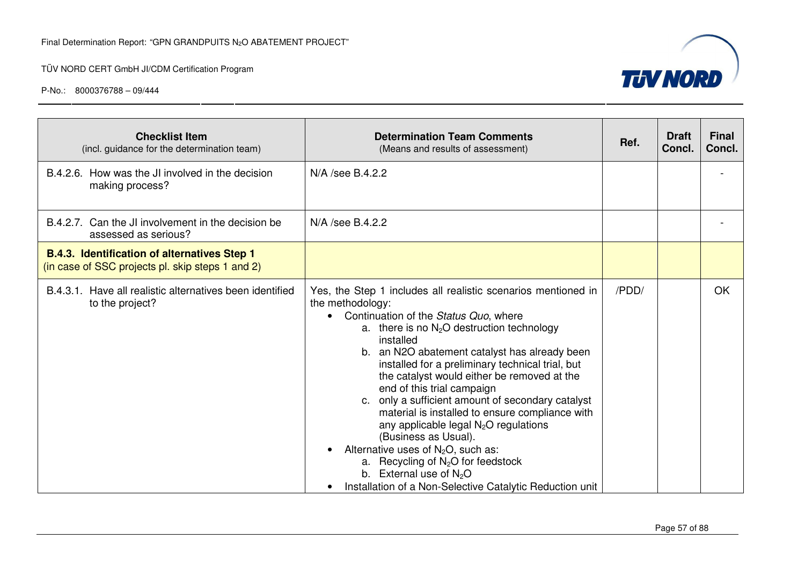| <b>TUV NORD</b> |  |
|-----------------|--|
|                 |  |
|                 |  |

| <b>Checklist Item</b><br>(incl. guidance for the determination team)                                    | <b>Determination Team Comments</b><br>(Means and results of assessment)                                                                                                                                                                                                                                                                                                                                                                                                                                                                                                                                                                                                                                                        | Ref.  | <b>Draft</b><br>Concl. | <b>Final</b><br>Concl. |
|---------------------------------------------------------------------------------------------------------|--------------------------------------------------------------------------------------------------------------------------------------------------------------------------------------------------------------------------------------------------------------------------------------------------------------------------------------------------------------------------------------------------------------------------------------------------------------------------------------------------------------------------------------------------------------------------------------------------------------------------------------------------------------------------------------------------------------------------------|-------|------------------------|------------------------|
| B.4.2.6. How was the JI involved in the decision<br>making process?                                     | N/A /see B.4.2.2                                                                                                                                                                                                                                                                                                                                                                                                                                                                                                                                                                                                                                                                                                               |       |                        |                        |
| B.4.2.7. Can the JI involvement in the decision be<br>assessed as serious?                              | N/A /see B.4.2.2                                                                                                                                                                                                                                                                                                                                                                                                                                                                                                                                                                                                                                                                                                               |       |                        |                        |
| <b>B.4.3. Identification of alternatives Step 1</b><br>(in case of SSC projects pl. skip steps 1 and 2) |                                                                                                                                                                                                                                                                                                                                                                                                                                                                                                                                                                                                                                                                                                                                |       |                        |                        |
| B.4.3.1. Have all realistic alternatives been identified<br>to the project?                             | Yes, the Step 1 includes all realistic scenarios mentioned in<br>the methodology:<br>Continuation of the Status Quo, where<br>a. there is no $N_2O$ destruction technology<br>installed<br>b. an N2O abatement catalyst has already been<br>installed for a preliminary technical trial, but<br>the catalyst would either be removed at the<br>end of this trial campaign<br>c. only a sufficient amount of secondary catalyst<br>material is installed to ensure compliance with<br>any applicable legal $N_2O$ regulations<br>(Business as Usual).<br>Alternative uses of $N_2O$ , such as:<br>a. Recycling of $N_2O$ for feedstock<br>b. External use of $N_2O$<br>Installation of a Non-Selective Catalytic Reduction unit | /PDD/ |                        | OK                     |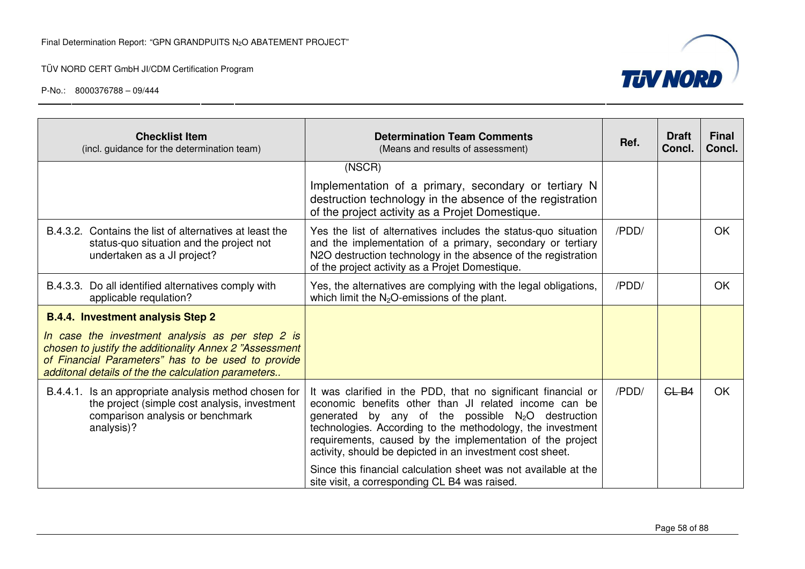

| <b>Checklist Item</b><br>(incl. guidance for the determination team)                                                                                                                                                                                                 | <b>Determination Team Comments</b><br>(Means and results of assessment)                                                                                                                                                                                                                                                                                                                                                                  | Ref.  | <b>Draft</b><br>Concl. | <b>Final</b><br>Concl. |
|----------------------------------------------------------------------------------------------------------------------------------------------------------------------------------------------------------------------------------------------------------------------|------------------------------------------------------------------------------------------------------------------------------------------------------------------------------------------------------------------------------------------------------------------------------------------------------------------------------------------------------------------------------------------------------------------------------------------|-------|------------------------|------------------------|
|                                                                                                                                                                                                                                                                      | (NSCR)<br>Implementation of a primary, secondary or tertiary N<br>destruction technology in the absence of the registration<br>of the project activity as a Projet Domestique.                                                                                                                                                                                                                                                           |       |                        |                        |
| B.4.3.2. Contains the list of alternatives at least the<br>status-quo situation and the project not<br>undertaken as a JI project?                                                                                                                                   | Yes the list of alternatives includes the status-quo situation<br>and the implementation of a primary, secondary or tertiary<br>N2O destruction technology in the absence of the registration<br>of the project activity as a Projet Domestique.                                                                                                                                                                                         | /PDD/ |                        | <b>OK</b>              |
| B.4.3.3. Do all identified alternatives comply with<br>applicable requlation?                                                                                                                                                                                        | Yes, the alternatives are complying with the legal obligations,<br>which limit the $N_2O$ -emissions of the plant.                                                                                                                                                                                                                                                                                                                       | /PDD/ |                        | <b>OK</b>              |
| <b>B.4.4. Investment analysis Step 2</b><br>In case the investment analysis as per step 2 is<br>chosen to justify the additionality Annex 2 "Assessment<br>of Financial Parameters" has to be used to provide<br>additonal details of the the calculation parameters |                                                                                                                                                                                                                                                                                                                                                                                                                                          |       |                        |                        |
| B.4.4.1. Is an appropriate analysis method chosen for<br>the project (simple cost analysis, investment<br>comparison analysis or benchmark<br>analysis)?                                                                                                             | It was clarified in the PDD, that no significant financial or<br>economic benefits other than JI related income can be<br>generated by any of the possible $N_2O$ destruction<br>technologies. According to the methodology, the investment<br>requirements, caused by the implementation of the project<br>activity, should be depicted in an investment cost sheet.<br>Since this financial calculation sheet was not available at the | /PDD/ | $GL-B4$                | <b>OK</b>              |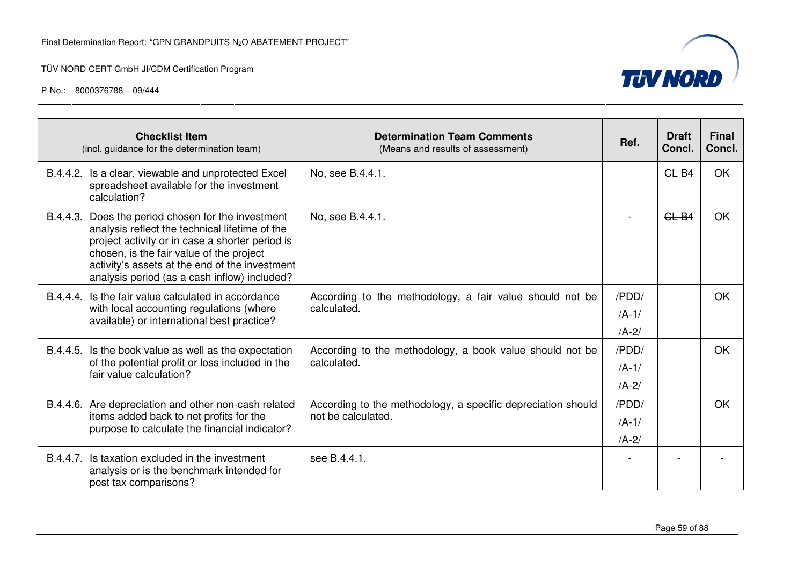

| <b>Checklist Item</b><br>(incl. guidance for the determination team)                                                                                                                                                                                                                                  | <b>Determination Team Comments</b><br>(Means and results of assessment)            | Ref.                            | <b>Draft</b><br>Concl. | <b>Final</b><br>Concl. |
|-------------------------------------------------------------------------------------------------------------------------------------------------------------------------------------------------------------------------------------------------------------------------------------------------------|------------------------------------------------------------------------------------|---------------------------------|------------------------|------------------------|
| B.4.4.2. Is a clear, viewable and unprotected Excel<br>spreadsheet available for the investment<br>calculation?                                                                                                                                                                                       | No, see B.4.4.1.                                                                   |                                 | $GL-B4$                | OK                     |
| B.4.4.3. Does the period chosen for the investment<br>analysis reflect the technical lifetime of the<br>project activity or in case a shorter period is<br>chosen, is the fair value of the project<br>activity's assets at the end of the investment<br>analysis period (as a cash inflow) included? | No, see B.4.4.1.                                                                   |                                 | $GL-B4$                | <b>OK</b>              |
| B.4.4.4. Is the fair value calculated in accordance<br>with local accounting regulations (where<br>available) or international best practice?                                                                                                                                                         | According to the methodology, a fair value should not be<br>calculated.            | /PDD/<br>$/A-1/$<br>$/A-2/$     |                        | <b>OK</b>              |
| B.4.4.5. Is the book value as well as the expectation<br>of the potential profit or loss included in the<br>fair value calculation?                                                                                                                                                                   | According to the methodology, a book value should not be<br>calculated.            | /PDD/<br>$/A-1/$<br>$/A-2/$     |                        | <b>OK</b>              |
| B.4.4.6. Are depreciation and other non-cash related<br>items added back to net profits for the<br>purpose to calculate the financial indicator?                                                                                                                                                      | According to the methodology, a specific depreciation should<br>not be calculated. | /PDD/<br>$/A - 1/$<br>$/A - 2/$ |                        | <b>OK</b>              |
| Is taxation excluded in the investment<br>B.4.4.7.<br>analysis or is the benchmark intended for<br>post tax comparisons?                                                                                                                                                                              | see B.4.4.1.                                                                       |                                 |                        |                        |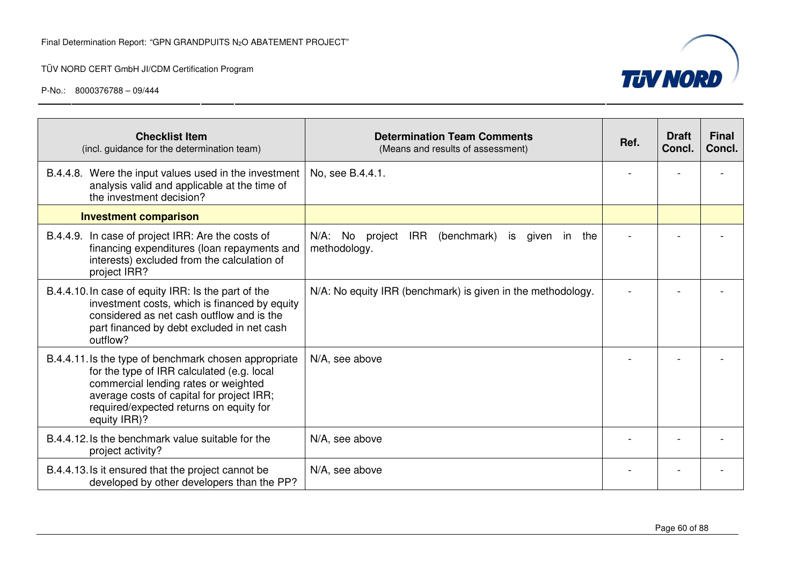

| <b>Checklist Item</b><br>(incl. guidance for the determination team)                                                                                                                                                                                | <b>Determination Team Comments</b><br>(Means and results of assessment)                  | Ref. | <b>Draft</b><br>Concl. | <b>Final</b><br>Concl. |
|-----------------------------------------------------------------------------------------------------------------------------------------------------------------------------------------------------------------------------------------------------|------------------------------------------------------------------------------------------|------|------------------------|------------------------|
| B.4.4.8. Were the input values used in the investment<br>analysis valid and applicable at the time of<br>the investment decision?                                                                                                                   | No, see B.4.4.1.                                                                         |      |                        |                        |
| <b>Investment comparison</b>                                                                                                                                                                                                                        |                                                                                          |      |                        |                        |
| B.4.4.9. In case of project IRR: Are the costs of<br>financing expenditures (loan repayments and<br>interests) excluded from the calculation of<br>project IRR?                                                                                     | N/A: No<br><b>IRR</b><br>project<br>(benchmark)<br>is<br>given<br>in the<br>methodology. |      |                        |                        |
| B.4.4.10. In case of equity IRR: Is the part of the<br>investment costs, which is financed by equity<br>considered as net cash outflow and is the<br>part financed by debt excluded in net cash<br>outflow?                                         | N/A: No equity IRR (benchmark) is given in the methodology.                              |      |                        |                        |
| B.4.4.11. Is the type of benchmark chosen appropriate<br>for the type of IRR calculated (e.g. local<br>commercial lending rates or weighted<br>average costs of capital for project IRR;<br>required/expected returns on equity for<br>equity IRR)? | N/A, see above                                                                           |      |                        |                        |
| B.4.4.12. Is the benchmark value suitable for the<br>project activity?                                                                                                                                                                              | N/A, see above                                                                           |      |                        |                        |
| B.4.4.13. Is it ensured that the project cannot be<br>developed by other developers than the PP?                                                                                                                                                    | N/A, see above                                                                           |      |                        |                        |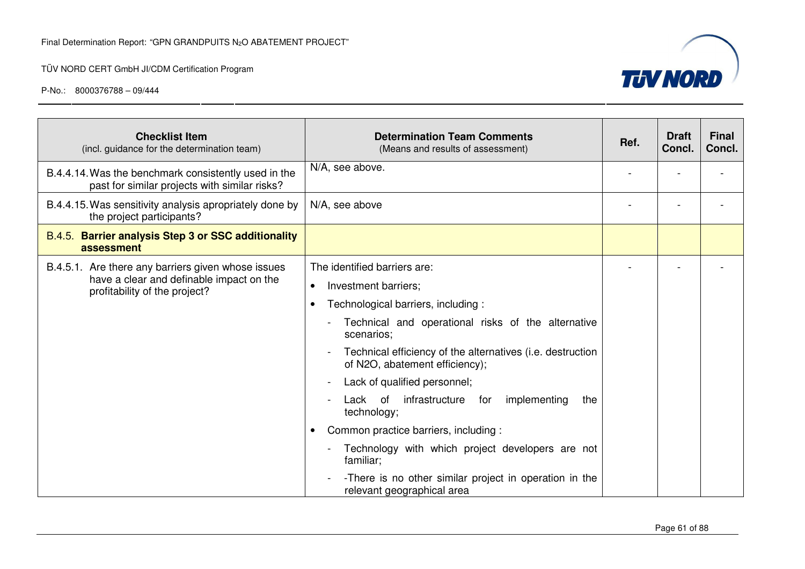

| <b>Checklist Item</b><br>(incl. guidance for the determination team)                                                            | <b>Determination Team Comments</b><br>(Means and results of assessment)                                                                                                                                                                                                                                                                                                                                                                                                                                                                                              | Ref. | <b>Draft</b><br>Concl. | <b>Final</b><br>Concl. |
|---------------------------------------------------------------------------------------------------------------------------------|----------------------------------------------------------------------------------------------------------------------------------------------------------------------------------------------------------------------------------------------------------------------------------------------------------------------------------------------------------------------------------------------------------------------------------------------------------------------------------------------------------------------------------------------------------------------|------|------------------------|------------------------|
| B.4.4.14. Was the benchmark consistently used in the<br>past for similar projects with similar risks?                           | N/A, see above.                                                                                                                                                                                                                                                                                                                                                                                                                                                                                                                                                      |      |                        |                        |
| B.4.4.15. Was sensitivity analysis apropriately done by<br>the project participants?                                            | N/A, see above                                                                                                                                                                                                                                                                                                                                                                                                                                                                                                                                                       |      |                        |                        |
| B.4.5. Barrier analysis Step 3 or SSC additionality<br>assessment                                                               |                                                                                                                                                                                                                                                                                                                                                                                                                                                                                                                                                                      |      |                        |                        |
| B.4.5.1. Are there any barriers given whose issues<br>have a clear and definable impact on the<br>profitability of the project? | The identified barriers are:<br>Investment barriers;<br>Technological barriers, including:<br>Technical and operational risks of the alternative<br>scenarios;<br>Technical efficiency of the alternatives (i.e. destruction<br>of N2O, abatement efficiency);<br>Lack of qualified personnel;<br>Lack of infrastructure for<br>implementing<br>the<br>technology;<br>Common practice barriers, including :<br>Technology with which project developers are not<br>familiar;<br>-There is no other similar project in operation in the<br>relevant geographical area |      |                        |                        |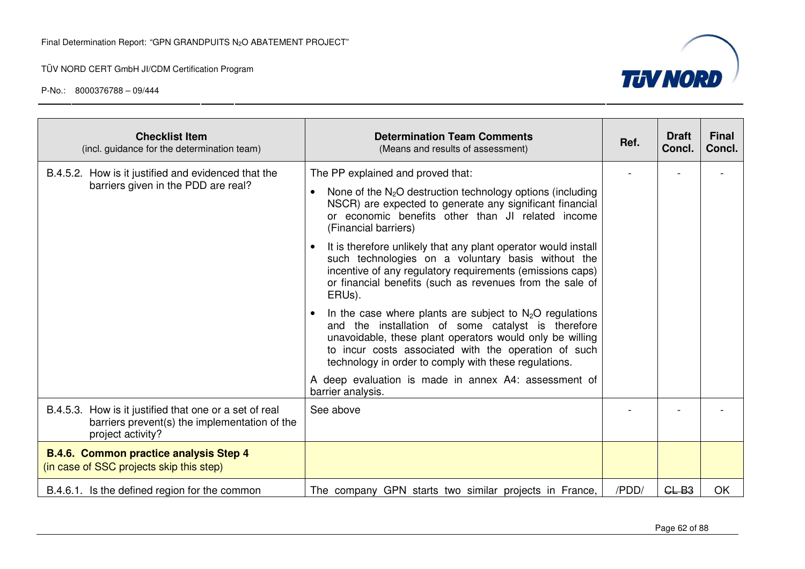

| <b>Checklist Item</b><br>(incl. guidance for the determination team)                                                         | <b>Determination Team Comments</b><br>(Means and results of assessment)                                                                                                                                                                                                                       | Ref.  | <b>Draft</b><br>Concl. | <b>Final</b><br>Concl. |
|------------------------------------------------------------------------------------------------------------------------------|-----------------------------------------------------------------------------------------------------------------------------------------------------------------------------------------------------------------------------------------------------------------------------------------------|-------|------------------------|------------------------|
| B.4.5.2. How is it justified and evidenced that the                                                                          | The PP explained and proved that:                                                                                                                                                                                                                                                             |       |                        |                        |
| barriers given in the PDD are real?                                                                                          | None of the $N_2O$ destruction technology options (including<br>NSCR) are expected to generate any significant financial<br>or economic benefits other than JI related income<br>(Financial barriers)                                                                                         |       |                        |                        |
|                                                                                                                              | It is therefore unlikely that any plant operator would install<br>such technologies on a voluntary basis without the<br>incentive of any regulatory requirements (emissions caps)<br>or financial benefits (such as revenues from the sale of<br>ERUs).                                       |       |                        |                        |
|                                                                                                                              | In the case where plants are subject to $N_2O$ regulations<br>and the installation of some catalyst is therefore<br>unavoidable, these plant operators would only be willing<br>to incur costs associated with the operation of such<br>technology in order to comply with these regulations. |       |                        |                        |
|                                                                                                                              | A deep evaluation is made in annex A4: assessment of<br>barrier analysis.                                                                                                                                                                                                                     |       |                        |                        |
| B.4.5.3. How is it justified that one or a set of real<br>barriers prevent(s) the implementation of the<br>project activity? | See above                                                                                                                                                                                                                                                                                     |       |                        |                        |
| <b>B.4.6. Common practice analysis Step 4</b><br>(in case of SSC projects skip this step)                                    |                                                                                                                                                                                                                                                                                               |       |                        |                        |
| B.4.6.1. Is the defined region for the common                                                                                | The company GPN starts two similar projects in France,                                                                                                                                                                                                                                        | /PDD/ | $GL-B3$                | <b>OK</b>              |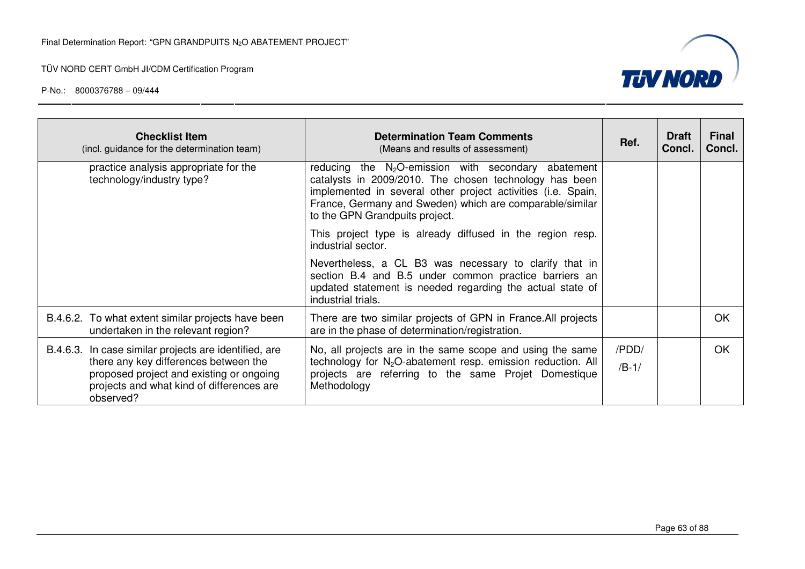



| <b>Checklist Item</b><br>(incl. guidance for the determination team)                                                                                                                                 | <b>Determination Team Comments</b><br>(Means and results of assessment)                                                                                                                                                                                                        | Ref.             | <b>Draft</b><br>Concl. | <b>Final</b><br>Concl. |
|------------------------------------------------------------------------------------------------------------------------------------------------------------------------------------------------------|--------------------------------------------------------------------------------------------------------------------------------------------------------------------------------------------------------------------------------------------------------------------------------|------------------|------------------------|------------------------|
| practice analysis appropriate for the<br>technology/industry type?                                                                                                                                   | reducing the $N_2O$ -emission with secondary abatement<br>catalysts in 2009/2010. The chosen technology has been<br>implemented in several other project activities (i.e. Spain,<br>France, Germany and Sweden) which are comparable/similar<br>to the GPN Grandpuits project. |                  |                        |                        |
|                                                                                                                                                                                                      | This project type is already diffused in the region resp.<br>industrial sector.                                                                                                                                                                                                |                  |                        |                        |
|                                                                                                                                                                                                      | Nevertheless, a CL B3 was necessary to clarify that in<br>section B.4 and B.5 under common practice barriers an<br>updated statement is needed regarding the actual state of<br>industrial trials.                                                                             |                  |                        |                        |
| B.4.6.2. To what extent similar projects have been<br>undertaken in the relevant region?                                                                                                             | There are two similar projects of GPN in France. All projects<br>are in the phase of determination/registration.                                                                                                                                                               |                  |                        | <b>OK</b>              |
| B.4.6.3. In case similar projects are identified, are<br>there any key differences between the<br>proposed project and existing or ongoing<br>projects and what kind of differences are<br>observed? | No, all projects are in the same scope and using the same<br>technology for N <sub>2</sub> O-abatement resp. emission reduction. All<br>projects are referring to the same Projet Domestique<br>Methodology                                                                    | /PDD/<br>$/B-1/$ |                        | OK                     |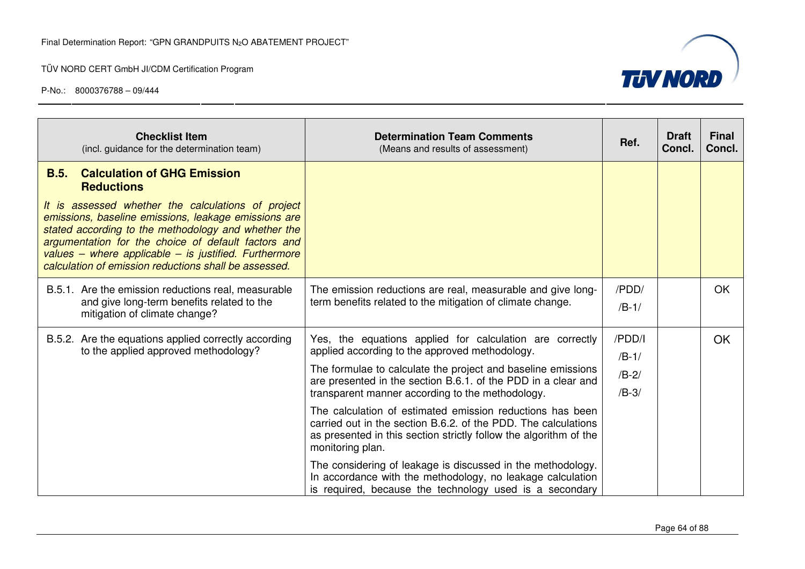

| <b>Checklist Item</b><br>(incl. guidance for the determination team)                                                                                                                                                                                                                                                                       | <b>Determination Team Comments</b><br>(Means and results of assessment)                                                                                                                                              | Ref.             | <b>Draft</b><br>Concl. | <b>Final</b><br>Concl. |
|--------------------------------------------------------------------------------------------------------------------------------------------------------------------------------------------------------------------------------------------------------------------------------------------------------------------------------------------|----------------------------------------------------------------------------------------------------------------------------------------------------------------------------------------------------------------------|------------------|------------------------|------------------------|
| <b>Calculation of GHG Emission</b><br>B.5.<br><b>Reductions</b>                                                                                                                                                                                                                                                                            |                                                                                                                                                                                                                      |                  |                        |                        |
| It is assessed whether the calculations of project<br>emissions, baseline emissions, leakage emissions are<br>stated according to the methodology and whether the<br>argumentation for the choice of default factors and<br>values – where applicable – is justified. Furthermore<br>calculation of emission reductions shall be assessed. |                                                                                                                                                                                                                      |                  |                        |                        |
| B.5.1. Are the emission reductions real, measurable<br>and give long-term benefits related to the<br>mitigation of climate change?                                                                                                                                                                                                         | The emission reductions are real, measurable and give long-<br>term benefits related to the mitigation of climate change.                                                                                            | /PDD/<br>$/B-1/$ |                        | <b>OK</b>              |
| B.5.2. Are the equations applied correctly according<br>to the applied approved methodology?                                                                                                                                                                                                                                               | Yes, the equations applied for calculation are correctly<br>applied according to the approved methodology.                                                                                                           | /PDD/I           |                        | OK                     |
|                                                                                                                                                                                                                                                                                                                                            | The formulae to calculate the project and baseline emissions<br>are presented in the section B.6.1. of the PDD in a clear and                                                                                        | $/B-1/$          |                        |                        |
|                                                                                                                                                                                                                                                                                                                                            |                                                                                                                                                                                                                      | $/B-2/$          |                        |                        |
|                                                                                                                                                                                                                                                                                                                                            | transparent manner according to the methodology.                                                                                                                                                                     | $/B-3/$          |                        |                        |
|                                                                                                                                                                                                                                                                                                                                            | The calculation of estimated emission reductions has been<br>carried out in the section B.6.2. of the PDD. The calculations<br>as presented in this section strictly follow the algorithm of the<br>monitoring plan. |                  |                        |                        |
|                                                                                                                                                                                                                                                                                                                                            | The considering of leakage is discussed in the methodology.<br>In accordance with the methodology, no leakage calculation<br>is required, because the technology used is a secondary                                 |                  |                        |                        |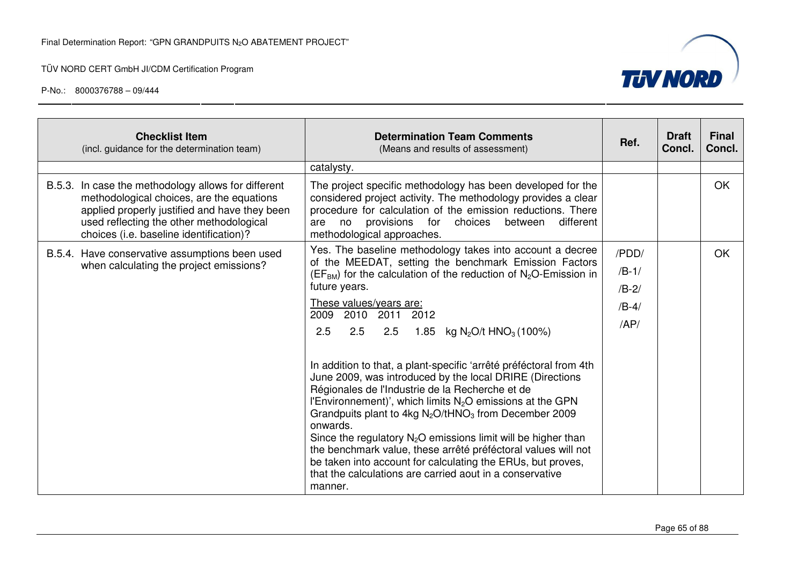

| <b>Checklist Item</b><br>(incl. guidance for the determination team)                                                                                                                                                                     | <b>Determination Team Comments</b><br>(Means and results of assessment)                                                                                                                                                                                                                                                                                                                                                                                                                                                                                                                                                                                                                                                                                                                                                                                                                                                                                                             | Ref.                                          | <b>Draft</b><br>Concl. | <b>Final</b><br>Concl. |
|------------------------------------------------------------------------------------------------------------------------------------------------------------------------------------------------------------------------------------------|-------------------------------------------------------------------------------------------------------------------------------------------------------------------------------------------------------------------------------------------------------------------------------------------------------------------------------------------------------------------------------------------------------------------------------------------------------------------------------------------------------------------------------------------------------------------------------------------------------------------------------------------------------------------------------------------------------------------------------------------------------------------------------------------------------------------------------------------------------------------------------------------------------------------------------------------------------------------------------------|-----------------------------------------------|------------------------|------------------------|
|                                                                                                                                                                                                                                          | catalysty.                                                                                                                                                                                                                                                                                                                                                                                                                                                                                                                                                                                                                                                                                                                                                                                                                                                                                                                                                                          |                                               |                        |                        |
| B.5.3. In case the methodology allows for different<br>methodological choices, are the equations<br>applied properly justified and have they been<br>used reflecting the other methodological<br>choices (i.e. baseline identification)? | The project specific methodology has been developed for the<br>considered project activity. The methodology provides a clear<br>procedure for calculation of the emission reductions. There<br>provisions for<br>choices<br>between<br>different<br>are<br>no<br>methodological approaches.                                                                                                                                                                                                                                                                                                                                                                                                                                                                                                                                                                                                                                                                                         |                                               |                        | <b>OK</b>              |
| B.5.4. Have conservative assumptions been used<br>when calculating the project emissions?                                                                                                                                                | Yes. The baseline methodology takes into account a decree<br>of the MEEDAT, setting the benchmark Emission Factors<br>$(EFBM)$ for the calculation of the reduction of N <sub>2</sub> O-Emission in<br>future years.<br>These values/years are:<br>2009<br>2010 2011 2012<br>2.5<br>2.5<br>kg N <sub>2</sub> O/t HNO <sub>3</sub> (100%)<br>2.5<br>1.85<br>In addition to that, a plant-specific 'arrêté préféctoral from 4th<br>June 2009, was introduced by the local DRIRE (Directions<br>Régionales de l'Industrie de la Recherche et de<br>l'Environnement)', which limits N <sub>2</sub> O emissions at the GPN<br>Grandpuits plant to 4kg $N_2O$ /tHNO <sub>3</sub> from December 2009<br>onwards.<br>Since the regulatory $N_2O$ emissions limit will be higher than<br>the benchmark value, these arrêté préféctoral values will not<br>be taken into account for calculating the ERUs, but proves,<br>that the calculations are carried aout in a conservative<br>manner. | /PDD/<br>$/B-1/$<br>$/B-2/$<br>$/B-4/$<br>AP/ |                        | <b>OK</b>              |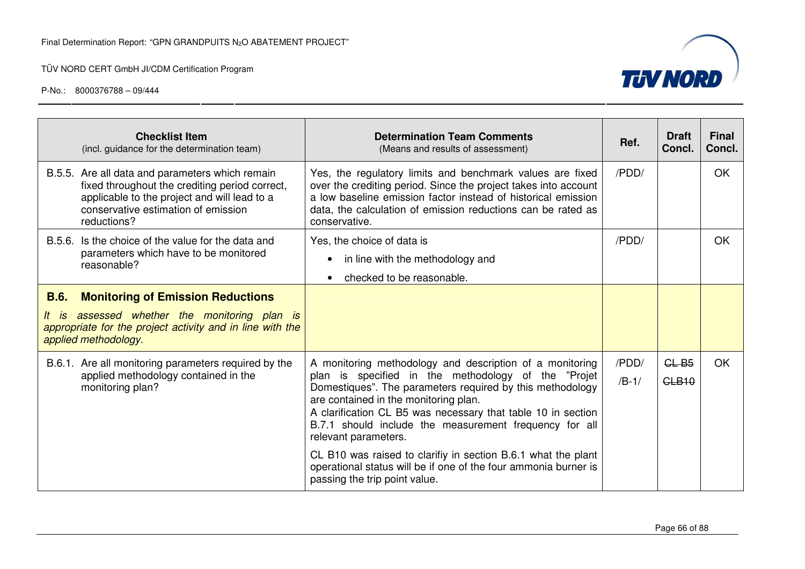

|                                                                                                                                          | <b>Checklist Item</b><br>(incl. guidance for the determination team)                                                                                                                                    | <b>Determination Team Comments</b><br>(Means and results of assessment)                                                                                                                                                                                                                                                                                                                                                                                                                                                                      | Ref.             | <b>Draft</b><br>Concl.  | <b>Final</b><br>Concl. |
|------------------------------------------------------------------------------------------------------------------------------------------|---------------------------------------------------------------------------------------------------------------------------------------------------------------------------------------------------------|----------------------------------------------------------------------------------------------------------------------------------------------------------------------------------------------------------------------------------------------------------------------------------------------------------------------------------------------------------------------------------------------------------------------------------------------------------------------------------------------------------------------------------------------|------------------|-------------------------|------------------------|
|                                                                                                                                          | B.5.5. Are all data and parameters which remain<br>fixed throughout the crediting period correct,<br>applicable to the project and will lead to a<br>conservative estimation of emission<br>reductions? | Yes, the regulatory limits and benchmark values are fixed<br>over the crediting period. Since the project takes into account<br>a low baseline emission factor instead of historical emission<br>data, the calculation of emission reductions can be rated as<br>conservative.                                                                                                                                                                                                                                                               | /PDD/            |                         | <b>OK</b>              |
|                                                                                                                                          | B.5.6. Is the choice of the value for the data and<br>parameters which have to be monitored<br>reasonable?                                                                                              | Yes, the choice of data is<br>in line with the methodology and<br>checked to be reasonable.                                                                                                                                                                                                                                                                                                                                                                                                                                                  | /PDD/            |                         | OK                     |
| <b>B.6.</b>                                                                                                                              | <b>Monitoring of Emission Reductions</b><br>It is assessed whether the monitoring plan is<br>appropriate for the project activity and in line with the                                                  |                                                                                                                                                                                                                                                                                                                                                                                                                                                                                                                                              |                  |                         |                        |
| applied methodology.<br>B.6.1. Are all monitoring parameters required by the<br>applied methodology contained in the<br>monitoring plan? |                                                                                                                                                                                                         | A monitoring methodology and description of a monitoring<br>plan is specified in the methodology of the "Projet<br>Domestiques". The parameters required by this methodology<br>are contained in the monitoring plan.<br>A clarification CL B5 was necessary that table 10 in section<br>B.7.1 should include the measurement frequency for all<br>relevant parameters.<br>CL B10 was raised to clarifiy in section B.6.1 what the plant<br>operational status will be if one of the four ammonia burner is<br>passing the trip point value. | /PDD/<br>$/B-1/$ | $GL-B5$<br><b>CLB10</b> | <b>OK</b>              |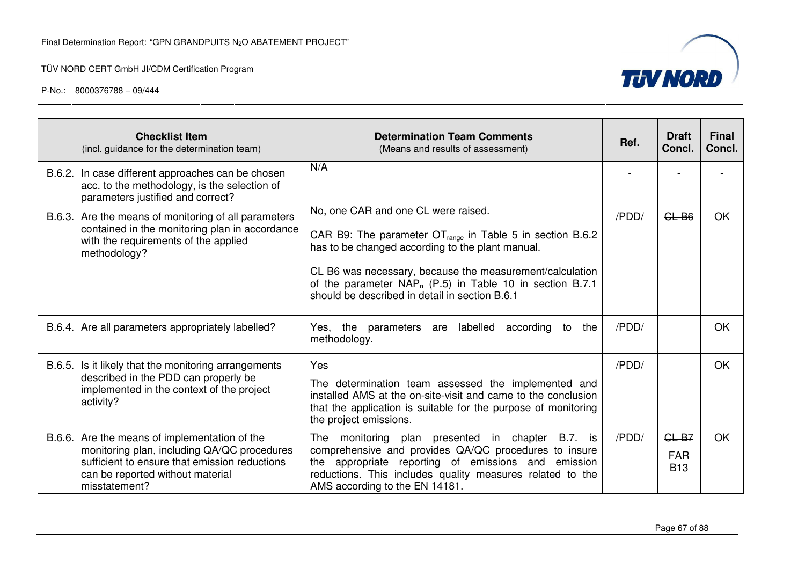

|        | <b>Checklist Item</b><br>(incl. guidance for the determination team)                                                                                                                               | <b>Determination Team Comments</b><br>(Means and results of assessment)                                                                                                                                                                                                                                                                         | Ref.  | <b>Draft</b><br>Concl.              | <b>Final</b><br>Concl. |
|--------|----------------------------------------------------------------------------------------------------------------------------------------------------------------------------------------------------|-------------------------------------------------------------------------------------------------------------------------------------------------------------------------------------------------------------------------------------------------------------------------------------------------------------------------------------------------|-------|-------------------------------------|------------------------|
| B.6.2. | In case different approaches can be chosen<br>acc. to the methodology, is the selection of<br>parameters justified and correct?                                                                    | N/A                                                                                                                                                                                                                                                                                                                                             |       |                                     |                        |
|        | B.6.3. Are the means of monitoring of all parameters<br>contained in the monitoring plan in accordance<br>with the requirements of the applied<br>methodology?                                     | No, one CAR and one CL were raised.<br>CAR B9: The parameter $OT_{range}$ in Table 5 in section B.6.2<br>has to be changed according to the plant manual.<br>CL B6 was necessary, because the measurement/calculation<br>of the parameter NAP <sub>n</sub> (P.5) in Table 10 in section B.7.1<br>should be described in detail in section B.6.1 | /PDD/ | $GL-B6$                             | <b>OK</b>              |
|        | B.6.4. Are all parameters appropriately labelled?                                                                                                                                                  | labelled<br>according<br>Yes, the<br>parameters are<br>to<br>the<br>methodology.                                                                                                                                                                                                                                                                | /PDD/ |                                     | <b>OK</b>              |
| B.6.5. | Is it likely that the monitoring arrangements<br>described in the PDD can properly be<br>implemented in the context of the project<br>activity?                                                    | Yes<br>The determination team assessed the implemented and<br>installed AMS at the on-site-visit and came to the conclusion<br>that the application is suitable for the purpose of monitoring<br>the project emissions.                                                                                                                         | /PDD/ |                                     | <b>OK</b>              |
|        | B.6.6. Are the means of implementation of the<br>monitoring plan, including QA/QC procedures<br>sufficient to ensure that emission reductions<br>can be reported without material<br>misstatement? | The monitoring plan presented in chapter<br><b>B.7.</b> is<br>comprehensive and provides QA/QC procedures to insure<br>the appropriate reporting of emissions and emission<br>reductions. This includes quality measures related to the<br>AMS according to the EN 14181.                                                                       | /PDD/ | $GL-B7$<br><b>FAR</b><br><b>B13</b> | <b>OK</b>              |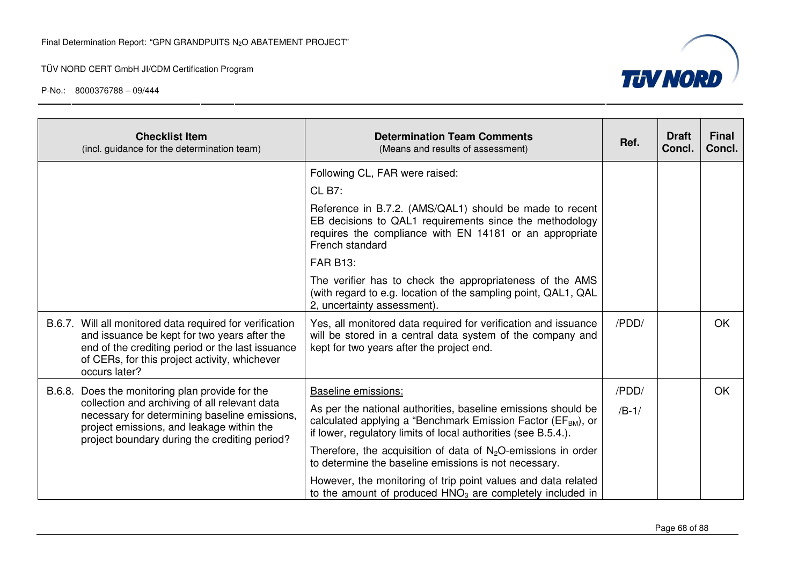

| <b>Checklist Item</b><br>(incl. guidance for the determination team)                                                                                                                                                           | <b>Determination Team Comments</b><br>(Means and results of assessment)                                                                                                                                     | Ref.    | <b>Draft</b><br>Concl. | <b>Final</b><br>Concl. |
|--------------------------------------------------------------------------------------------------------------------------------------------------------------------------------------------------------------------------------|-------------------------------------------------------------------------------------------------------------------------------------------------------------------------------------------------------------|---------|------------------------|------------------------|
|                                                                                                                                                                                                                                | Following CL, FAR were raised:                                                                                                                                                                              |         |                        |                        |
|                                                                                                                                                                                                                                | <b>CL B7:</b>                                                                                                                                                                                               |         |                        |                        |
|                                                                                                                                                                                                                                | Reference in B.7.2. (AMS/QAL1) should be made to recent<br>EB decisions to QAL1 requirements since the methodology<br>requires the compliance with EN 14181 or an appropriate<br>French standard            |         |                        |                        |
|                                                                                                                                                                                                                                | <b>FAR B13:</b>                                                                                                                                                                                             |         |                        |                        |
|                                                                                                                                                                                                                                | The verifier has to check the appropriateness of the AMS<br>(with regard to e.g. location of the sampling point, QAL1, QAL<br>2, uncertainty assessment).                                                   |         |                        |                        |
| B.6.7. Will all monitored data required for verification<br>and issuance be kept for two years after the<br>end of the crediting period or the last issuance<br>of CERs, for this project activity, whichever<br>occurs later? | Yes, all monitored data required for verification and issuance<br>will be stored in a central data system of the company and<br>kept for two years after the project end.                                   | /PDD/   |                        | <b>OK</b>              |
| B.6.8. Does the monitoring plan provide for the                                                                                                                                                                                | Baseline emissions:                                                                                                                                                                                         | /PDD/   |                        | <b>OK</b>              |
| collection and archiving of all relevant data<br>necessary for determining baseline emissions,<br>project emissions, and leakage within the<br>project boundary during the crediting period?                                   | As per the national authorities, baseline emissions should be<br>calculated applying a "Benchmark Emission Factor (EF <sub>BM</sub> ), or<br>if lower, regulatory limits of local authorities (see B.5.4.). | $/B-1/$ |                        |                        |
|                                                                                                                                                                                                                                | Therefore, the acquisition of data of $N_2O$ -emissions in order<br>to determine the baseline emissions is not necessary.                                                                                   |         |                        |                        |
|                                                                                                                                                                                                                                | However, the monitoring of trip point values and data related<br>to the amount of produced $HNO3$ are completely included in                                                                                |         |                        |                        |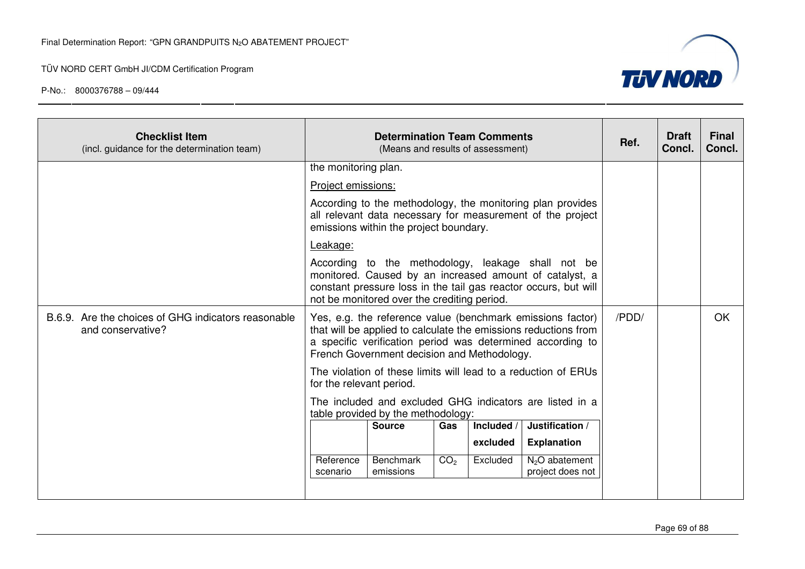

| <b>Checklist Item</b><br>(incl. guidance for the determination team)     |                          | <b>Determination Team Comments</b><br>(Means and results of assessment)                                                                                                                                                         | Ref.            | <b>Draft</b><br><b>Concl.</b> | <b>Final</b><br>Concl.                                                                                                                                                                      |       |  |           |
|--------------------------------------------------------------------------|--------------------------|---------------------------------------------------------------------------------------------------------------------------------------------------------------------------------------------------------------------------------|-----------------|-------------------------------|---------------------------------------------------------------------------------------------------------------------------------------------------------------------------------------------|-------|--|-----------|
|                                                                          |                          | the monitoring plan.                                                                                                                                                                                                            |                 |                               |                                                                                                                                                                                             |       |  |           |
|                                                                          | Project emissions:       |                                                                                                                                                                                                                                 |                 |                               |                                                                                                                                                                                             |       |  |           |
|                                                                          |                          | emissions within the project boundary.                                                                                                                                                                                          |                 |                               | According to the methodology, the monitoring plan provides<br>all relevant data necessary for measurement of the project                                                                    |       |  |           |
|                                                                          | Leakage:                 |                                                                                                                                                                                                                                 |                 |                               |                                                                                                                                                                                             |       |  |           |
|                                                                          |                          | According to the methodology, leakage shall not be<br>monitored. Caused by an increased amount of catalyst, a<br>constant pressure loss in the tail gas reactor occurs, but will<br>not be monitored over the crediting period. |                 |                               |                                                                                                                                                                                             |       |  |           |
| B.6.9. Are the choices of GHG indicators reasonable<br>and conservative? |                          | French Government decision and Methodology.                                                                                                                                                                                     |                 |                               | Yes, e.g. the reference value (benchmark emissions factor)<br>that will be applied to calculate the emissions reductions from<br>a specific verification period was determined according to | /PDD/ |  | <b>OK</b> |
|                                                                          | for the relevant period. |                                                                                                                                                                                                                                 |                 |                               | The violation of these limits will lead to a reduction of ERUs                                                                                                                              |       |  |           |
|                                                                          |                          | table provided by the methodology:                                                                                                                                                                                              |                 |                               | The included and excluded GHG indicators are listed in a                                                                                                                                    |       |  |           |
|                                                                          |                          | <b>Source</b>                                                                                                                                                                                                                   | Gas             | Included /                    | Justification /                                                                                                                                                                             |       |  |           |
|                                                                          |                          |                                                                                                                                                                                                                                 |                 | excluded                      | <b>Explanation</b>                                                                                                                                                                          |       |  |           |
|                                                                          | Reference<br>scenario    | <b>Benchmark</b><br>emissions                                                                                                                                                                                                   | CO <sub>2</sub> | Excluded                      | $N2O$ abatement<br>project does not                                                                                                                                                         |       |  |           |
|                                                                          |                          |                                                                                                                                                                                                                                 |                 |                               |                                                                                                                                                                                             |       |  |           |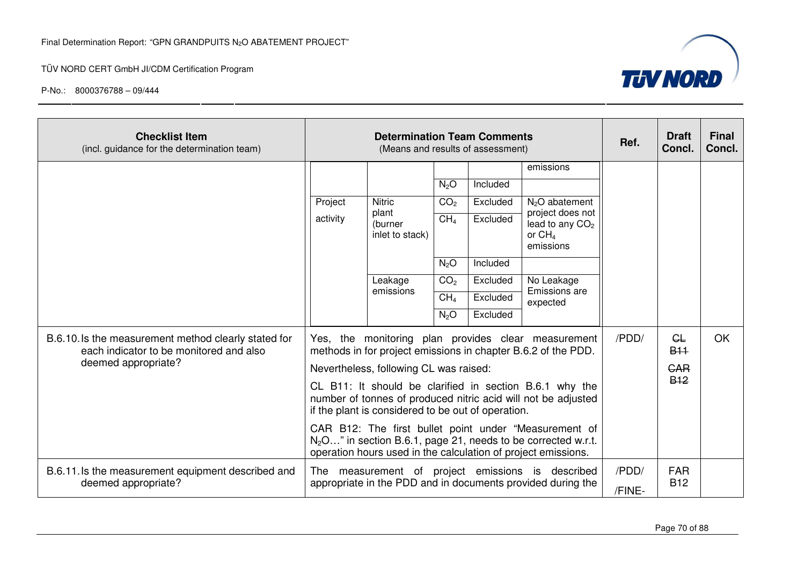

| <b>Checklist Item</b><br>(incl. guidance for the determination team)                                                   | <b>Determination Team Comments</b><br>(Means and results of assessment)                                                                                                                             |                                                                              |                  |          | Ref.                                                                                                                                              | <b>Draft</b><br>Concl.      | <b>Final</b><br>Concl. |  |
|------------------------------------------------------------------------------------------------------------------------|-----------------------------------------------------------------------------------------------------------------------------------------------------------------------------------------------------|------------------------------------------------------------------------------|------------------|----------|---------------------------------------------------------------------------------------------------------------------------------------------------|-----------------------------|------------------------|--|
|                                                                                                                        |                                                                                                                                                                                                     |                                                                              |                  |          | emissions                                                                                                                                         |                             |                        |  |
|                                                                                                                        |                                                                                                                                                                                                     |                                                                              | $N_2O$           | Included |                                                                                                                                                   |                             |                        |  |
|                                                                                                                        | Project<br>activity                                                                                                                                                                                 | <b>Nitric</b><br>plant<br>(burner<br>inlet to stack)<br>Leakage<br>emissions | CO <sub>2</sub>  | Excluded | N <sub>2</sub> O abatement<br>project does not<br>lead to any CO <sub>2</sub><br>or $CH4$<br>emissions<br>No Leakage<br>Emissions are<br>expected |                             |                        |  |
|                                                                                                                        |                                                                                                                                                                                                     |                                                                              | CH <sub>4</sub>  | Excluded |                                                                                                                                                   |                             |                        |  |
|                                                                                                                        |                                                                                                                                                                                                     |                                                                              | N <sub>2</sub> O | Included |                                                                                                                                                   |                             |                        |  |
|                                                                                                                        |                                                                                                                                                                                                     |                                                                              | CO <sub>2</sub>  | Excluded |                                                                                                                                                   |                             |                        |  |
|                                                                                                                        |                                                                                                                                                                                                     |                                                                              | CH <sub>4</sub>  | Excluded |                                                                                                                                                   |                             |                        |  |
|                                                                                                                        |                                                                                                                                                                                                     |                                                                              | N <sub>2</sub> O | Excluded |                                                                                                                                                   |                             |                        |  |
| B.6.10. Is the measurement method clearly stated for<br>each indicator to be monitored and also<br>deemed appropriate? | Yes, the monitoring plan provides clear measurement<br>methods in for project emissions in chapter B.6.2 of the PDD.                                                                                |                                                                              |                  |          | /PDD/                                                                                                                                             | GL<br><b>B<sub>11</sub></b> | OK.                    |  |
|                                                                                                                        | Nevertheless, following CL was raised:                                                                                                                                                              |                                                                              |                  |          |                                                                                                                                                   | <b>GAR</b>                  |                        |  |
|                                                                                                                        | CL B11: It should be clarified in section B.6.1 why the<br>number of tonnes of produced nitric acid will not be adjusted<br>if the plant is considered to be out of operation.                      |                                                                              |                  |          |                                                                                                                                                   | <b>B<sub>12</sub></b>       |                        |  |
|                                                                                                                        | CAR B12: The first bullet point under "Measurement of<br>N <sub>2</sub> O" in section B.6.1, page 21, needs to be corrected w.r.t.<br>operation hours used in the calculation of project emissions. |                                                                              |                  |          |                                                                                                                                                   |                             |                        |  |
| B.6.11. Is the measurement equipment described and<br>deemed appropriate?                                              | measurement of project emissions is described<br>The<br>appropriate in the PDD and in documents provided during the                                                                                 |                                                                              |                  |          | /PDD/<br>/FINE-                                                                                                                                   | <b>FAR</b><br><b>B12</b>    |                        |  |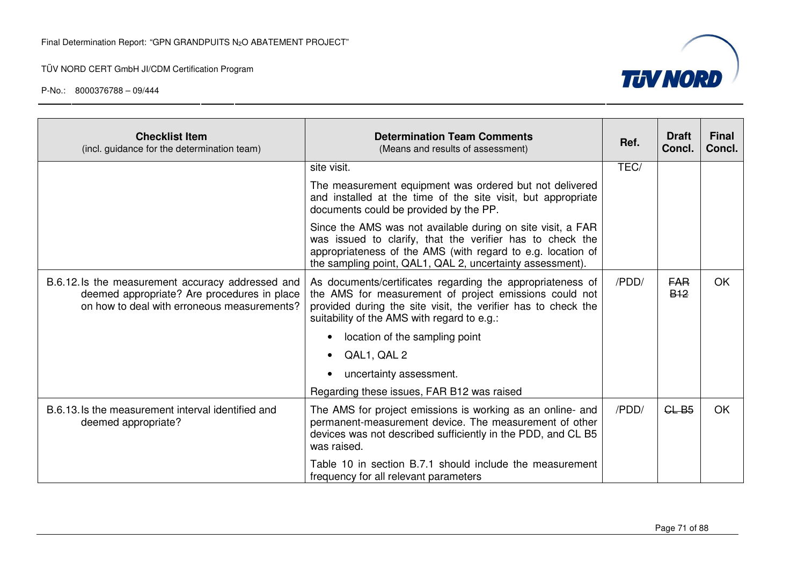

| <b>Checklist Item</b><br>(incl. guidance for the determination team)                                                                            | <b>Determination Team Comments</b><br>(Means and results of assessment)                                                                                                                                                                              | Ref.  | <b>Draft</b><br>Concl.              | <b>Final</b><br>Concl. |
|-------------------------------------------------------------------------------------------------------------------------------------------------|------------------------------------------------------------------------------------------------------------------------------------------------------------------------------------------------------------------------------------------------------|-------|-------------------------------------|------------------------|
|                                                                                                                                                 | site visit.                                                                                                                                                                                                                                          |       |                                     |                        |
|                                                                                                                                                 | The measurement equipment was ordered but not delivered<br>and installed at the time of the site visit, but appropriate<br>documents could be provided by the PP.                                                                                    |       |                                     |                        |
|                                                                                                                                                 | Since the AMS was not available during on site visit, a FAR<br>was issued to clarify, that the verifier has to check the<br>appropriateness of the AMS (with regard to e.g. location of<br>the sampling point, QAL1, QAL 2, uncertainty assessment). |       |                                     |                        |
| B.6.12. Is the measurement accuracy addressed and<br>deemed appropriate? Are procedures in place<br>on how to deal with erroneous measurements? | As documents/certificates regarding the appropriateness of<br>the AMS for measurement of project emissions could not<br>provided during the site visit, the verifier has to check the<br>suitability of the AMS with regard to e.g.:                 |       | <b>FAR</b><br><b>B<sub>12</sub></b> | <b>OK</b>              |
|                                                                                                                                                 | location of the sampling point                                                                                                                                                                                                                       |       |                                     |                        |
|                                                                                                                                                 | QAL1, QAL 2                                                                                                                                                                                                                                          |       |                                     |                        |
|                                                                                                                                                 | uncertainty assessment.                                                                                                                                                                                                                              |       |                                     |                        |
|                                                                                                                                                 | Regarding these issues, FAR B12 was raised                                                                                                                                                                                                           |       |                                     |                        |
| B.6.13. Is the measurement interval identified and<br>deemed appropriate?                                                                       | The AMS for project emissions is working as an online- and<br>permanent-measurement device. The measurement of other<br>devices was not described sufficiently in the PDD, and CL B5<br>was raised.                                                  | /PDD/ | CLB5                                | <b>OK</b>              |
|                                                                                                                                                 | Table 10 in section B.7.1 should include the measurement<br>frequency for all relevant parameters                                                                                                                                                    |       |                                     |                        |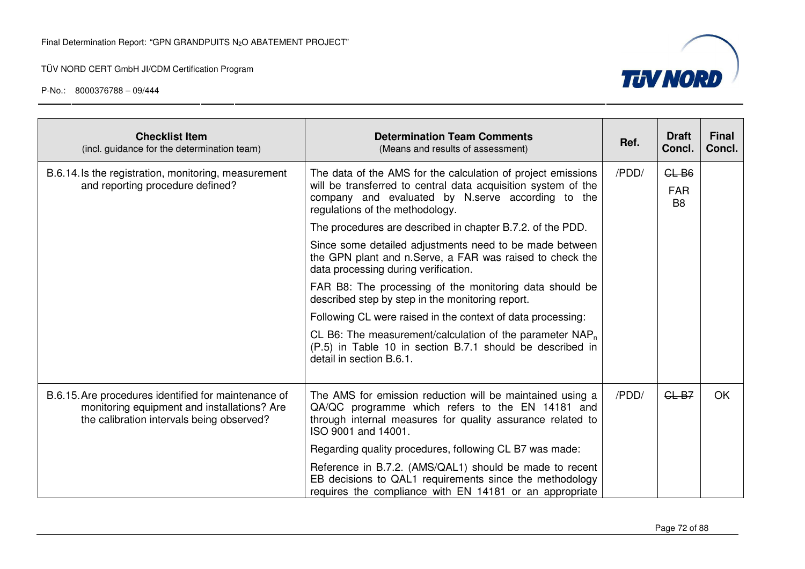

| <b>Checklist Item</b><br>(incl. guidance for the determination team)                                                                             | <b>Determination Team Comments</b><br>(Means and results of assessment)                                                                                                                                                                                                             | Ref. | <b>Draft</b><br>Concl.                  | <b>Final</b><br>Concl. |
|--------------------------------------------------------------------------------------------------------------------------------------------------|-------------------------------------------------------------------------------------------------------------------------------------------------------------------------------------------------------------------------------------------------------------------------------------|------|-----------------------------------------|------------------------|
| B.6.14. Is the registration, monitoring, measurement<br>and reporting procedure defined?                                                         | The data of the AMS for the calculation of project emissions<br>will be transferred to central data acquisition system of the<br>company and evaluated by N.serve according to the<br>regulations of the methodology.<br>The procedures are described in chapter B.7.2. of the PDD. |      | $GL-B6$<br><b>FAR</b><br>B <sub>8</sub> |                        |
|                                                                                                                                                  |                                                                                                                                                                                                                                                                                     |      |                                         |                        |
|                                                                                                                                                  | Since some detailed adjustments need to be made between<br>the GPN plant and n.Serve, a FAR was raised to check the<br>data processing during verification.                                                                                                                         |      |                                         |                        |
|                                                                                                                                                  | FAR B8: The processing of the monitoring data should be<br>described step by step in the monitoring report.                                                                                                                                                                         |      |                                         |                        |
|                                                                                                                                                  | Following CL were raised in the context of data processing:                                                                                                                                                                                                                         |      |                                         |                        |
|                                                                                                                                                  | CL B6: The measurement/calculation of the parameter $NAP_n$<br>(P.5) in Table 10 in section B.7.1 should be described in<br>detail in section B.6.1.                                                                                                                                |      |                                         |                        |
| B.6.15. Are procedures identified for maintenance of<br>monitoring equipment and installations? Are<br>the calibration intervals being observed? | The AMS for emission reduction will be maintained using a<br>QA/QC programme which refers to the EN 14181 and<br>through internal measures for quality assurance related to<br>ISO 9001 and 14001.                                                                                  |      | $GL-B7$                                 | <b>OK</b>              |
|                                                                                                                                                  | Regarding quality procedures, following CL B7 was made:                                                                                                                                                                                                                             |      |                                         |                        |
|                                                                                                                                                  | Reference in B.7.2. (AMS/QAL1) should be made to recent<br>EB decisions to QAL1 requirements since the methodology<br>requires the compliance with EN 14181 or an appropriate                                                                                                       |      |                                         |                        |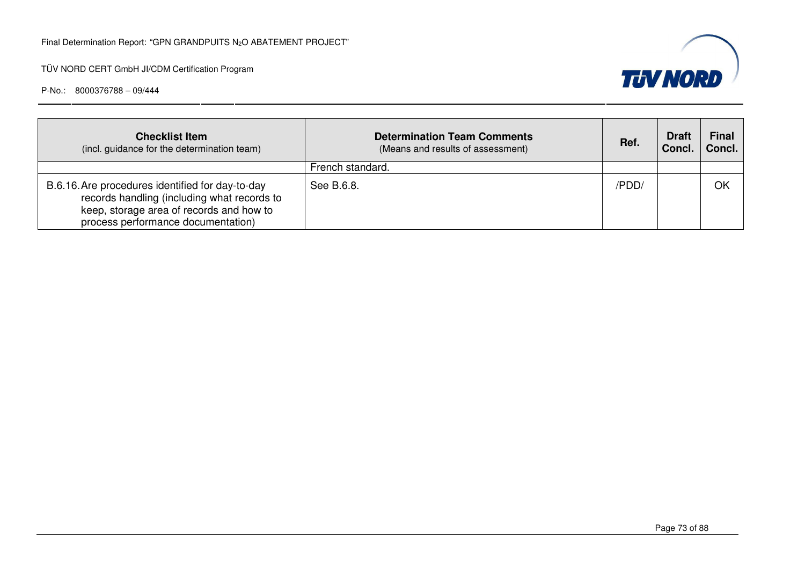

| <b>Checklist Item</b><br>(incl. guidance for the determination team)                                                                                                              | <b>Determination Team Comments</b><br>(Means and results of assessment) | Ref.  | <b>Draft</b><br>Concl. | <b>Final</b><br>Concl. |
|-----------------------------------------------------------------------------------------------------------------------------------------------------------------------------------|-------------------------------------------------------------------------|-------|------------------------|------------------------|
|                                                                                                                                                                                   | French standard.                                                        |       |                        |                        |
| B.6.16. Are procedures identified for day-to-day<br>records handling (including what records to<br>keep, storage area of records and how to<br>process performance documentation) | See B.6.8.                                                              | /PDD/ |                        | OK                     |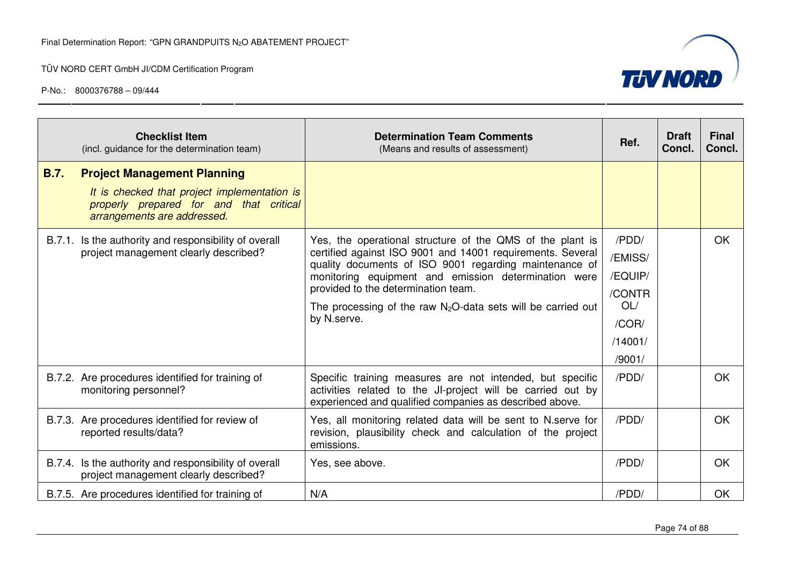

|             | <b>Checklist Item</b><br>(incl. guidance for the determination team)                                                                                         | <b>Determination Team Comments</b><br>(Means and results of assessment)                                                                                                                                                                                                                                                                                            | Ref.                                                                       | <b>Draft</b><br>Concl. | <b>Final</b><br>Concl. |
|-------------|--------------------------------------------------------------------------------------------------------------------------------------------------------------|--------------------------------------------------------------------------------------------------------------------------------------------------------------------------------------------------------------------------------------------------------------------------------------------------------------------------------------------------------------------|----------------------------------------------------------------------------|------------------------|------------------------|
| <b>B.7.</b> | <b>Project Management Planning</b><br>It is checked that project implementation is<br>properly prepared for and that critical<br>arrangements are addressed. |                                                                                                                                                                                                                                                                                                                                                                    |                                                                            |                        |                        |
|             | B.7.1. Is the authority and responsibility of overall<br>project management clearly described?                                                               | Yes, the operational structure of the QMS of the plant is<br>certified against ISO 9001 and 14001 requirements. Several<br>quality documents of ISO 9001 regarding maintenance of<br>monitoring equipment and emission determination were<br>provided to the determination team.<br>The processing of the raw $N_2O$ -data sets will be carried out<br>by N.serve. | /PDD/<br>/EMISS/<br>/EQUIP/<br>/CONTR<br>OL/<br>/COR/<br>/14001/<br>/9001/ |                        | <b>OK</b>              |
|             | B.7.2. Are procedures identified for training of<br>monitoring personnel?                                                                                    | Specific training measures are not intended, but specific<br>activities related to the JI-project will be carried out by<br>experienced and qualified companies as described above.                                                                                                                                                                                | /PDD/                                                                      |                        | OK                     |
|             | B.7.3. Are procedures identified for review of<br>reported results/data?                                                                                     | Yes, all monitoring related data will be sent to N.serve for<br>revision, plausibility check and calculation of the project<br>emissions.                                                                                                                                                                                                                          | /PDD/                                                                      |                        | <b>OK</b>              |
|             | B.7.4. Is the authority and responsibility of overall<br>project management clearly described?                                                               | Yes, see above.                                                                                                                                                                                                                                                                                                                                                    | /PDD/                                                                      |                        | OK.                    |
|             | B.7.5. Are procedures identified for training of                                                                                                             | N/A                                                                                                                                                                                                                                                                                                                                                                | /PDD/                                                                      |                        | OK                     |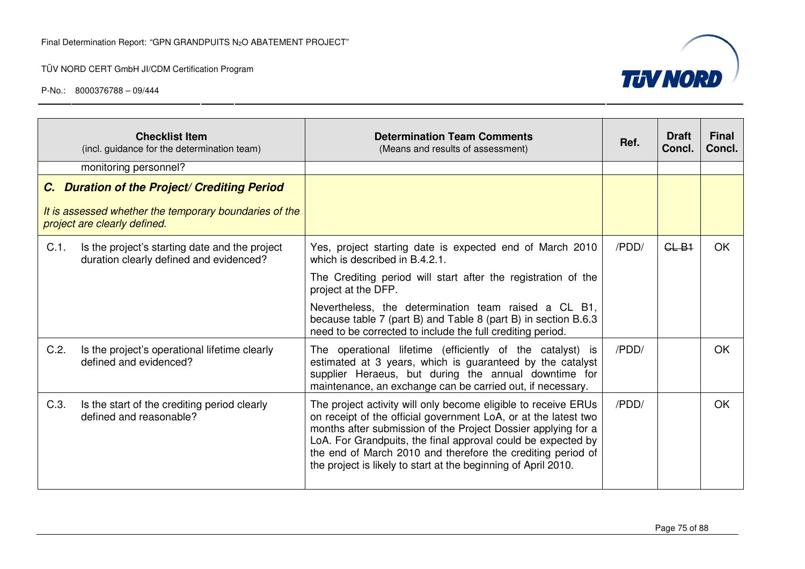

|         | <b>Checklist Item</b><br>(incl. guidance for the determination team)                      | <b>Determination Team Comments</b><br>(Means and results of assessment)                                                                                                                                                                                                                                                                                                                             | Ref.  | <b>Draft</b><br>Concl. | <b>Final</b><br>Concl. |
|---------|-------------------------------------------------------------------------------------------|-----------------------------------------------------------------------------------------------------------------------------------------------------------------------------------------------------------------------------------------------------------------------------------------------------------------------------------------------------------------------------------------------------|-------|------------------------|------------------------|
|         | monitoring personnel?                                                                     |                                                                                                                                                                                                                                                                                                                                                                                                     |       |                        |                        |
|         | C. Duration of the Project/ Crediting Period                                              |                                                                                                                                                                                                                                                                                                                                                                                                     |       |                        |                        |
|         | It is assessed whether the temporary boundaries of the<br>project are clearly defined.    |                                                                                                                                                                                                                                                                                                                                                                                                     |       |                        |                        |
| $C.1$ . | Is the project's starting date and the project<br>duration clearly defined and evidenced? | Yes, project starting date is expected end of March 2010<br>which is described in B.4.2.1.                                                                                                                                                                                                                                                                                                          | /PDD/ | $GL-B1$                | <b>OK</b>              |
|         |                                                                                           | The Crediting period will start after the registration of the<br>project at the DFP.                                                                                                                                                                                                                                                                                                                |       |                        |                        |
|         |                                                                                           | Nevertheless, the determination team raised a CL B1,<br>because table 7 (part B) and Table 8 (part B) in section B.6.3<br>need to be corrected to include the full crediting period.                                                                                                                                                                                                                |       |                        |                        |
| C.2.    | Is the project's operational lifetime clearly<br>defined and evidenced?                   | The operational lifetime (efficiently of the catalyst) is<br>estimated at 3 years, which is guaranteed by the catalyst<br>supplier Heraeus, but during the annual downtime for<br>maintenance, an exchange can be carried out, if necessary.                                                                                                                                                        | /PDD/ |                        | OK                     |
| C.3.    | Is the start of the crediting period clearly<br>defined and reasonable?                   | The project activity will only become eligible to receive ERUs<br>on receipt of the official government LoA, or at the latest two<br>months after submission of the Project Dossier applying for a<br>LoA. For Grandpuits, the final approval could be expected by<br>the end of March 2010 and therefore the crediting period of<br>the project is likely to start at the beginning of April 2010. | /PDD/ |                        | <b>OK</b>              |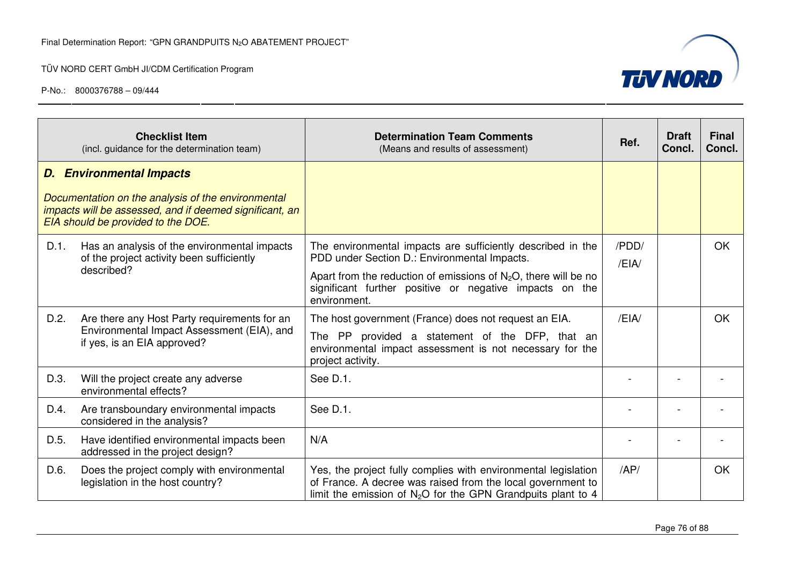

|      | <b>Checklist Item</b><br>(incl. guidance for the determination team)                                                                                | <b>Determination Team Comments</b><br>(Means and results of assessment)                                                                                                                                   | Ref.         | <b>Draft</b><br>Concl. | <b>Final</b><br>Concl. |
|------|-----------------------------------------------------------------------------------------------------------------------------------------------------|-----------------------------------------------------------------------------------------------------------------------------------------------------------------------------------------------------------|--------------|------------------------|------------------------|
|      | <b>D.</b> Environmental Impacts                                                                                                                     |                                                                                                                                                                                                           |              |                        |                        |
|      | Documentation on the analysis of the environmental<br>impacts will be assessed, and if deemed significant, an<br>EIA should be provided to the DOE. |                                                                                                                                                                                                           |              |                        |                        |
| D.1. | Has an analysis of the environmental impacts<br>of the project activity been sufficiently                                                           | The environmental impacts are sufficiently described in the<br>PDD under Section D.: Environmental Impacts.                                                                                               | /PDD/<br>/EH |                        | OK                     |
|      | described?                                                                                                                                          | Apart from the reduction of emissions of $N_2O$ , there will be no<br>significant further positive or negative impacts on the<br>environment.                                                             |              |                        |                        |
| D.2. | Are there any Host Party requirements for an                                                                                                        | The host government (France) does not request an EIA.                                                                                                                                                     | /EIA/        |                        | OK                     |
|      | Environmental Impact Assessment (EIA), and<br>if yes, is an EIA approved?                                                                           | The PP provided a statement of the DFP, that an<br>environmental impact assessment is not necessary for the<br>project activity.                                                                          |              |                        |                        |
| D.3. | Will the project create any adverse<br>environmental effects?                                                                                       | See D.1.                                                                                                                                                                                                  |              |                        |                        |
| D.4. | Are transboundary environmental impacts<br>considered in the analysis?                                                                              | See D.1.                                                                                                                                                                                                  |              |                        |                        |
| D.5. | Have identified environmental impacts been<br>addressed in the project design?                                                                      | N/A                                                                                                                                                                                                       |              |                        |                        |
| D.6. | Does the project comply with environmental<br>legislation in the host country?                                                                      | Yes, the project fully complies with environmental legislation<br>of France. A decree was raised from the local government to<br>limit the emission of N <sub>2</sub> O for the GPN Grandpuits plant to 4 | AP/          |                        | OK                     |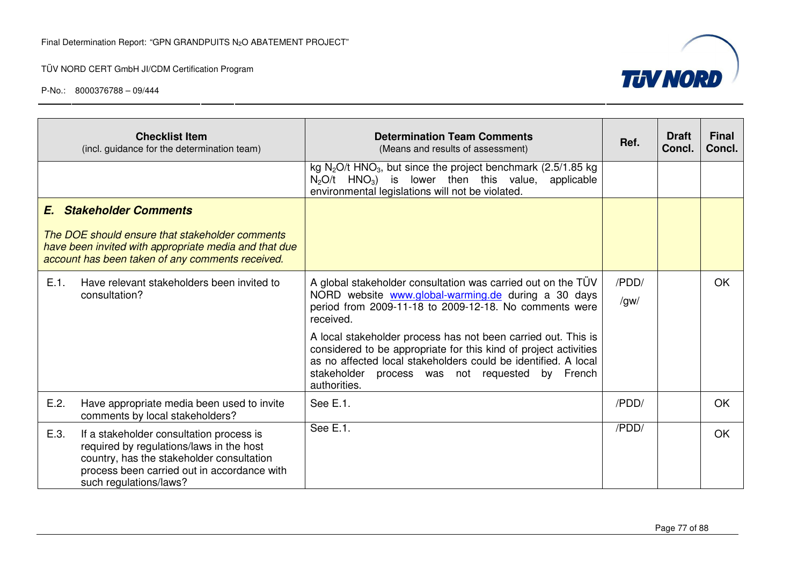

|      | <b>Checklist Item</b><br>(incl. guidance for the determination team)                                                                                                                                       | <b>Determination Team Comments</b><br>(Means and results of assessment)                                                                                                                                                                                                | Ref.          | <b>Draft</b><br>Concl. | <b>Final</b><br>Concl. |
|------|------------------------------------------------------------------------------------------------------------------------------------------------------------------------------------------------------------|------------------------------------------------------------------------------------------------------------------------------------------------------------------------------------------------------------------------------------------------------------------------|---------------|------------------------|------------------------|
|      |                                                                                                                                                                                                            | kg $N_2O/t$ HNO <sub>3</sub> , but since the project benchmark (2.5/1.85 kg<br>$N_2O/t$ HNO <sub>3</sub> ) is lower then this value, applicable<br>environmental legislations will not be violated.                                                                    |               |                        |                        |
|      | <b>E.</b> Stakeholder Comments                                                                                                                                                                             |                                                                                                                                                                                                                                                                        |               |                        |                        |
|      | The DOE should ensure that stakeholder comments<br>have been invited with appropriate media and that due<br>account has been taken of any comments received.                                               |                                                                                                                                                                                                                                                                        |               |                        |                        |
| E.1. | Have relevant stakeholders been invited to<br>consultation?                                                                                                                                                | A global stakeholder consultation was carried out on the TÜV<br>NORD website www.global-warming.de during a 30 days<br>period from 2009-11-18 to 2009-12-18. No comments were<br>received.                                                                             | /PDD/<br>/gw/ |                        | <b>OK</b>              |
|      |                                                                                                                                                                                                            | A local stakeholder process has not been carried out. This is<br>considered to be appropriate for this kind of project activities<br>as no affected local stakeholders could be identified. A local<br>stakeholder process was not requested by French<br>authorities. |               |                        |                        |
| E.2. | Have appropriate media been used to invite<br>comments by local stakeholders?                                                                                                                              | See E.1.                                                                                                                                                                                                                                                               | /PDD/         |                        | <b>OK</b>              |
| E.3. | If a stakeholder consultation process is<br>required by regulations/laws in the host<br>country, has the stakeholder consultation<br>process been carried out in accordance with<br>such regulations/laws? | See E.1.                                                                                                                                                                                                                                                               | /PDD/         |                        | <b>OK</b>              |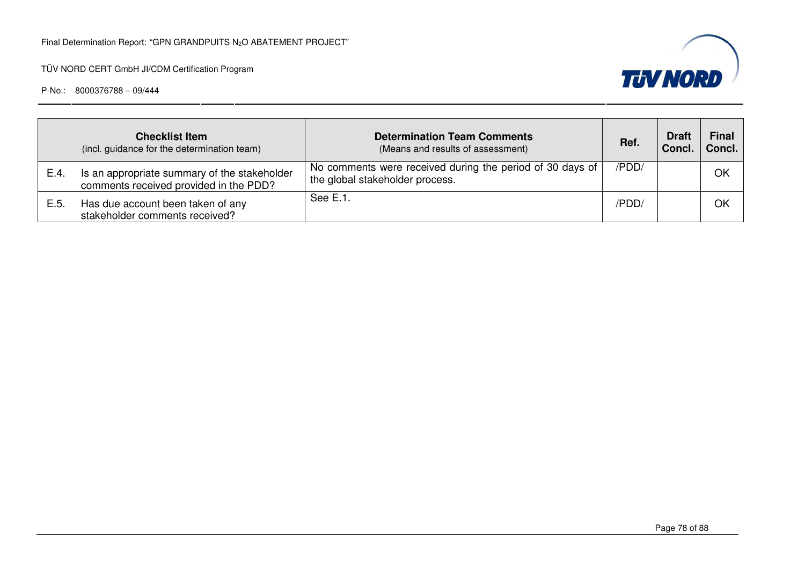

|      | <b>Checklist Item</b><br>(incl. guidance for the determination team)                   | <b>Determination Team Comments</b><br>(Means and results of assessment)                      | Ref.  | <b>Draft</b><br>Concl. | Final<br>Concl. |
|------|----------------------------------------------------------------------------------------|----------------------------------------------------------------------------------------------|-------|------------------------|-----------------|
| E.4. | Is an appropriate summary of the stakeholder<br>comments received provided in the PDD? | No comments were received during the period of 30 days of<br>the global stakeholder process. | /PDD/ |                        | OK              |
| E.5. | Has due account been taken of any<br>stakeholder comments received?                    | See E.1.                                                                                     | /PDD/ |                        | OK              |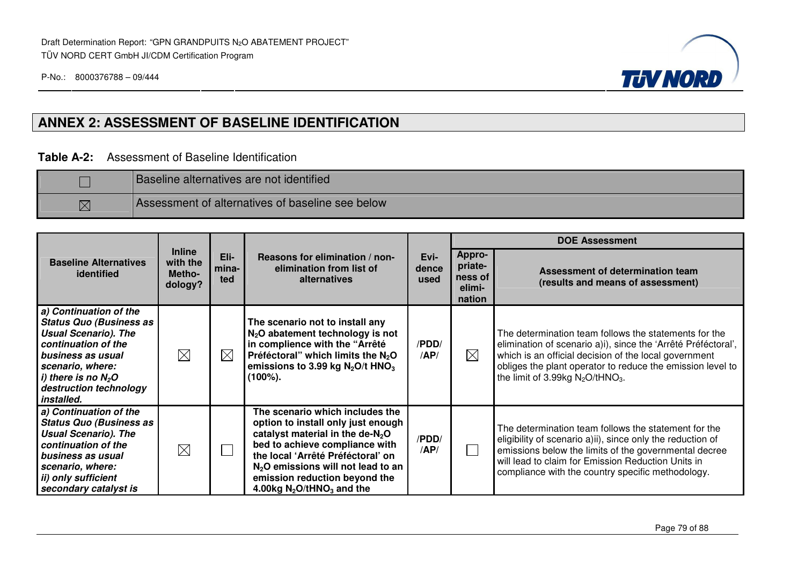

### **ANNEX 2: ASSESSMENT OF BASELINE IDENTIFICATION**

#### **Table A-2:** Assessment of Baseline Identification

|             | <b>Baseline alternatives are not identified</b>  |
|-------------|--------------------------------------------------|
| $\boxtimes$ | Assessment of alternatives of baseline see below |

|                                                                                                                                                                                                                          |                                                |                      |                                                                                                                                                                                                                                                                                                         |               | <b>DOE Assessment</b>                                   |                                                                                                                                                                                                                                                                                                  |
|--------------------------------------------------------------------------------------------------------------------------------------------------------------------------------------------------------------------------|------------------------------------------------|----------------------|---------------------------------------------------------------------------------------------------------------------------------------------------------------------------------------------------------------------------------------------------------------------------------------------------------|---------------|---------------------------------------------------------|--------------------------------------------------------------------------------------------------------------------------------------------------------------------------------------------------------------------------------------------------------------------------------------------------|
| <b>Baseline Alternatives</b><br>identified                                                                                                                                                                               | <b>Inline</b><br>with the<br>Metho-<br>dology? | Eli-<br>mina-<br>ted | Reasons for elimination / non-<br>elimination from list of<br>dence<br>alternatives                                                                                                                                                                                                                     |               | <b>Appro-</b><br>priate-<br>ness of<br>elimi-<br>nation | Assessment of determination team<br>(results and means of assessment)                                                                                                                                                                                                                            |
| a) Continuation of the<br><b>Status Quo (Business as</b><br><b>Usual Scenario). The</b><br>continuation of the<br>business as usual<br>scenario, where:<br>i) there is no $N_2O$<br>destruction technology<br>installed. | $\boxtimes$                                    | $\boxtimes$          | The scenario not to install any<br>$N2O$ abatement technology is not<br>in complience with the "Arrêté<br>Préféctoral" which limits the $N_2O$<br>emissions to 3.99 kg $N_2O/t$ HNO <sub>3</sub><br>$(100\%)$ .                                                                                         | /PDD/<br>/AP/ | $\boxtimes$                                             | The determination team follows the statements for the<br>elimination of scenario a)i), since the 'Arrêté Préféctoral',<br>which is an official decision of the local government<br>obliges the plant operator to reduce the emission level to<br>the limit of 3.99kg $N_2O$ /tHNO <sub>3</sub> . |
| a) Continuation of the<br><b>Status Quo (Business as</b><br><b>Usual Scenario). The</b><br>continuation of the<br>business as usual<br>scenario, where:<br>ii) only sufficient<br>secondary catalyst is                  | $\boxtimes$                                    | $\mathbb{R}^2$       | The scenario which includes the<br>option to install only just enough<br>catalyst material in the de- $N_2O$<br>bed to achieve compliance with<br>the local 'Arrêté Préféctoral' on<br>$N2O$ emissions will not lead to an<br>emission reduction beyond the<br>4.00kg $N_2$ O/tHNO <sub>3</sub> and the | /PDD/<br>AP/  |                                                         | The determination team follows the statement for the<br>eligibility of scenario a)ii), since only the reduction of<br>emissions below the limits of the governmental decree<br>will lead to claim for Emission Reduction Units in<br>compliance with the country specific methodology.           |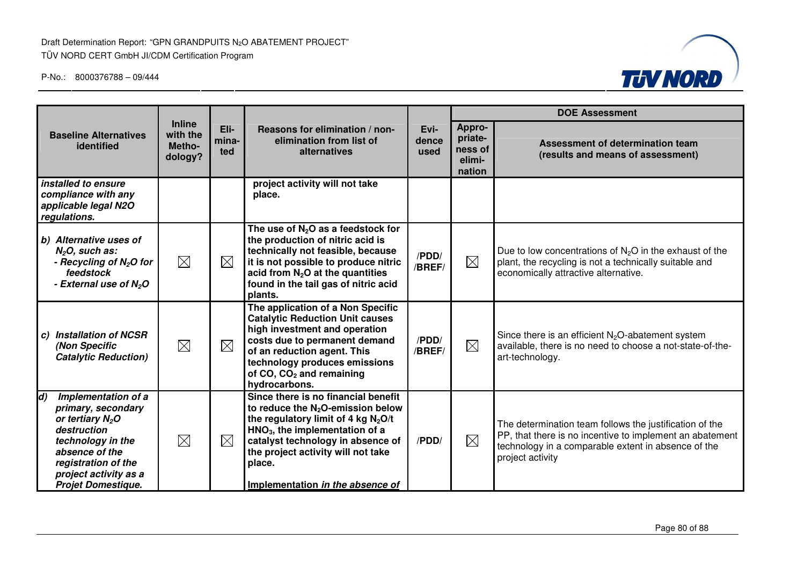

|                                                                                                                                                                                                          |                                                |                      |                                                                                                                                                                                                                                                                                   |                       |                                                  | <b>DOE Assessment</b>                                                                                                                                                                          |
|----------------------------------------------------------------------------------------------------------------------------------------------------------------------------------------------------------|------------------------------------------------|----------------------|-----------------------------------------------------------------------------------------------------------------------------------------------------------------------------------------------------------------------------------------------------------------------------------|-----------------------|--------------------------------------------------|------------------------------------------------------------------------------------------------------------------------------------------------------------------------------------------------|
| <b>Baseline Alternatives</b><br>identified                                                                                                                                                               | <b>Inline</b><br>with the<br>Metho-<br>dology? | Eli-<br>mina-<br>ted | Reasons for elimination / non-<br>elimination from list of<br>alternatives                                                                                                                                                                                                        | Evi-<br>dence<br>used | Appro-<br>priate-<br>ness of<br>elimi-<br>nation | Assessment of determination team<br>(results and means of assessment)                                                                                                                          |
| installed to ensure<br>compliance with any<br>applicable legal N2O<br>regulations.                                                                                                                       |                                                |                      | project activity will not take<br>place.                                                                                                                                                                                                                                          |                       |                                                  |                                                                                                                                                                                                |
| b) Alternative uses of<br>$N2O$ , such as:<br>- Recycling of $N_2O$ for<br>feedstock<br>- External use of N <sub>2</sub> O                                                                               | $\boxtimes$                                    | $\boxtimes$          | The use of $N_2O$ as a feedstock for<br>the production of nitric acid is<br>technically not feasible, because<br>it is not possible to produce nitric<br>acid from $N_2O$ at the quantities<br>found in the tail gas of nitric acid<br>plants.                                    | /PDD/<br>/BREF/       | $\boxtimes$                                      | Due to low concentrations of $N_2O$ in the exhaust of the<br>plant, the recycling is not a technically suitable and<br>economically attractive alternative.                                    |
| <b>Installation of NCSR</b><br>C)<br>(Non Specific<br><b>Catalytic Reduction)</b>                                                                                                                        | $\boxtimes$                                    | $\boxtimes$          | The application of a Non Specific<br><b>Catalytic Reduction Unit causes</b><br>high investment and operation<br>costs due to permanent demand<br>of an reduction agent. This<br>technology produces emissions<br>of CO, CO <sub>2</sub> and remaining<br>hydrocarbons.            | /PDD/<br>/BREF/       | $\boxtimes$                                      | Since there is an efficient $N_2O$ -abatement system<br>available, there is no need to choose a not-state-of-the-<br>art-technology.                                                           |
| d)<br>Implementation of a<br>primary, secondary<br>or tertiary $N_2O$<br>destruction<br>technology in the<br>absence of the<br>registration of the<br>project activity as a<br><b>Projet Domestique.</b> | $\boxtimes$                                    | $\boxtimes$          | Since there is no financial benefit<br>to reduce the $N_2O$ -emission below<br>the regulatory limit of 4 kg $N_2O/t$<br>$HNO3$ , the implementation of a<br>catalyst technology in absence of<br>the project activity will not take<br>place.<br>Implementation in the absence of | /PDD/                 | $\boxtimes$                                      | The determination team follows the justification of the<br>PP, that there is no incentive to implement an abatement<br>technology in a comparable extent in absence of the<br>project activity |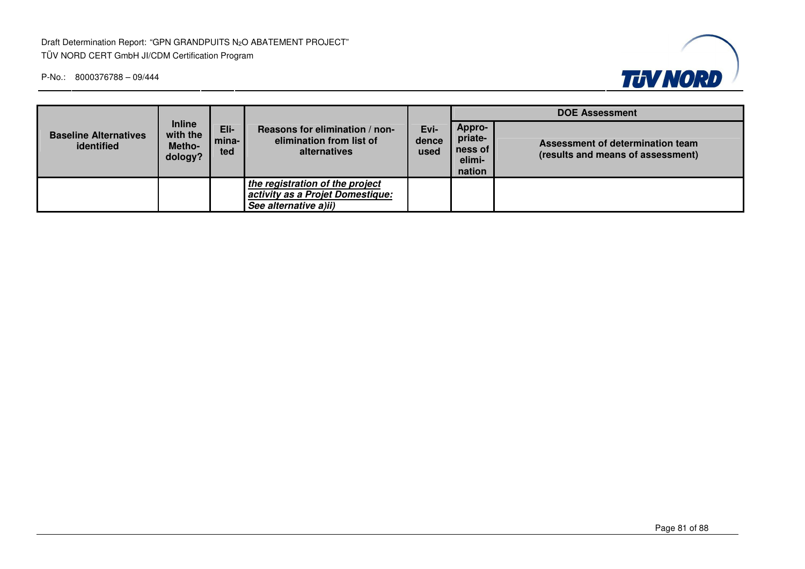Draft Determination Report: "GPN GRANDPUITS N<sub>2</sub>O ABATEMENT PROJECT" TÜV NORD CERT GmbH JI/CDM Certification Program



|                                            | <b>Inline</b><br>with the<br>Metho-<br>dology? | Eli-<br>mina-<br>ted | Reasons for elimination / non-<br>elimination from list of<br>alternatives                   | Evi-<br>dence<br>used | <b>DOE Assessment</b>                            |                                                                       |  |
|--------------------------------------------|------------------------------------------------|----------------------|----------------------------------------------------------------------------------------------|-----------------------|--------------------------------------------------|-----------------------------------------------------------------------|--|
| <b>Baseline Alternatives</b><br>identified |                                                |                      |                                                                                              |                       | Appro-<br>priate-<br>ness of<br>elimi-<br>nation | Assessment of determination team<br>(results and means of assessment) |  |
|                                            |                                                |                      | the registration of the project<br>activity as a Projet Domestique:<br>See alternative a)ii) |                       |                                                  |                                                                       |  |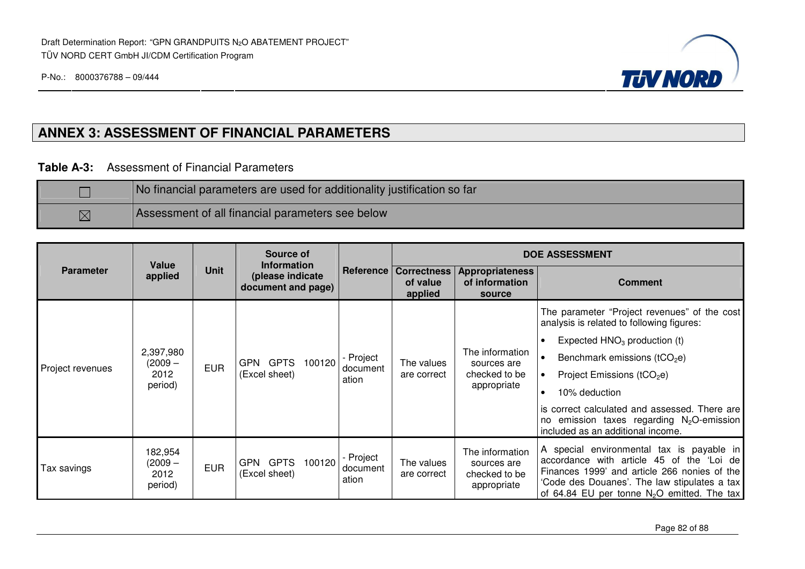

# **ANNEX 3: ASSESSMENT OF FINANCIAL PARAMETERS**

**Table A-3:** Assessment of Financial Parameters

|             | No financial parameters are used for additionality justification so far |
|-------------|-------------------------------------------------------------------------|
| $\boxtimes$ | Assessment of all financial parameters see below                        |

|                  |                                           |             | Source of                                                    |                                | <b>DOE ASSESSMENT</b>                                 |                                                                |                                                                                                                                                                                                                                                                                                                                |  |
|------------------|-------------------------------------------|-------------|--------------------------------------------------------------|--------------------------------|-------------------------------------------------------|----------------------------------------------------------------|--------------------------------------------------------------------------------------------------------------------------------------------------------------------------------------------------------------------------------------------------------------------------------------------------------------------------------|--|
| <b>Parameter</b> | <b>Value</b><br>applied                   | <b>Unit</b> | <b>Information</b><br>(please indicate<br>document and page) |                                | <b>Reference   Correctness</b><br>of value<br>applied | <b>Appropriateness</b><br>of information<br>source             | <b>Comment</b>                                                                                                                                                                                                                                                                                                                 |  |
| Project revenues | 2,397,980<br>$(2009 -$<br>2012<br>period) | <b>EUR</b>  | GPN GPTS<br>100120<br>(Excel sheet)                          | - Project<br>document<br>ation | The values<br>are correct                             | The information<br>sources are<br>checked to be<br>appropriate | The parameter "Project revenues" of the cost<br>analysis is related to following figures:<br>Expected $HNO3$ production (t)<br>Benchmark emissions ( $tCO2e$ )<br>Project Emissions ( $tCO2e$ )<br>10% deduction<br>$\bullet$<br>is correct calculated and assessed. There are<br>no emission taxes regarding $N_2O$ -emission |  |
|                  |                                           |             |                                                              |                                |                                                       |                                                                | included as an additional income.                                                                                                                                                                                                                                                                                              |  |
| Tax savings      | 182,954<br>(2009 –<br>2012<br>period)     | <b>EUR</b>  | GPN GPTS<br>100120<br>(Excel sheet)                          | - Project<br>document<br>ation | The values<br>are correct                             | The information<br>sources are<br>checked to be<br>appropriate | A special environmental tax is payable in<br>accordance with article 45 of the 'Loi de<br>Finances 1999' and article 266 nonies of the<br>'Code des Douanes'. The law stipulates a tax<br>of 64.84 EU per tonne $N_2O$ emitted. The tax                                                                                        |  |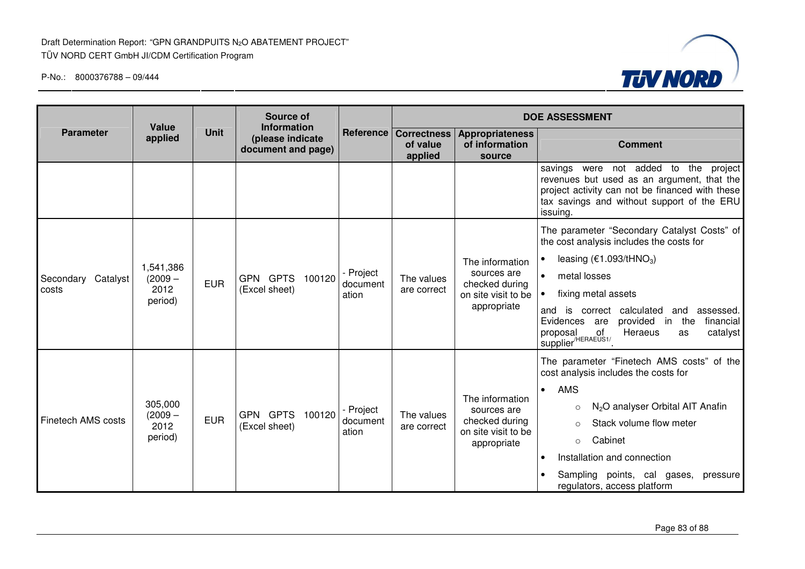

|                                                                                      | Source of<br><b>Value</b><br><b>Information</b> |            | <b>DOE ASSESSMENT</b>                     |                                                    |                           |                                                                                        |                                                                                                                                                                                                                                                                                                                                                    |
|--------------------------------------------------------------------------------------|-------------------------------------------------|------------|-------------------------------------------|----------------------------------------------------|---------------------------|----------------------------------------------------------------------------------------|----------------------------------------------------------------------------------------------------------------------------------------------------------------------------------------------------------------------------------------------------------------------------------------------------------------------------------------------------|
| <b>Unit</b><br><b>Parameter</b><br>applied<br>(please indicate<br>document and page) |                                                 | Reference  | <b>Correctness</b><br>of value<br>applied | <b>Appropriateness</b><br>of information<br>source | <b>Comment</b>            |                                                                                        |                                                                                                                                                                                                                                                                                                                                                    |
|                                                                                      |                                                 |            |                                           |                                                    |                           |                                                                                        | not added to the<br>savings were<br>project<br>revenues but used as an argument, that the<br>project activity can not be financed with these<br>tax savings and without support of the ERU<br>issuing.                                                                                                                                             |
| Secondary Catalyst<br>costs                                                          | 1,541,386<br>$(2009 -$<br>2012<br>period)       | <b>EUR</b> | GPN GPTS 100120<br>(Excel sheet)          | - Project<br>document<br>ation                     | The values<br>are correct | The information<br>sources are<br>checked during<br>on site visit to be<br>appropriate | The parameter "Secondary Catalyst Costs" of<br>the cost analysis includes the costs for<br>leasing $(€1.093/tHNO3)$<br>metal losses<br>fixing metal assets<br>is correct calculated<br>and<br>assessed.<br>and<br>Evidences are<br>provided in the<br>financial                                                                                    |
|                                                                                      |                                                 |            |                                           |                                                    |                           |                                                                                        | I rivpusal of<br>Supplier <sup>/HERAEUS1/</sup><br>Heraeus<br>catalyst<br>as                                                                                                                                                                                                                                                                       |
| <b>Finetech AMS costs</b>                                                            | 305,000<br>$(2009 -$<br>2012<br>period)         | <b>EUR</b> | GPN GPTS 100120<br>(Excel sheet)          | - Project<br>document<br>ation                     | The values<br>are correct | The information<br>sources are<br>checked during<br>on site visit to be<br>appropriate | The parameter "Finetech AMS costs" of the<br>cost analysis includes the costs for<br>AMS<br>$\bullet$<br>N <sub>2</sub> O analyser Orbital AIT Anafin<br>$\circ$<br>Stack volume flow meter<br>$\circ$<br>Cabinet<br>$\circ$<br>Installation and connection<br>$\bullet$<br>Sampling points, cal gases,<br>pressure<br>regulators, access platform |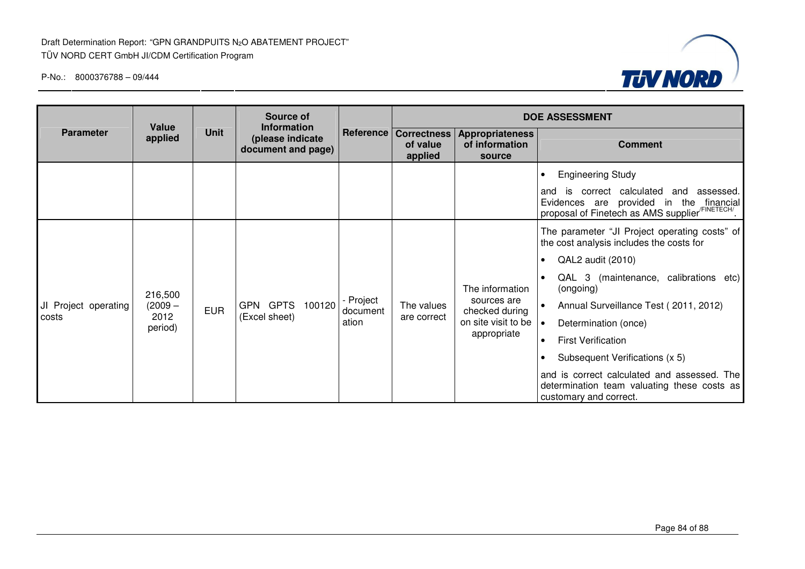

|                               | Source of<br>Value<br><b>Information</b>                         |            |                                  |                                                       | <b>DOE ASSESSMENT</b>                              |                                                                                        |                                                                                                                                                                                                                                                                                                                                                                                                                                                                                               |  |
|-------------------------------|------------------------------------------------------------------|------------|----------------------------------|-------------------------------------------------------|----------------------------------------------------|----------------------------------------------------------------------------------------|-----------------------------------------------------------------------------------------------------------------------------------------------------------------------------------------------------------------------------------------------------------------------------------------------------------------------------------------------------------------------------------------------------------------------------------------------------------------------------------------------|--|
| <b>Parameter</b>              | <b>Unit</b><br>applied<br>(please indicate<br>document and page) |            |                                  | <b>Reference   Correctness</b><br>of value<br>applied | <b>Appropriateness</b><br>of information<br>source | <b>Comment</b>                                                                         |                                                                                                                                                                                                                                                                                                                                                                                                                                                                                               |  |
|                               |                                                                  |            |                                  |                                                       |                                                    |                                                                                        | <b>Engineering Study</b><br>$\bullet$<br>is correct calculated<br>and<br>assessed.<br>and<br>Evidences are provided in the financial<br>proposal of Finetech as AMS supplier <sup>/FINETECH/</sup> .                                                                                                                                                                                                                                                                                          |  |
| JI Project operating<br>costs | 216,500<br>$(2009 -$<br>2012<br>period)                          | <b>EUR</b> | GPN GPTS 100120<br>(Excel sheet) | - Project<br>document<br>ation                        | The values<br>are correct                          | The information<br>sources are<br>checked during<br>on site visit to be<br>appropriate | The parameter "JI Project operating costs" of<br>the cost analysis includes the costs for<br>QAL2 audit (2010)<br>$\bullet$<br>QAL 3 (maintenance, calibrations etc)<br>$\bullet$<br>(ongoing)<br>Annual Surveillance Test (2011, 2012)<br>Determination (once)<br>$\bullet$<br><b>First Verification</b><br>$\bullet$<br>Subsequent Verifications (x 5)<br>$\bullet$<br>and is correct calculated and assessed. The<br>determination team valuating these costs as<br>customary and correct. |  |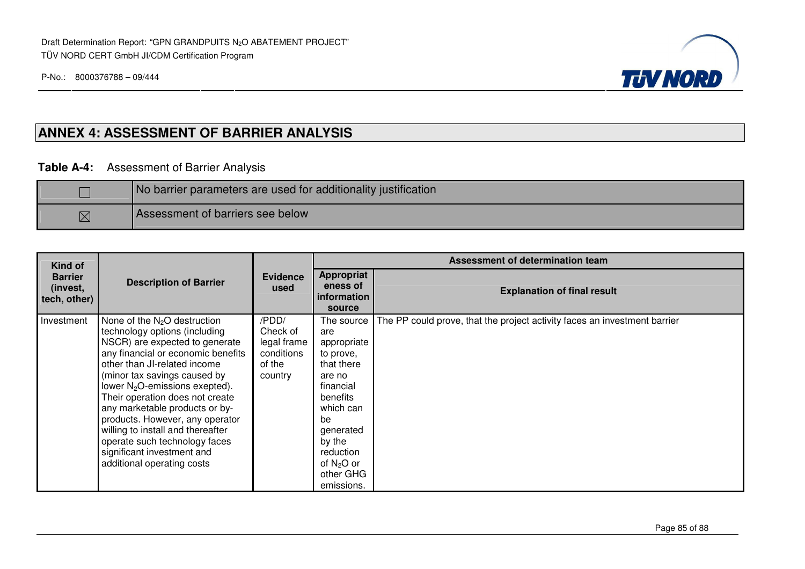Draft Determination Report: "GPN GRANDPUITS N<sub>2</sub>O ABATEMENT PROJECT" TÜV NORD CERT GmbH JI/CDM Certification Program

P-No.: 8000376788 – 09/444



## **ANNEX 4: ASSESSMENT OF BARRIER ANALYSIS**

#### **Table A-4:** Assessment of Barrier Analysis

|             | No barrier parameters are used for additionality justification |  |  |  |  |  |
|-------------|----------------------------------------------------------------|--|--|--|--|--|
| $\boxtimes$ | Assessment of barriers see below                               |  |  |  |  |  |

| Kind of                                    |                                                                                                                                                                                                                                                                                                                                                                                                                                                                                                 | Evidence<br>used                                                    | Assessment of determination team                                                                                                                                                                 |                                                                           |  |  |
|--------------------------------------------|-------------------------------------------------------------------------------------------------------------------------------------------------------------------------------------------------------------------------------------------------------------------------------------------------------------------------------------------------------------------------------------------------------------------------------------------------------------------------------------------------|---------------------------------------------------------------------|--------------------------------------------------------------------------------------------------------------------------------------------------------------------------------------------------|---------------------------------------------------------------------------|--|--|
| <b>Barrier</b><br>(invest,<br>tech, other) | <b>Description of Barrier</b>                                                                                                                                                                                                                                                                                                                                                                                                                                                                   |                                                                     | <b>Appropriat</b><br>eness of<br><b>information</b><br>source                                                                                                                                    | <b>Explanation of final result</b>                                        |  |  |
| Investment                                 | None of the $N_2O$ destruction<br>technology options (including<br>NSCR) are expected to generate<br>any financial or economic benefits<br>other than JI-related income<br>(minor tax savings caused by<br>lower N <sub>2</sub> O-emissions exepted).<br>Their operation does not create<br>any marketable products or by-<br>products. However, any operator<br>willing to install and thereafter<br>operate such technology faces<br>significant investment and<br>additional operating costs | /PDD/<br>Check of<br>legal frame<br>conditions<br>of the<br>country | The source<br>are<br>appropriate<br>to prove,<br>that there<br>are no<br>financial<br>benefits<br>which can<br>be<br>generated<br>by the<br>reduction<br>of $N_2O$ or<br>other GHG<br>emissions. | The PP could prove, that the project activity faces an investment barrier |  |  |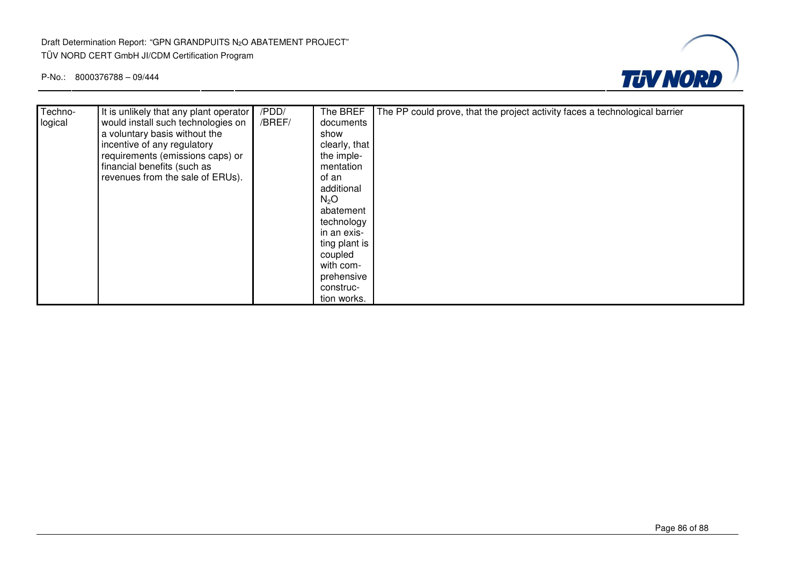

| Techno- | It is unlikely that any plant operator | /PDD/  | The BREF         | The PP could prove, that the project activity faces a technological barrier |
|---------|----------------------------------------|--------|------------------|-----------------------------------------------------------------------------|
| logical | would install such technologies on     | /BREF/ | documents        |                                                                             |
|         | a voluntary basis without the          |        | show             |                                                                             |
|         | incentive of any regulatory            |        | clearly, that    |                                                                             |
|         | requirements (emissions caps) or       |        | the imple-       |                                                                             |
|         | financial benefits (such as            |        | mentation        |                                                                             |
|         | revenues from the sale of ERUs).       |        | of an            |                                                                             |
|         |                                        |        | additional       |                                                                             |
|         |                                        |        | N <sub>2</sub> O |                                                                             |
|         |                                        |        | abatement        |                                                                             |
|         |                                        |        | technology       |                                                                             |
|         |                                        |        | in an exis-      |                                                                             |
|         |                                        |        | ting plant is    |                                                                             |
|         |                                        |        | coupled          |                                                                             |
|         |                                        |        | with com-        |                                                                             |
|         |                                        |        | prehensive       |                                                                             |
|         |                                        |        | construc-        |                                                                             |
|         |                                        |        | tion works.      |                                                                             |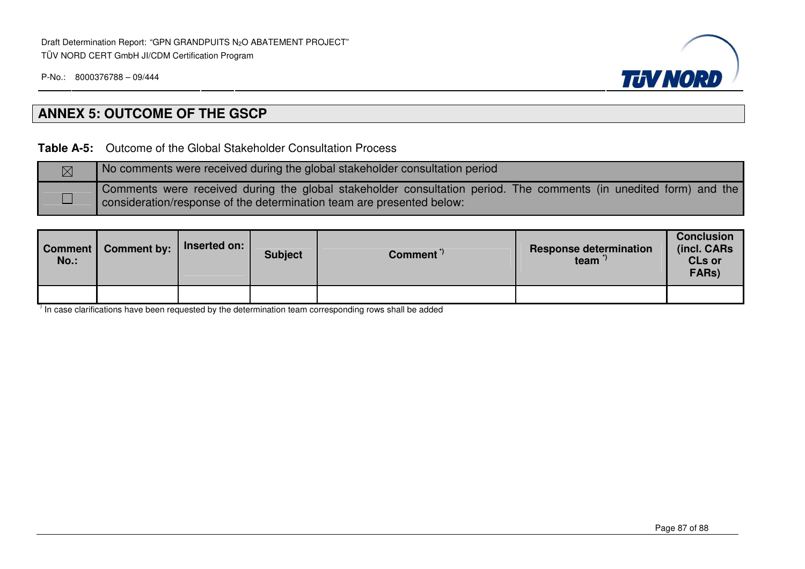

# **ANNEX 5: OUTCOME OF THE GSCP**

**Table A-5:** Outcome of the Global Stakeholder Consultation Process

| $\boxtimes$ | No comments were received during the global stakeholder consultation period                                                                                                                |
|-------------|--------------------------------------------------------------------------------------------------------------------------------------------------------------------------------------------|
|             | Comments were received during the global stakeholder consultation period. The comments (in unedited form) and the<br>consideration/response of the determination team are presented below: |

| Comment  <br>$No.$ : | <b>Comment by:</b> | Inserted on: | <b>Subject</b> | Comment <sup>"</sup> | <b>Response determination</b><br>team <sup>"</sup> | <b>Conclusion</b><br>(incl. CARs<br><b>CLs or</b><br>FARs) |
|----------------------|--------------------|--------------|----------------|----------------------|----------------------------------------------------|------------------------------------------------------------|
|                      |                    |              |                |                      |                                                    |                                                            |

 $\overline{1}$  In case clarifications have been requested by the determination team corresponding rows shall be added